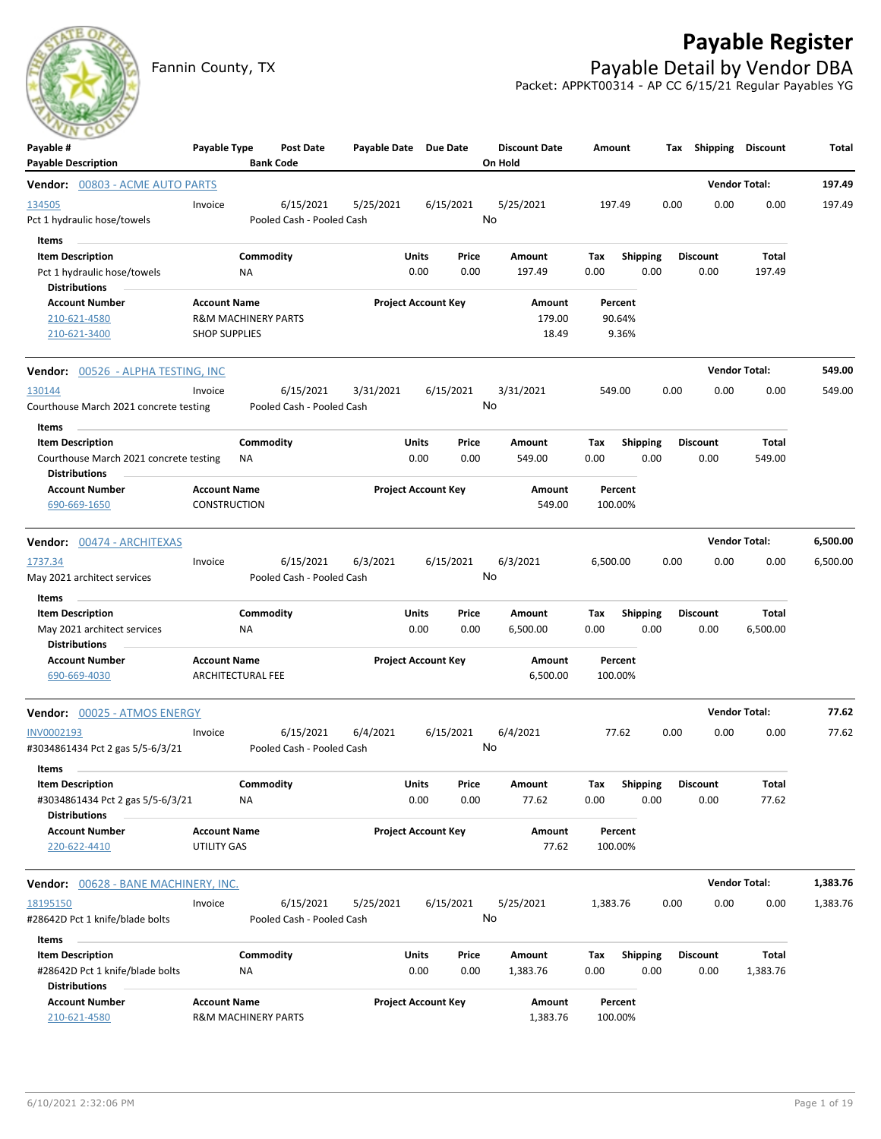## **Payable Register**



Fannin County, TX **Payable Detail by Vendor DBA** Packet: APPKT00314 - AP CC 6/15/21 Regular Payables YG

| $\sim$<br>Payable #                                            | Payable Type                   |                        | Post Date                 | Payable Date Due Date |                            |               | <b>Discount Date</b> | Amount      |                  |      | Tax Shipping            | <b>Discount</b>      | Total    |
|----------------------------------------------------------------|--------------------------------|------------------------|---------------------------|-----------------------|----------------------------|---------------|----------------------|-------------|------------------|------|-------------------------|----------------------|----------|
| <b>Payable Description</b>                                     |                                |                        | <b>Bank Code</b>          |                       |                            |               | On Hold              |             |                  |      |                         |                      |          |
| <b>Vendor: 00803 - ACME AUTO PARTS</b>                         |                                |                        |                           |                       |                            |               |                      |             |                  |      |                         | <b>Vendor Total:</b> | 197.49   |
| 134505                                                         | Invoice                        |                        | 6/15/2021                 | 5/25/2021             |                            | 6/15/2021     | 5/25/2021            | 197.49      |                  | 0.00 | 0.00                    | 0.00                 | 197.49   |
| Pct 1 hydraulic hose/towels                                    |                                |                        | Pooled Cash - Pooled Cash |                       |                            |               | No                   |             |                  |      |                         |                      |          |
| Items                                                          |                                |                        |                           |                       |                            |               |                      |             |                  |      |                         |                      |          |
| <b>Item Description</b>                                        |                                | Commodity              |                           |                       | Units                      | Price         | Amount               | Tax         | <b>Shipping</b>  |      | <b>Discount</b>         | <b>Total</b>         |          |
| Pct 1 hydraulic hose/towels<br><b>Distributions</b>            |                                | ΝA                     |                           |                       | 0.00                       | 0.00          | 197.49               | 0.00        | 0.00             |      | 0.00                    | 197.49               |          |
| <b>Account Number</b>                                          | <b>Account Name</b>            |                        |                           |                       | <b>Project Account Key</b> |               | <b>Amount</b>        | Percent     |                  |      |                         |                      |          |
| 210-621-4580                                                   | <b>R&amp;M MACHINERY PARTS</b> |                        |                           |                       |                            |               | 179.00               | 90.64%      |                  |      |                         |                      |          |
| 210-621-3400                                                   | <b>SHOP SUPPLIES</b>           |                        |                           |                       |                            |               | 18.49                | 9.36%       |                  |      |                         |                      |          |
| <b>Vendor:</b> 00526 - ALPHA TESTING, INC                      |                                |                        |                           |                       |                            |               |                      |             |                  |      |                         | <b>Vendor Total:</b> | 549.00   |
| 130144                                                         | Invoice                        |                        | 6/15/2021                 | 3/31/2021             |                            | 6/15/2021     | 3/31/2021            | 549.00      |                  | 0.00 | 0.00                    | 0.00                 | 549.00   |
| Courthouse March 2021 concrete testing                         |                                |                        | Pooled Cash - Pooled Cash |                       |                            |               | No                   |             |                  |      |                         |                      |          |
| Items                                                          |                                |                        |                           |                       |                            |               |                      |             |                  |      |                         |                      |          |
| <b>Item Description</b>                                        |                                | Commodity              |                           |                       | Units                      | Price         | Amount               | Tax         | <b>Shipping</b>  |      | <b>Discount</b>         | Total                |          |
| Courthouse March 2021 concrete testing<br><b>Distributions</b> |                                | ΝA                     |                           |                       | 0.00                       | 0.00          | 549.00               | 0.00        | 0.00             |      | 0.00                    | 549.00               |          |
| <b>Account Number</b>                                          | <b>Account Name</b>            |                        |                           |                       | <b>Project Account Key</b> |               | <b>Amount</b>        | Percent     |                  |      |                         |                      |          |
| 690-669-1650                                                   | CONSTRUCTION                   |                        |                           |                       |                            |               | 549.00               | 100.00%     |                  |      |                         |                      |          |
| Vendor: 00474 - ARCHITEXAS                                     |                                |                        |                           |                       |                            |               |                      |             |                  |      |                         | <b>Vendor Total:</b> | 6,500.00 |
| 1737.34                                                        | Invoice                        |                        | 6/15/2021                 | 6/3/2021              |                            | 6/15/2021     | 6/3/2021             | 6,500.00    |                  | 0.00 | 0.00                    | 0.00                 | 6,500.00 |
| May 2021 architect services                                    |                                |                        | Pooled Cash - Pooled Cash |                       |                            |               | No                   |             |                  |      |                         |                      |          |
| Items                                                          |                                |                        |                           |                       |                            |               |                      |             |                  |      |                         |                      |          |
| <b>Item Description</b>                                        |                                | Commodity              |                           |                       | Units                      | Price         | Amount               | Tax         | Shipping         |      | <b>Discount</b>         | Total                |          |
| May 2021 architect services<br><b>Distributions</b>            |                                | NA                     |                           |                       | 0.00                       | 0.00          | 6,500.00             | 0.00        | 0.00             |      | 0.00                    | 6,500.00             |          |
| <b>Account Number</b>                                          | <b>Account Name</b>            |                        |                           |                       | <b>Project Account Key</b> |               | Amount               | Percent     |                  |      |                         |                      |          |
| 690-669-4030                                                   | <b>ARCHITECTURAL FEE</b>       |                        |                           |                       |                            |               | 6,500.00             | 100.00%     |                  |      |                         |                      |          |
| Vendor: 00025 - ATMOS ENERGY                                   |                                |                        |                           |                       |                            |               |                      |             |                  |      |                         | <b>Vendor Total:</b> | 77.62    |
| INV0002193                                                     | Invoice                        |                        | 6/15/2021                 | 6/4/2021              |                            | 6/15/2021     | 6/4/2021             | 77.62       |                  | 0.00 | 0.00                    | 0.00                 | 77.62    |
| #3034861434 Pct 2 gas 5/5-6/3/21                               |                                |                        | Pooled Cash - Pooled Cash |                       |                            |               | No                   |             |                  |      |                         |                      |          |
| Items                                                          |                                |                        |                           |                       |                            |               |                      |             |                  |      |                         |                      |          |
| <b>Item Description</b>                                        |                                | Commodity              |                           |                       | Units                      | Price         | Amount               | Tax         | <b>Shipping</b>  |      | <b>Discount</b>         | <b>Total</b>         |          |
| #3034861434 Pct 2 gas 5/5-6/3/21<br><b>Distributions</b>       |                                | <b>NA</b>              |                           |                       | 0.00                       | 0.00          | 77.62                | 0.00        | 0.00             |      | 0.00                    | 77.62                |          |
| <b>Account Number</b>                                          | <b>Account Name</b>            |                        |                           |                       | <b>Project Account Key</b> |               | Amount               | Percent     |                  |      |                         |                      |          |
| 220-622-4410                                                   | UTILITY GAS                    |                        |                           |                       |                            |               | 77.62                | 100.00%     |                  |      |                         |                      |          |
|                                                                |                                |                        |                           |                       |                            |               |                      |             |                  |      |                         |                      |          |
| Vendor: 00628 - BANE MACHINERY, INC.                           |                                |                        |                           |                       |                            |               |                      |             |                  |      |                         | <b>Vendor Total:</b> | 1,383.76 |
| 18195150                                                       | Invoice                        |                        | 6/15/2021                 | 5/25/2021             |                            | 6/15/2021     | 5/25/2021            | 1,383.76    |                  | 0.00 | 0.00                    | 0.00                 | 1,383.76 |
| #28642D Pct 1 knife/blade bolts                                |                                |                        | Pooled Cash - Pooled Cash |                       |                            |               | No                   |             |                  |      |                         |                      |          |
| Items                                                          |                                |                        |                           |                       |                            |               |                      |             |                  |      |                         |                      |          |
| <b>Item Description</b><br>#28642D Pct 1 knife/blade bolts     |                                | Commodity<br><b>NA</b> |                           |                       | Units<br>0.00              | Price<br>0.00 | Amount<br>1,383.76   | Tax<br>0.00 | Shipping<br>0.00 |      | <b>Discount</b><br>0.00 | Total<br>1,383.76    |          |
| <b>Distributions</b>                                           |                                |                        |                           |                       |                            |               |                      |             |                  |      |                         |                      |          |
| <b>Account Number</b>                                          | <b>Account Name</b>            |                        |                           |                       | <b>Project Account Key</b> |               | Amount               | Percent     |                  |      |                         |                      |          |
| 210-621-4580                                                   | R&M MACHINERY PARTS            |                        |                           |                       |                            |               | 1,383.76             | 100.00%     |                  |      |                         |                      |          |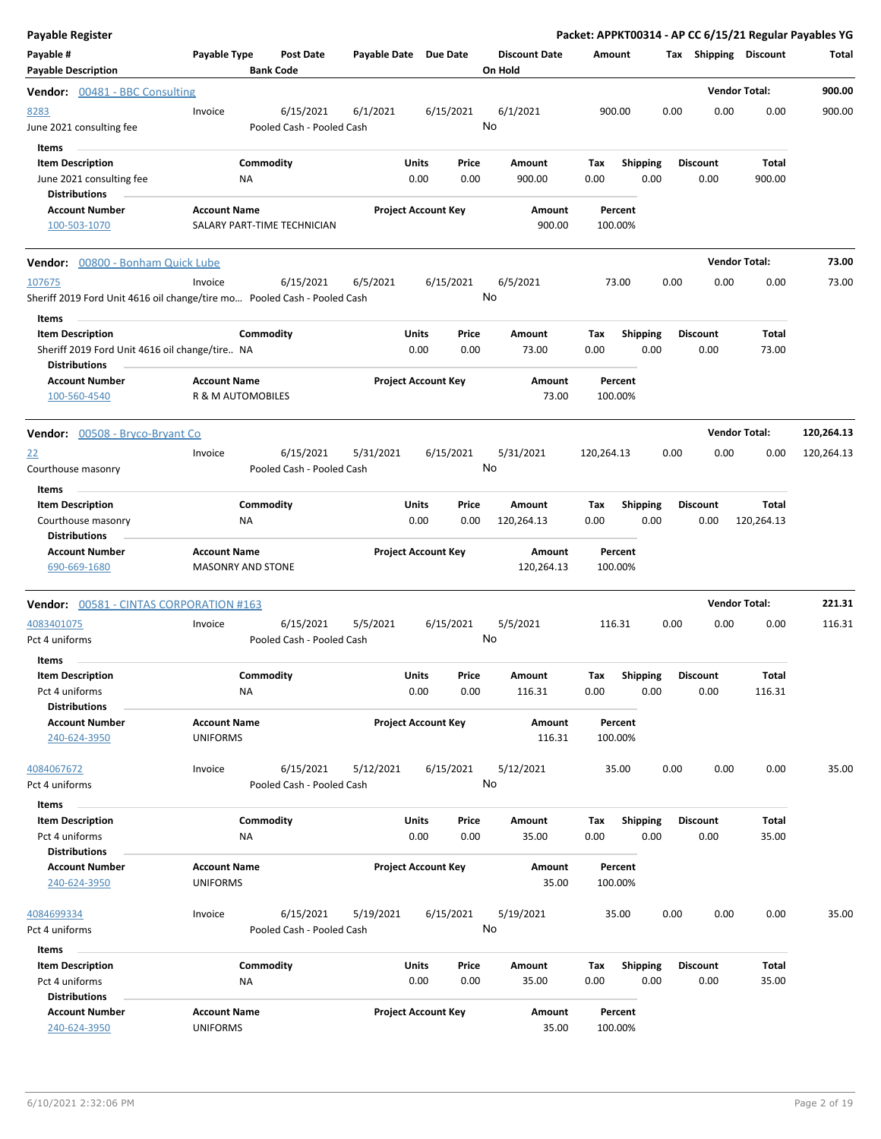| <b>Payable Register</b>                                                |                                                                                                  |                       |                            |                                 | Packet: APPKT00314 - AP CC 6/15/21 Regular Payables YG |                         |                         |                      |            |
|------------------------------------------------------------------------|--------------------------------------------------------------------------------------------------|-----------------------|----------------------------|---------------------------------|--------------------------------------------------------|-------------------------|-------------------------|----------------------|------------|
| Payable #<br><b>Payable Description</b>                                | Payable Type<br><b>Post Date</b><br><b>Bank Code</b>                                             | Payable Date Due Date |                            | <b>Discount Date</b><br>On Hold | Amount                                                 |                         | Tax Shipping Discount   |                      | Total      |
| <b>Vendor:</b> 00481 - BBC Consulting                                  |                                                                                                  |                       |                            |                                 |                                                        |                         |                         | <b>Vendor Total:</b> | 900.00     |
| 8283<br>June 2021 consulting fee                                       | Invoice<br>6/15/2021<br>Pooled Cash - Pooled Cash                                                | 6/1/2021              | 6/15/2021                  | 6/1/2021<br>No                  | 900.00                                                 | 0.00                    | 0.00                    | 0.00                 | 900.00     |
| Items                                                                  |                                                                                                  |                       |                            |                                 |                                                        |                         |                         |                      |            |
| <b>Item Description</b><br>June 2021 consulting fee                    | Commodity<br>ΝA                                                                                  | Units                 | Price<br>0.00<br>0.00      | Amount<br>900.00                | Tax<br>0.00                                            | <b>Shipping</b><br>0.00 | <b>Discount</b><br>0.00 | Total<br>900.00      |            |
| <b>Distributions</b>                                                   |                                                                                                  |                       |                            |                                 |                                                        |                         |                         |                      |            |
| <b>Account Number</b><br>100-503-1070                                  | <b>Account Name</b><br>SALARY PART-TIME TECHNICIAN                                               |                       | <b>Project Account Key</b> | Amount<br>900.00                | Percent<br>100.00%                                     |                         |                         |                      |            |
| Vendor: 00800 - Bonham Quick Lube                                      |                                                                                                  |                       |                            |                                 |                                                        |                         |                         | <b>Vendor Total:</b> | 73.00      |
| 107675                                                                 | Invoice<br>6/15/2021<br>Sheriff 2019 Ford Unit 4616 oil change/tire mo Pooled Cash - Pooled Cash | 6/5/2021              | 6/15/2021                  | 6/5/2021<br>No                  | 73.00                                                  | 0.00                    | 0.00                    | 0.00                 | 73.00      |
| Items<br><b>Item Description</b>                                       | Commodity                                                                                        | Units                 | Price                      | Amount                          | Tax                                                    | <b>Shipping</b>         | <b>Discount</b>         | Total                |            |
| Sheriff 2019 Ford Unit 4616 oil change/tire NA<br><b>Distributions</b> |                                                                                                  |                       | 0.00<br>0.00               | 73.00                           | 0.00                                                   | 0.00                    | 0.00                    | 73.00                |            |
| <b>Account Number</b><br>100-560-4540                                  | <b>Account Name</b><br>R & M AUTOMOBILES                                                         |                       | <b>Project Account Key</b> | Amount<br>73.00                 | Percent<br>100.00%                                     |                         |                         |                      |            |
| Vendor: 00508 - Bryco-Bryant Co                                        |                                                                                                  |                       |                            |                                 |                                                        |                         |                         | <b>Vendor Total:</b> | 120,264.13 |
| <u>22</u>                                                              | 6/15/2021<br>Invoice                                                                             | 5/31/2021             | 6/15/2021                  | 5/31/2021                       | 120,264.13                                             | 0.00                    | 0.00                    | 0.00                 | 120,264.13 |
| Courthouse masonry<br>Items                                            | Pooled Cash - Pooled Cash                                                                        |                       |                            | No                              |                                                        |                         |                         |                      |            |
| <b>Item Description</b>                                                | Commodity                                                                                        | Units                 | Price                      | Amount                          | Tax                                                    | <b>Shipping</b>         | <b>Discount</b>         | Total                |            |
| Courthouse masonry<br><b>Distributions</b>                             | <b>NA</b>                                                                                        |                       | 0.00<br>0.00               | 120,264.13                      | 0.00                                                   | 0.00                    | 0.00                    | 120,264.13           |            |
| <b>Account Number</b><br>690-669-1680                                  | <b>Account Name</b><br><b>MASONRY AND STONE</b>                                                  |                       | <b>Project Account Key</b> | Amount<br>120,264.13            | Percent<br>100.00%                                     |                         |                         |                      |            |
| Vendor: 00581 - CINTAS CORPORATION #163                                |                                                                                                  |                       |                            |                                 |                                                        |                         |                         | <b>Vendor Total:</b> | 221.31     |
| 4083401075                                                             | 6/15/2021<br>Invoice                                                                             | 5/5/2021              | 6/15/2021                  | 5/5/2021                        | 116.31                                                 | 0.00                    | 0.00                    | 0.00                 | 116.31     |
| Pct 4 uniforms<br>Items                                                | Pooled Cash - Pooled Cash                                                                        |                       |                            | No                              |                                                        |                         |                         |                      |            |
| <b>Item Description</b>                                                | Commodity                                                                                        | Units                 | Price                      | Amount                          | Tax                                                    | Shipping Discount       |                         | Total                |            |
| Pct 4 uniforms<br><b>Distributions</b>                                 | NA                                                                                               |                       | 0.00<br>0.00               | 116.31                          | 0.00                                                   | 0.00                    | 0.00                    | 116.31               |            |
| <b>Account Number</b><br>240-624-3950                                  | <b>Account Name</b><br><b>UNIFORMS</b>                                                           |                       | <b>Project Account Key</b> | Amount<br>116.31                | Percent<br>100.00%                                     |                         |                         |                      |            |
| 4084067672<br>Pct 4 uniforms                                           | 6/15/2021<br>Invoice<br>Pooled Cash - Pooled Cash                                                | 5/12/2021             | 6/15/2021                  | 5/12/2021<br>No                 | 35.00                                                  | 0.00                    | 0.00                    | 0.00                 | 35.00      |
| Items                                                                  |                                                                                                  |                       |                            |                                 |                                                        |                         |                         |                      |            |
| <b>Item Description</b>                                                | Commodity                                                                                        | Units                 | Price                      | Amount                          | Tax                                                    | Shipping                | <b>Discount</b>         | Total                |            |
| Pct 4 uniforms<br><b>Distributions</b>                                 | NA                                                                                               |                       | 0.00<br>0.00               | 35.00                           | 0.00                                                   | 0.00                    | 0.00                    | 35.00                |            |
| <b>Account Number</b><br>240-624-3950                                  | <b>Account Name</b><br><b>UNIFORMS</b>                                                           |                       | <b>Project Account Key</b> | Amount<br>35.00                 | Percent<br>100.00%                                     |                         |                         |                      |            |
| 4084699334<br>Pct 4 uniforms                                           | 6/15/2021<br>Invoice<br>Pooled Cash - Pooled Cash                                                | 5/19/2021             | 6/15/2021                  | 5/19/2021<br>No                 | 35.00                                                  | 0.00                    | 0.00                    | 0.00                 | 35.00      |
| Items                                                                  |                                                                                                  |                       |                            |                                 |                                                        |                         |                         |                      |            |
| <b>Item Description</b>                                                | Commodity                                                                                        | Units                 | Price                      | Amount                          | Tax                                                    | <b>Shipping</b>         | <b>Discount</b>         | Total                |            |
| Pct 4 uniforms<br><b>Distributions</b>                                 | NA                                                                                               |                       | 0.00<br>0.00               | 35.00                           | 0.00                                                   | 0.00                    | 0.00                    | 35.00                |            |
| <b>Account Number</b><br>240-624-3950                                  | <b>Account Name</b><br><b>UNIFORMS</b>                                                           |                       | <b>Project Account Key</b> | Amount<br>35.00                 | Percent<br>100.00%                                     |                         |                         |                      |            |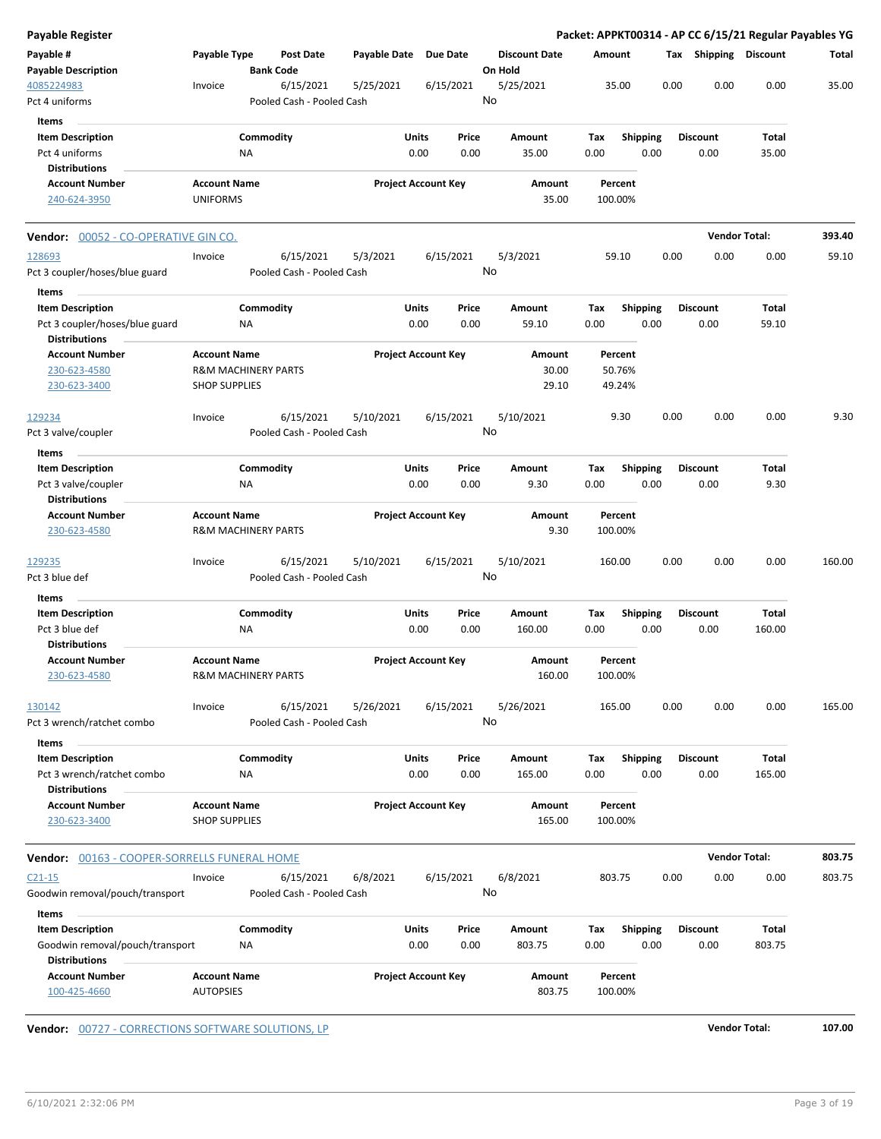| Payable Register                                                                  |                                                       |                  |                                        |              |               |                            |                                 |             |                    |      |      |                         |                       | Packet: APPKT00314 - AP CC 6/15/21 Regular Payables YG |
|-----------------------------------------------------------------------------------|-------------------------------------------------------|------------------|----------------------------------------|--------------|---------------|----------------------------|---------------------------------|-------------|--------------------|------|------|-------------------------|-----------------------|--------------------------------------------------------|
| Payable #<br><b>Payable Description</b>                                           | Payable Type                                          | <b>Bank Code</b> | Post Date                              | Payable Date |               | <b>Due Date</b>            | <b>Discount Date</b><br>On Hold | Amount      |                    |      |      |                         | Tax Shipping Discount | Total                                                  |
| 4085224983<br>Pct 4 uniforms                                                      | Invoice                                               |                  | 6/15/2021<br>Pooled Cash - Pooled Cash | 5/25/2021    |               | 6/15/2021                  | 5/25/2021<br>No                 |             | 35.00              |      | 0.00 | 0.00                    | 0.00                  | 35.00                                                  |
| Items                                                                             |                                                       |                  |                                        |              |               |                            |                                 |             |                    |      |      |                         |                       |                                                        |
| <b>Item Description</b>                                                           |                                                       | Commodity        |                                        |              | Units         | Price                      | Amount                          | Tax         | <b>Shipping</b>    |      |      | <b>Discount</b>         | Total                 |                                                        |
| Pct 4 uniforms                                                                    |                                                       | ΝA               |                                        |              | 0.00          | 0.00                       | 35.00                           | 0.00        |                    | 0.00 |      | 0.00                    | 35.00                 |                                                        |
| <b>Distributions</b>                                                              |                                                       |                  |                                        |              |               |                            |                                 |             |                    |      |      |                         |                       |                                                        |
| <b>Account Number</b>                                                             | <b>Account Name</b>                                   |                  |                                        |              |               | <b>Project Account Key</b> | Amount                          |             | Percent            |      |      |                         |                       |                                                        |
| 240-624-3950                                                                      | <b>UNIFORMS</b>                                       |                  |                                        |              |               |                            | 35.00                           |             | 100.00%            |      |      |                         |                       |                                                        |
| Vendor: 00052 - CO-OPERATIVE GIN CO.                                              |                                                       |                  |                                        |              |               |                            |                                 |             |                    |      |      | <b>Vendor Total:</b>    |                       | 393.40                                                 |
| 128693<br>Pct 3 coupler/hoses/blue guard                                          | Invoice                                               |                  | 6/15/2021<br>Pooled Cash - Pooled Cash | 5/3/2021     |               | 6/15/2021                  | 5/3/2021<br>No                  |             | 59.10              |      | 0.00 | 0.00                    | 0.00                  | 59.10                                                  |
| Items                                                                             |                                                       |                  |                                        |              |               |                            |                                 |             |                    |      |      |                         |                       |                                                        |
| <b>Item Description</b><br>Pct 3 coupler/hoses/blue guard<br><b>Distributions</b> |                                                       | Commodity<br>ΝA  |                                        |              | Units<br>0.00 | Price<br>0.00              | Amount<br>59.10                 | Tax<br>0.00 | <b>Shipping</b>    | 0.00 |      | <b>Discount</b><br>0.00 | Total<br>59.10        |                                                        |
| <b>Account Number</b>                                                             | <b>Account Name</b>                                   |                  |                                        |              |               | <b>Project Account Key</b> | Amount                          |             | Percent            |      |      |                         |                       |                                                        |
| 230-623-4580                                                                      | <b>R&amp;M MACHINERY PARTS</b>                        |                  |                                        |              |               |                            | 30.00                           |             | 50.76%             |      |      |                         |                       |                                                        |
| 230-623-3400                                                                      | <b>SHOP SUPPLIES</b>                                  |                  |                                        |              |               |                            | 29.10                           |             | 49.24%             |      |      |                         |                       |                                                        |
| 129234                                                                            | Invoice                                               |                  | 6/15/2021                              | 5/10/2021    |               | 6/15/2021                  | 5/10/2021                       |             | 9.30               |      | 0.00 | 0.00                    | 0.00                  | 9.30                                                   |
| Pct 3 valve/coupler                                                               |                                                       |                  | Pooled Cash - Pooled Cash              |              |               |                            | No                              |             |                    |      |      |                         |                       |                                                        |
| Items                                                                             |                                                       |                  |                                        |              |               |                            |                                 |             |                    |      |      |                         |                       |                                                        |
| <b>Item Description</b>                                                           |                                                       | Commodity        |                                        |              | <b>Units</b>  | Price                      | Amount                          | Tax         | <b>Shipping</b>    |      |      | <b>Discount</b>         | Total                 |                                                        |
| Pct 3 valve/coupler                                                               |                                                       | ΝA               |                                        |              | 0.00          | 0.00                       | 9.30                            | 0.00        |                    | 0.00 |      | 0.00                    | 9.30                  |                                                        |
| <b>Distributions</b>                                                              |                                                       |                  |                                        |              |               |                            |                                 |             |                    |      |      |                         |                       |                                                        |
| <b>Account Number</b><br>230-623-4580                                             | <b>Account Name</b><br><b>R&amp;M MACHINERY PARTS</b> |                  |                                        |              |               | <b>Project Account Key</b> | Amount<br>9.30                  |             | Percent<br>100.00% |      |      |                         |                       |                                                        |
| <u> 129235</u><br>Pct 3 blue def                                                  | Invoice                                               |                  | 6/15/2021<br>Pooled Cash - Pooled Cash | 5/10/2021    |               | 6/15/2021                  | 5/10/2021<br>No                 |             | 160.00             |      | 0.00 | 0.00                    | 0.00                  | 160.00                                                 |
| Items                                                                             |                                                       |                  |                                        |              |               |                            |                                 |             |                    |      |      |                         |                       |                                                        |
| <b>Item Description</b>                                                           |                                                       | Commodity        |                                        |              | <b>Units</b>  | Price                      | Amount                          | Tax         | <b>Shipping</b>    |      |      | <b>Discount</b>         | Total                 |                                                        |
| Pct 3 blue def<br><b>Distributions</b>                                            |                                                       | <b>NA</b>        |                                        |              | 0.00          | 0.00                       | 160.00                          | 0.00        |                    | 0.00 |      | 0.00                    | 160.00                |                                                        |
| <b>Account Number</b><br>230-623-4580                                             | <b>Account Name</b><br>R&M MACHINERY PARTS            |                  |                                        |              |               | <b>Project Account Key</b> | Amount<br>160.00                |             | Percent<br>100.00% |      |      |                         |                       |                                                        |
| 130142                                                                            | Invoice                                               |                  | 6/15/2021                              | 5/26/2021    |               | 6/15/2021                  | 5/26/2021                       |             | 165.00             |      | 0.00 | 0.00                    | 0.00                  | 165.00                                                 |
| Pct 3 wrench/ratchet combo                                                        |                                                       |                  | Pooled Cash - Pooled Cash              |              |               |                            | No                              |             |                    |      |      |                         |                       |                                                        |
| Items                                                                             |                                                       |                  |                                        |              |               |                            |                                 |             |                    |      |      |                         |                       |                                                        |
| <b>Item Description</b>                                                           |                                                       | Commodity        |                                        |              | <b>Units</b>  | Price                      | Amount                          | Tax         | <b>Shipping</b>    |      |      | <b>Discount</b>         | Total                 |                                                        |
| Pct 3 wrench/ratchet combo<br><b>Distributions</b>                                |                                                       | ΝA               |                                        |              | 0.00          | 0.00                       | 165.00                          | 0.00        |                    | 0.00 |      | 0.00                    | 165.00                |                                                        |
| <b>Account Number</b>                                                             | <b>Account Name</b>                                   |                  |                                        |              |               |                            | Amount                          |             | Percent            |      |      |                         |                       |                                                        |
| 230-623-3400                                                                      | <b>SHOP SUPPLIES</b>                                  |                  |                                        |              |               | <b>Project Account Key</b> | 165.00                          |             | 100.00%            |      |      |                         |                       |                                                        |
| Vendor: 00163 - COOPER-SORRELLS FUNERAL HOME                                      |                                                       |                  |                                        |              |               |                            |                                 |             |                    |      |      | <b>Vendor Total:</b>    |                       | 803.75                                                 |
| C <sub>21</sub> -15                                                               | Invoice                                               |                  | 6/15/2021                              | 6/8/2021     |               | 6/15/2021                  | 6/8/2021                        |             | 803.75             |      | 0.00 | 0.00                    | 0.00                  | 803.75                                                 |
| Goodwin removal/pouch/transport                                                   |                                                       |                  | Pooled Cash - Pooled Cash              |              |               |                            | No                              |             |                    |      |      |                         |                       |                                                        |
| Items                                                                             |                                                       |                  |                                        |              |               |                            |                                 |             |                    |      |      |                         |                       |                                                        |
| <b>Item Description</b>                                                           |                                                       | Commodity        |                                        |              | <b>Units</b>  | Price                      | Amount                          | Tax         | Shipping           |      |      | <b>Discount</b>         | Total                 |                                                        |
| Goodwin removal/pouch/transport<br><b>Distributions</b>                           |                                                       | ΝA               |                                        |              | 0.00          | 0.00                       | 803.75                          | 0.00        |                    | 0.00 |      | 0.00                    | 803.75                |                                                        |
| <b>Account Number</b><br>100-425-4660                                             | <b>Account Name</b><br><b>AUTOPSIES</b>               |                  |                                        |              |               | <b>Project Account Key</b> | Amount<br>803.75                |             | Percent<br>100.00% |      |      |                         |                       |                                                        |
|                                                                                   |                                                       |                  |                                        |              |               |                            |                                 |             |                    |      |      |                         |                       |                                                        |

**Vendor:**  $\underline{00727 - CORRECTIONS SETWARE SOLUTIONS, LP}$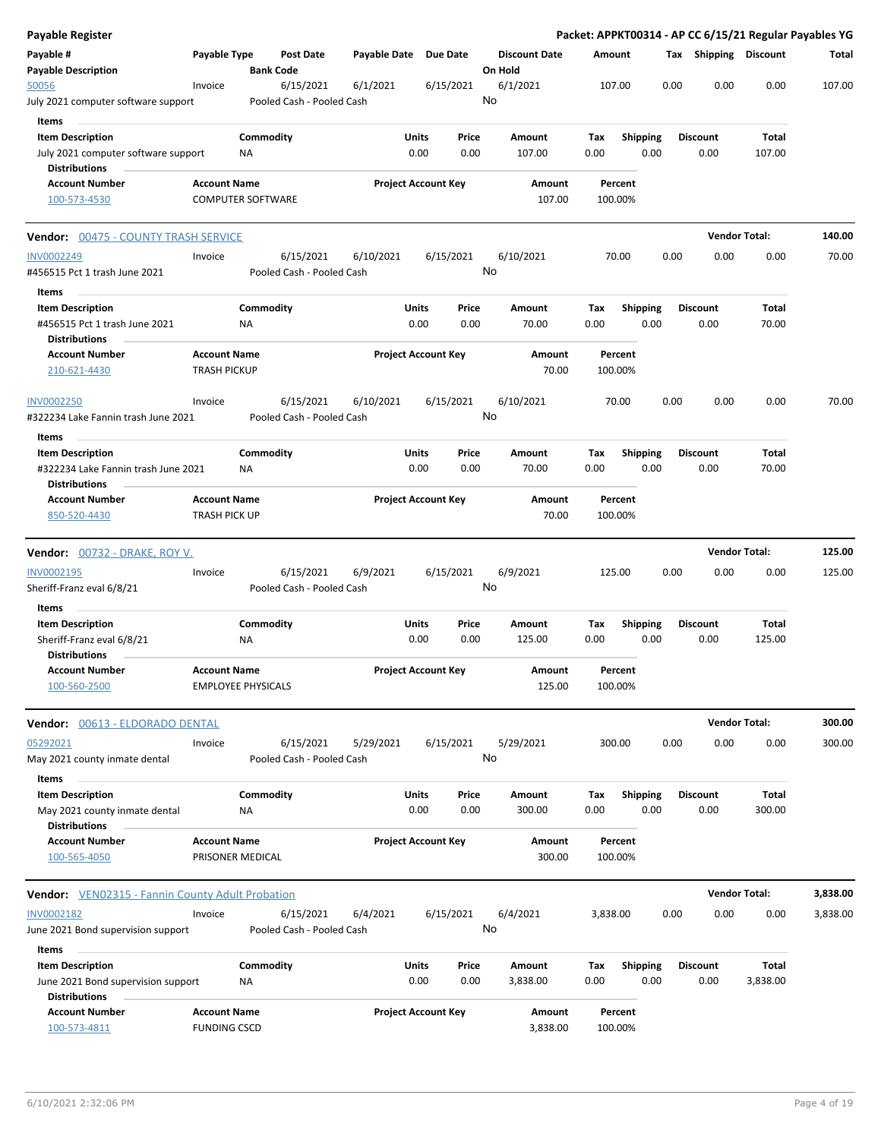| Payable Register                                                                                |                                             |                           |                                        |                       |                            |               |                                 |             |                    |                         |      |                         |                   | Packet: APPKT00314 - AP CC 6/15/21 Regular Payables YG |
|-------------------------------------------------------------------------------------------------|---------------------------------------------|---------------------------|----------------------------------------|-----------------------|----------------------------|---------------|---------------------------------|-------------|--------------------|-------------------------|------|-------------------------|-------------------|--------------------------------------------------------|
| Payable #<br><b>Payable Description</b>                                                         | Payable Type                                | <b>Bank Code</b>          | <b>Post Date</b>                       | Payable Date Due Date |                            |               | <b>Discount Date</b><br>On Hold |             | Amount             |                         |      | Tax Shipping Discount   |                   | Total                                                  |
| 50056<br>July 2021 computer software support                                                    | Invoice                                     |                           | 6/15/2021<br>Pooled Cash - Pooled Cash | 6/1/2021              |                            | 6/15/2021     | 6/1/2021<br>No                  |             | 107.00             |                         | 0.00 | 0.00                    | 0.00              | 107.00                                                 |
| Items<br><b>Item Description</b><br>July 2021 computer software support                         |                                             | Commodity<br>NA           |                                        |                       | <b>Units</b><br>0.00       | Price<br>0.00 | Amount<br>107.00                | Tax<br>0.00 |                    | <b>Shipping</b><br>0.00 |      | <b>Discount</b><br>0.00 | Total<br>107.00   |                                                        |
| <b>Distributions</b><br><b>Account Number</b><br>100-573-4530                                   | <b>Account Name</b>                         | <b>COMPUTER SOFTWARE</b>  |                                        |                       | <b>Project Account Key</b> |               | Amount<br>107.00                |             | Percent<br>100.00% |                         |      |                         |                   |                                                        |
| <b>Vendor: 00475 - COUNTY TRASH SERVICE</b>                                                     |                                             |                           |                                        |                       |                            |               |                                 |             |                    |                         |      | <b>Vendor Total:</b>    |                   | 140.00                                                 |
| <b>INV0002249</b><br>#456515 Pct 1 trash June 2021                                              | Invoice                                     |                           | 6/15/2021<br>Pooled Cash - Pooled Cash | 6/10/2021             |                            | 6/15/2021     | 6/10/2021<br>No                 |             | 70.00              |                         | 0.00 | 0.00                    | 0.00              | 70.00                                                  |
| Items<br><b>Item Description</b><br>#456515 Pct 1 trash June 2021<br><b>Distributions</b>       |                                             | Commodity<br>ΝA           |                                        |                       | <b>Units</b><br>0.00       | Price<br>0.00 | Amount<br>70.00                 | Tax<br>0.00 |                    | <b>Shipping</b><br>0.00 |      | <b>Discount</b><br>0.00 | Total<br>70.00    |                                                        |
| <b>Account Number</b><br>210-621-4430                                                           | <b>Account Name</b><br><b>TRASH PICKUP</b>  |                           |                                        |                       | <b>Project Account Key</b> |               | Amount<br>70.00                 |             | Percent<br>100.00% |                         |      |                         |                   |                                                        |
| <b>INV0002250</b><br>#322234 Lake Fannin trash June 2021                                        | Invoice                                     |                           | 6/15/2021<br>Pooled Cash - Pooled Cash | 6/10/2021             |                            | 6/15/2021     | 6/10/2021<br>No                 |             | 70.00              |                         | 0.00 | 0.00                    | 0.00              | 70.00                                                  |
| Items<br><b>Item Description</b><br>#322234 Lake Fannin trash June 2021<br><b>Distributions</b> |                                             | Commodity<br>ΝA           |                                        |                       | <b>Units</b><br>0.00       | Price<br>0.00 | Amount<br>70.00                 | Tax<br>0.00 |                    | <b>Shipping</b><br>0.00 |      | Discount<br>0.00        | Total<br>70.00    |                                                        |
| <b>Account Number</b><br>850-520-4430                                                           | <b>Account Name</b><br><b>TRASH PICK UP</b> |                           |                                        |                       | <b>Project Account Key</b> |               | Amount<br>70.00                 |             | Percent<br>100.00% |                         |      |                         |                   |                                                        |
| <b>Vendor: 00732 - DRAKE, ROY V.</b>                                                            |                                             |                           |                                        |                       |                            |               |                                 |             |                    |                         |      | <b>Vendor Total:</b>    |                   | 125.00                                                 |
| <b>INV0002195</b><br>Sheriff-Franz eval 6/8/21                                                  | Invoice                                     |                           | 6/15/2021<br>Pooled Cash - Pooled Cash | 6/9/2021              |                            | 6/15/2021     | 6/9/2021<br>No                  |             | 125.00             |                         | 0.00 | 0.00                    | 0.00              | 125.00                                                 |
| Items<br><b>Item Description</b><br>Sheriff-Franz eval 6/8/21                                   |                                             | Commodity<br>NA           |                                        |                       | <b>Units</b><br>0.00       | Price<br>0.00 | Amount<br>125.00                | Tax<br>0.00 |                    | <b>Shipping</b><br>0.00 |      | <b>Discount</b><br>0.00 | Total<br>125.00   |                                                        |
| <b>Distributions</b><br><b>Account Number</b><br>100-560-2500                                   | <b>Account Name</b>                         | <b>EMPLOYEE PHYSICALS</b> |                                        |                       | <b>Project Account Key</b> |               | Amount<br>125.00                |             | Percent<br>100.00% |                         |      |                         |                   |                                                        |
|                                                                                                 |                                             |                           |                                        |                       |                            |               |                                 |             |                    |                         |      | <b>Vendor Total:</b>    |                   | 300.00                                                 |
| Vendor: 00613 - ELDORADO DENTAL<br>05292021<br>May 2021 county inmate dental                    | Invoice                                     |                           | 6/15/2021<br>Pooled Cash - Pooled Cash | 5/29/2021             |                            | 6/15/2021     | 5/29/2021<br>No                 |             | 300.00             |                         | 0.00 | 0.00                    | 0.00              | 300.00                                                 |
| Items<br><b>Item Description</b><br>May 2021 county inmate dental                               |                                             | Commodity<br>NA           |                                        |                       | Units<br>0.00              | Price<br>0.00 | Amount<br>300.00                | Tax<br>0.00 |                    | Shipping<br>0.00        |      | <b>Discount</b><br>0.00 | Total<br>300.00   |                                                        |
| <b>Distributions</b><br><b>Account Number</b><br>100-565-4050                                   | <b>Account Name</b>                         | PRISONER MEDICAL          |                                        |                       | <b>Project Account Key</b> |               | Amount<br>300.00                |             | Percent<br>100.00% |                         |      |                         |                   |                                                        |
| <b>Vendor:</b> VEN02315 - Fannin County Adult Probation                                         |                                             |                           |                                        |                       |                            |               |                                 |             |                    |                         |      | <b>Vendor Total:</b>    |                   | 3,838.00                                               |
| INV0002182<br>June 2021 Bond supervision support                                                | Invoice                                     |                           | 6/15/2021<br>Pooled Cash - Pooled Cash | 6/4/2021              |                            | 6/15/2021     | 6/4/2021<br>No                  |             | 3,838.00           |                         | 0.00 | 0.00                    | 0.00              | 3,838.00                                               |
| Items<br><b>Item Description</b><br>June 2021 Bond supervision support<br><b>Distributions</b>  |                                             | Commodity<br>NA           |                                        |                       | <b>Units</b><br>0.00       | Price<br>0.00 | Amount<br>3,838.00              | Tax<br>0.00 |                    | <b>Shipping</b><br>0.00 |      | <b>Discount</b><br>0.00 | Total<br>3,838.00 |                                                        |
| <b>Account Number</b><br>100-573-4811                                                           | <b>Account Name</b><br><b>FUNDING CSCD</b>  |                           |                                        |                       | <b>Project Account Key</b> |               | Amount<br>3,838.00              |             | Percent<br>100.00% |                         |      |                         |                   |                                                        |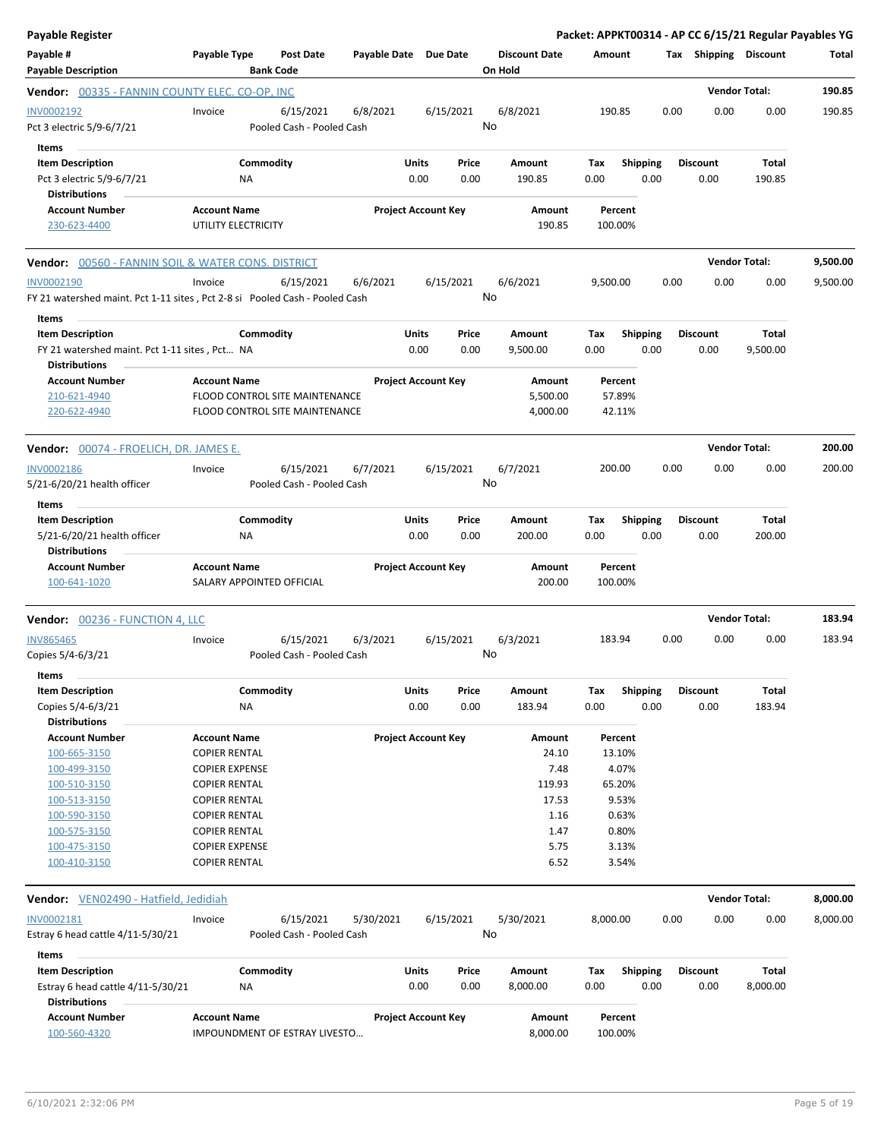| <b>Payable Register</b>                                                                                   |                                                                       |                        |                                                                         |                       |               |                            |         |                                |                             |                         |      |                         | Packet: APPKT00314 - AP CC 6/15/21 Regular Payables YG |          |
|-----------------------------------------------------------------------------------------------------------|-----------------------------------------------------------------------|------------------------|-------------------------------------------------------------------------|-----------------------|---------------|----------------------------|---------|--------------------------------|-----------------------------|-------------------------|------|-------------------------|--------------------------------------------------------|----------|
| Payable #<br><b>Payable Description</b>                                                                   | Payable Type                                                          |                        | <b>Post Date</b><br><b>Bank Code</b>                                    | Payable Date Due Date |               |                            | On Hold | <b>Discount Date</b>           | Amount                      |                         |      | Tax Shipping Discount   |                                                        | Total    |
| Vendor: 00335 - FANNIN COUNTY ELEC. CO-OP, INC                                                            |                                                                       |                        |                                                                         |                       |               |                            |         |                                |                             |                         |      |                         | <b>Vendor Total:</b>                                   | 190.85   |
| INV0002192<br>Pct 3 electric 5/9-6/7/21                                                                   | Invoice                                                               |                        | 6/15/2021<br>Pooled Cash - Pooled Cash                                  | 6/8/2021              |               | 6/15/2021                  | No      | 6/8/2021                       | 190.85                      |                         | 0.00 | 0.00                    | 0.00                                                   | 190.85   |
| Items<br><b>Item Description</b><br>Pct 3 electric 5/9-6/7/21                                             |                                                                       | Commodity<br>ΝA        |                                                                         |                       | Units<br>0.00 | Price<br>0.00              |         | Amount<br>190.85               | Tax<br>0.00                 | <b>Shipping</b><br>0.00 |      | <b>Discount</b><br>0.00 | Total<br>190.85                                        |          |
| <b>Distributions</b><br><b>Account Number</b>                                                             | <b>Account Name</b>                                                   |                        |                                                                         |                       |               | <b>Project Account Key</b> |         | Amount                         | Percent                     |                         |      |                         |                                                        |          |
| 230-623-4400                                                                                              | UTILITY ELECTRICITY                                                   |                        |                                                                         |                       |               |                            |         | 190.85                         | 100.00%                     |                         |      |                         |                                                        |          |
| <b>Vendor:</b> 00560 - FANNIN SOIL & WATER CONS. DISTRICT                                                 |                                                                       |                        |                                                                         |                       |               |                            |         |                                |                             |                         |      |                         | <b>Vendor Total:</b>                                   | 9,500.00 |
| <b>INV0002190</b><br>FY 21 watershed maint. Pct 1-11 sites, Pct 2-8 si Pooled Cash - Pooled Cash<br>Items | Invoice                                                               |                        | 6/15/2021                                                               | 6/6/2021              |               | 6/15/2021                  | No      | 6/6/2021                       | 9,500.00                    |                         | 0.00 | 0.00                    | 0.00                                                   | 9,500.00 |
| <b>Item Description</b><br>FY 21 watershed maint. Pct 1-11 sites, Pct NA<br><b>Distributions</b>          |                                                                       | Commodity              |                                                                         |                       | Units<br>0.00 | Price<br>0.00              |         | Amount<br>9,500.00             | Tax<br>0.00                 | <b>Shipping</b><br>0.00 |      | <b>Discount</b><br>0.00 | Total<br>9,500.00                                      |          |
| <b>Account Number</b><br>210-621-4940<br>220-622-4940                                                     | <b>Account Name</b>                                                   |                        | <b>FLOOD CONTROL SITE MAINTENANCE</b><br>FLOOD CONTROL SITE MAINTENANCE |                       |               | <b>Project Account Key</b> |         | Amount<br>5,500.00<br>4,000.00 | Percent<br>57.89%<br>42.11% |                         |      |                         |                                                        |          |
| <b>Vendor:</b> 00074 - FROELICH, DR. JAMES E.                                                             |                                                                       |                        |                                                                         |                       |               |                            |         |                                |                             |                         |      |                         | <b>Vendor Total:</b>                                   | 200.00   |
| <b>INV0002186</b><br>5/21-6/20/21 health officer                                                          | Invoice                                                               |                        | 6/15/2021<br>Pooled Cash - Pooled Cash                                  | 6/7/2021              |               | 6/15/2021                  | No      | 6/7/2021                       | 200.00                      |                         | 0.00 | 0.00                    | 0.00                                                   | 200.00   |
| Items<br><b>Item Description</b><br>5/21-6/20/21 health officer                                           |                                                                       | Commodity<br>ΝA        |                                                                         |                       | Units<br>0.00 | Price<br>0.00              |         | Amount<br>200.00               | Tax<br>0.00                 | <b>Shipping</b><br>0.00 |      | <b>Discount</b><br>0.00 | Total<br>200.00                                        |          |
| <b>Distributions</b><br><b>Account Number</b><br>100-641-1020                                             | <b>Account Name</b>                                                   |                        | SALARY APPOINTED OFFICIAL                                               |                       |               | <b>Project Account Key</b> |         | Amount<br>200.00               | Percent<br>100.00%          |                         |      |                         |                                                        |          |
| Vendor: 00236 - FUNCTION 4, LLC                                                                           |                                                                       |                        |                                                                         |                       |               |                            |         |                                |                             |                         |      |                         | <b>Vendor Total:</b>                                   | 183.94   |
| <b>INV865465</b><br>Copies 5/4-6/3/21<br>Items                                                            | Invoice                                                               |                        | 6/15/2021<br>Pooled Cash - Pooled Cash                                  | 6/3/2021              |               | 6/15/2021                  | No      | 6/3/2021                       | 183.94                      |                         | 0.00 | 0.00                    | 0.00                                                   | 183.94   |
| <b>Item Description</b><br>Copies 5/4-6/3/21<br><b>Distributions</b>                                      |                                                                       | Commodity<br><b>NA</b> |                                                                         |                       | Units<br>0.00 | Price<br>0.00              |         | Amount<br>183.94               | Tax<br>0.00                 | <b>Shipping</b><br>0.00 |      | <b>Discount</b><br>0.00 | Total<br>183.94                                        |          |
| <b>Account Number</b><br>100-665-3150<br>100-499-3150                                                     | <b>Account Name</b><br><b>COPIER RENTAL</b><br><b>COPIER EXPENSE</b>  |                        |                                                                         |                       |               | <b>Project Account Key</b> |         | Amount<br>24.10<br>7.48        | Percent<br>13.10%           | 4.07%                   |      |                         |                                                        |          |
| 100-510-3150<br>100-513-3150<br>100-590-3150                                                              | <b>COPIER RENTAL</b><br><b>COPIER RENTAL</b><br><b>COPIER RENTAL</b>  |                        |                                                                         |                       |               |                            |         | 119.93<br>17.53<br>1.16        | 65.20%                      | 9.53%<br>0.63%          |      |                         |                                                        |          |
| 100-575-3150<br>100-475-3150<br>100-410-3150                                                              | <b>COPIER RENTAL</b><br><b>COPIER EXPENSE</b><br><b>COPIER RENTAL</b> |                        |                                                                         |                       |               |                            |         | 1.47<br>5.75<br>6.52           |                             | 0.80%<br>3.13%<br>3.54% |      |                         |                                                        |          |
| Vendor: VEN02490 - Hatfield, Jedidiah                                                                     |                                                                       |                        |                                                                         |                       |               |                            |         |                                |                             |                         |      |                         | <b>Vendor Total:</b>                                   | 8,000.00 |
| INV0002181<br>Estray 6 head cattle 4/11-5/30/21                                                           | Invoice                                                               |                        | 6/15/2021<br>Pooled Cash - Pooled Cash                                  | 5/30/2021             |               | 6/15/2021                  | No      | 5/30/2021                      | 8,000.00                    |                         | 0.00 | 0.00                    | 0.00                                                   | 8,000.00 |
| Items<br><b>Item Description</b>                                                                          |                                                                       | Commodity              |                                                                         |                       | Units         | Price                      |         | Amount                         | Tax                         | Shipping                |      | <b>Discount</b>         | <b>Total</b>                                           |          |
| Estray 6 head cattle 4/11-5/30/21<br><b>Distributions</b>                                                 |                                                                       | ΝA                     |                                                                         |                       | 0.00          | 0.00                       |         | 8,000.00                       | 0.00                        | 0.00                    |      | 0.00                    | 8,000.00                                               |          |
| <b>Account Number</b><br>100-560-4320                                                                     | <b>Account Name</b>                                                   |                        | IMPOUNDMENT OF ESTRAY LIVESTO                                           |                       |               | <b>Project Account Key</b> |         | Amount<br>8,000.00             | Percent<br>100.00%          |                         |      |                         |                                                        |          |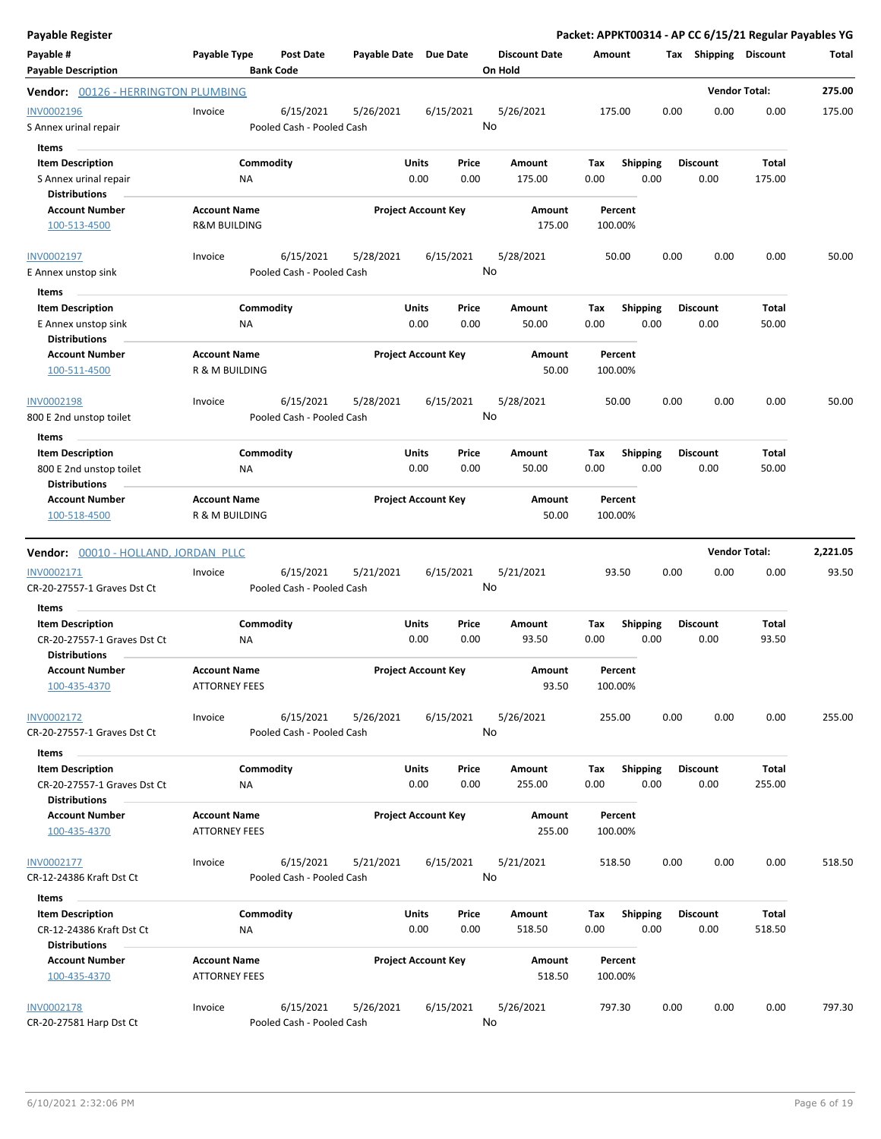| <b>Payable Register</b>                     |                                             |                                        |           |                            |                                 |      |                    |      |                       |                      | Packet: APPKT00314 - AP CC 6/15/21 Regular Payables YG |
|---------------------------------------------|---------------------------------------------|----------------------------------------|-----------|----------------------------|---------------------------------|------|--------------------|------|-----------------------|----------------------|--------------------------------------------------------|
| Payable #<br><b>Payable Description</b>     | Payable Type<br><b>Bank Code</b>            | <b>Post Date</b>                       |           | Payable Date Due Date      | <b>Discount Date</b><br>On Hold |      | Amount             |      | Tax Shipping Discount |                      | Total                                                  |
| Vendor: 00126 - HERRINGTON PLUMBING         |                                             |                                        |           |                            |                                 |      |                    |      |                       | <b>Vendor Total:</b> | 275.00                                                 |
| INV0002196                                  | Invoice                                     | 6/15/2021                              | 5/26/2021 | 6/15/2021                  | 5/26/2021                       |      | 175.00             | 0.00 | 0.00                  | 0.00                 | 175.00                                                 |
| S Annex urinal repair                       |                                             | Pooled Cash - Pooled Cash              |           |                            | No                              |      |                    |      |                       |                      |                                                        |
| Items                                       |                                             |                                        |           |                            |                                 |      |                    |      |                       |                      |                                                        |
| <b>Item Description</b>                     | Commodity                                   |                                        |           | Units<br>Price             | Amount                          | Tax  | <b>Shipping</b>    |      | <b>Discount</b>       | Total                |                                                        |
| S Annex urinal repair                       | ΝA                                          |                                        |           | 0.00<br>0.00               | 175.00                          | 0.00 | 0.00               |      | 0.00                  | 175.00               |                                                        |
| <b>Distributions</b>                        |                                             |                                        |           |                            |                                 |      |                    |      |                       |                      |                                                        |
| <b>Account Number</b>                       | <b>Account Name</b>                         |                                        |           | <b>Project Account Key</b> | Amount                          |      | Percent            |      |                       |                      |                                                        |
| 100-513-4500                                | <b>R&amp;M BUILDING</b>                     |                                        |           |                            | 175.00                          |      | 100.00%            |      |                       |                      |                                                        |
| INV0002197                                  | Invoice                                     | 6/15/2021                              | 5/28/2021 | 6/15/2021                  | 5/28/2021                       |      | 50.00              | 0.00 | 0.00                  | 0.00                 | 50.00                                                  |
| E Annex unstop sink                         |                                             | Pooled Cash - Pooled Cash              |           |                            | No                              |      |                    |      |                       |                      |                                                        |
| Items                                       |                                             |                                        |           |                            |                                 |      |                    |      |                       |                      |                                                        |
| <b>Item Description</b>                     | Commodity                                   |                                        |           | Units<br>Price             | Amount                          | Tax  | <b>Shipping</b>    |      | <b>Discount</b>       | Total                |                                                        |
| E Annex unstop sink<br><b>Distributions</b> | NA                                          |                                        |           | 0.00<br>0.00               | 50.00                           | 0.00 | 0.00               |      | 0.00                  | 50.00                |                                                        |
| <b>Account Number</b>                       | <b>Account Name</b>                         |                                        |           | <b>Project Account Key</b> | <b>Amount</b>                   |      | Percent            |      |                       |                      |                                                        |
| 100-511-4500                                | R & M BUILDING                              |                                        |           |                            | 50.00                           |      | 100.00%            |      |                       |                      |                                                        |
| <b>INV0002198</b>                           | Invoice                                     | 6/15/2021                              | 5/28/2021 | 6/15/2021                  | 5/28/2021                       |      | 50.00              | 0.00 | 0.00                  | 0.00                 | 50.00                                                  |
| 800 E 2nd unstop toilet                     |                                             | Pooled Cash - Pooled Cash              |           |                            | No                              |      |                    |      |                       |                      |                                                        |
| Items                                       |                                             |                                        |           |                            |                                 |      |                    |      |                       |                      |                                                        |
| <b>Item Description</b>                     | Commodity                                   |                                        |           | Units<br>Price             | Amount                          | Tax  | <b>Shipping</b>    |      | <b>Discount</b>       | Total                |                                                        |
| 800 E 2nd unstop toilet                     | NA                                          |                                        |           | 0.00<br>0.00               | 50.00                           | 0.00 | 0.00               |      | 0.00                  | 50.00                |                                                        |
| <b>Distributions</b>                        |                                             |                                        |           |                            |                                 |      |                    |      |                       |                      |                                                        |
| <b>Account Number</b>                       | <b>Account Name</b>                         |                                        |           | <b>Project Account Key</b> | Amount                          |      | Percent            |      |                       |                      |                                                        |
| 100-518-4500                                | R & M BUILDING                              |                                        |           |                            | 50.00                           |      | 100.00%            |      |                       |                      |                                                        |
| Vendor: 00010 - HOLLAND, JORDAN PLLC        |                                             |                                        |           |                            |                                 |      |                    |      |                       | <b>Vendor Total:</b> | 2,221.05                                               |
| INV0002171                                  | Invoice                                     | 6/15/2021                              | 5/21/2021 | 6/15/2021                  | 5/21/2021                       |      | 93.50              | 0.00 | 0.00                  | 0.00                 | 93.50                                                  |
| CR-20-27557-1 Graves Dst Ct                 |                                             | Pooled Cash - Pooled Cash              |           |                            | No                              |      |                    |      |                       |                      |                                                        |
| Items                                       |                                             |                                        |           |                            |                                 |      |                    |      |                       |                      |                                                        |
| <b>Item Description</b>                     | Commodity                                   |                                        |           | Units<br>Price             | Amount                          | Tax  | <b>Shipping</b>    |      | <b>Discount</b>       | Total                |                                                        |
| CR-20-27557-1 Graves Dst Ct                 | ΝA                                          |                                        |           | 0.00<br>0.00               | 93.50                           | 0.00 | 0.00               |      | 0.00                  | 93.50                |                                                        |
| <b>Distributions</b>                        |                                             |                                        |           |                            |                                 |      |                    |      |                       |                      |                                                        |
| <b>Account Number</b><br>100-435-4370       | <b>Account Name</b><br><b>ATTORNEY FEES</b> |                                        |           | <b>Project Account Key</b> | Amount<br>93.50                 |      | Percent<br>100.00% |      |                       |                      |                                                        |
| INV0002172<br>CR-20-27557-1 Graves Dst Ct   | Invoice                                     | 6/15/2021<br>Pooled Cash - Pooled Cash | 5/26/2021 | 6/15/2021                  | 5/26/2021<br>No                 |      | 255.00             | 0.00 | 0.00                  | 0.00                 | 255.00                                                 |
| Items                                       |                                             |                                        |           |                            |                                 |      |                    |      |                       |                      |                                                        |
| <b>Item Description</b>                     | Commodity                                   |                                        |           | <b>Units</b><br>Price      | Amount                          | Tax  | Shipping           |      | <b>Discount</b>       | Total                |                                                        |
| CR-20-27557-1 Graves Dst Ct                 | <b>NA</b>                                   |                                        |           | 0.00<br>0.00               | 255.00                          | 0.00 | 0.00               |      | 0.00                  | 255.00               |                                                        |
| <b>Distributions</b>                        |                                             |                                        |           |                            |                                 |      |                    |      |                       |                      |                                                        |
| <b>Account Number</b><br>100-435-4370       | <b>Account Name</b><br><b>ATTORNEY FEES</b> |                                        |           | <b>Project Account Key</b> | Amount<br>255.00                |      | Percent<br>100.00% |      |                       |                      |                                                        |
|                                             |                                             |                                        |           |                            |                                 |      |                    |      |                       |                      |                                                        |
| INV0002177                                  | Invoice                                     | 6/15/2021                              | 5/21/2021 | 6/15/2021                  | 5/21/2021                       |      | 518.50             | 0.00 | 0.00                  | 0.00                 | 518.50                                                 |
| CR-12-24386 Kraft Dst Ct                    |                                             | Pooled Cash - Pooled Cash              |           |                            | No                              |      |                    |      |                       |                      |                                                        |
| Items                                       |                                             |                                        |           |                            |                                 |      |                    |      |                       |                      |                                                        |
| <b>Item Description</b>                     | Commodity                                   |                                        |           | Units<br>Price             | Amount                          | Tax  | <b>Shipping</b>    |      | <b>Discount</b>       | Total                |                                                        |
| CR-12-24386 Kraft Dst Ct                    | ΝA                                          |                                        |           | 0.00<br>0.00               | 518.50                          | 0.00 | 0.00               |      | 0.00                  | 518.50               |                                                        |
| <b>Distributions</b>                        |                                             |                                        |           |                            |                                 |      |                    |      |                       |                      |                                                        |
| <b>Account Number</b><br>100-435-4370       | <b>Account Name</b><br><b>ATTORNEY FEES</b> |                                        |           | <b>Project Account Key</b> | Amount<br>518.50                |      | Percent<br>100.00% |      |                       |                      |                                                        |
| <b>INV0002178</b>                           | Invoice<br>Pooled Cash - Pooled Cash        | 6/15/2021                              | 5/26/2021 | 6/15/2021                  | 5/26/2021<br>No                 |      | 797.30             | 0.00 | 0.00                  | 0.00                 | 797.30                                                 |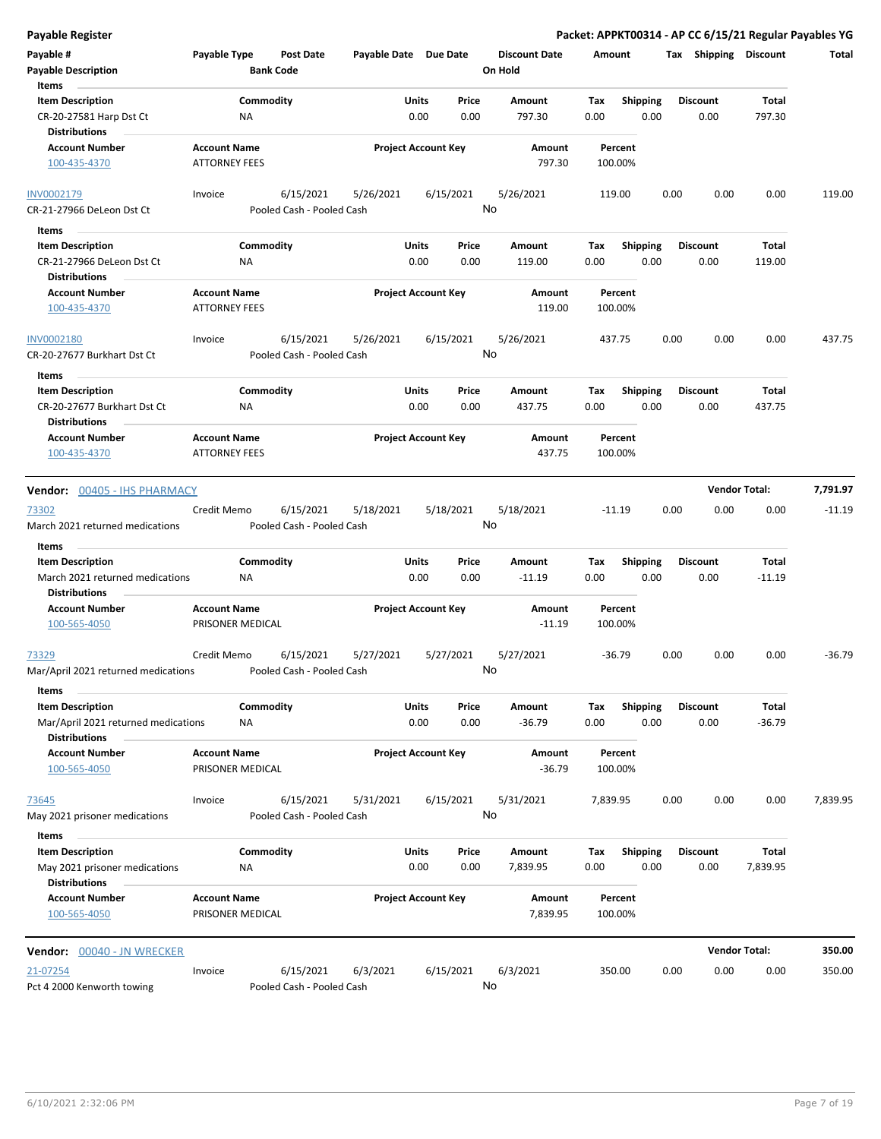| <b>Payable Register</b>                                     |                                             |                           |                            |              |           |                      |          |                    |      |                       |                      | Packet: APPKT00314 - AP CC 6/15/21 Regular Payables YG |
|-------------------------------------------------------------|---------------------------------------------|---------------------------|----------------------------|--------------|-----------|----------------------|----------|--------------------|------|-----------------------|----------------------|--------------------------------------------------------|
| Payable #                                                   | Payable Type                                | <b>Post Date</b>          | Payable Date Due Date      |              |           | <b>Discount Date</b> | Amount   |                    |      | Tax Shipping Discount |                      | Total                                                  |
| <b>Payable Description</b>                                  |                                             | <b>Bank Code</b>          |                            |              |           | On Hold              |          |                    |      |                       |                      |                                                        |
| Items                                                       |                                             |                           |                            |              |           |                      |          |                    |      |                       |                      |                                                        |
| <b>Item Description</b>                                     |                                             | Commodity                 |                            | Units        | Price     | Amount               | Tax      | Shipping           |      | <b>Discount</b>       | Total                |                                                        |
| CR-20-27581 Harp Dst Ct<br><b>Distributions</b>             | ΝA                                          |                           |                            | 0.00         | 0.00      | 797.30               | 0.00     | 0.00               |      | 0.00                  | 797.30               |                                                        |
| <b>Account Number</b>                                       | <b>Account Name</b>                         |                           | <b>Project Account Key</b> |              |           | Amount               |          | Percent            |      |                       |                      |                                                        |
| 100-435-4370                                                | <b>ATTORNEY FEES</b>                        |                           |                            |              |           | 797.30               |          | 100.00%            |      |                       |                      |                                                        |
| INV0002179                                                  | Invoice                                     | 6/15/2021                 | 5/26/2021                  |              | 6/15/2021 | 5/26/2021            |          | 119.00             | 0.00 | 0.00                  | 0.00                 | 119.00                                                 |
| CR-21-27966 DeLeon Dst Ct                                   |                                             | Pooled Cash - Pooled Cash |                            |              | No        |                      |          |                    |      |                       |                      |                                                        |
| Items                                                       |                                             |                           |                            |              |           |                      |          |                    |      |                       |                      |                                                        |
| <b>Item Description</b>                                     |                                             | Commodity                 |                            | <b>Units</b> | Price     | Amount               | Tax      | <b>Shipping</b>    |      | <b>Discount</b>       | Total                |                                                        |
| CR-21-27966 DeLeon Dst Ct                                   | ΝA                                          |                           |                            | 0.00         | 0.00      | 119.00               | 0.00     | 0.00               |      | 0.00                  | 119.00               |                                                        |
| <b>Distributions</b>                                        |                                             |                           |                            |              |           |                      |          |                    |      |                       |                      |                                                        |
| <b>Account Number</b><br>100-435-4370                       | <b>Account Name</b><br><b>ATTORNEY FEES</b> |                           | <b>Project Account Key</b> |              |           | Amount<br>119.00     |          | Percent<br>100.00% |      |                       |                      |                                                        |
| INV0002180                                                  | Invoice                                     | 6/15/2021                 | 5/26/2021                  |              | 6/15/2021 | 5/26/2021            |          | 437.75             | 0.00 | 0.00                  | 0.00                 | 437.75                                                 |
| CR-20-27677 Burkhart Dst Ct                                 |                                             | Pooled Cash - Pooled Cash |                            |              | No        |                      |          |                    |      |                       |                      |                                                        |
| Items                                                       |                                             |                           |                            |              |           |                      |          |                    |      |                       |                      |                                                        |
| <b>Item Description</b>                                     |                                             | Commodity                 |                            | Units        | Price     | Amount               | Tax      | <b>Shipping</b>    |      | <b>Discount</b>       | Total                |                                                        |
| CR-20-27677 Burkhart Dst Ct                                 | NA                                          |                           |                            | 0.00         | 0.00      | 437.75               | 0.00     | 0.00               |      | 0.00                  | 437.75               |                                                        |
| <b>Distributions</b>                                        |                                             |                           |                            |              |           |                      |          |                    |      |                       |                      |                                                        |
| <b>Account Number</b>                                       | <b>Account Name</b>                         |                           | <b>Project Account Key</b> |              |           | <b>Amount</b>        |          | Percent            |      |                       |                      |                                                        |
| 100-435-4370                                                | <b>ATTORNEY FEES</b>                        |                           |                            |              |           | 437.75               |          | 100.00%            |      |                       |                      |                                                        |
|                                                             |                                             |                           |                            |              |           |                      |          |                    |      |                       | <b>Vendor Total:</b> | 7,791.97                                               |
| Vendor: 00405 - IHS PHARMACY                                |                                             |                           |                            |              |           |                      |          |                    |      |                       |                      |                                                        |
| 73302                                                       | Credit Memo                                 | 6/15/2021                 | 5/18/2021                  |              | 5/18/2021 | 5/18/2021            |          | $-11.19$           | 0.00 | 0.00                  | 0.00                 | $-11.19$                                               |
| March 2021 returned medications                             |                                             | Pooled Cash - Pooled Cash |                            |              | No        |                      |          |                    |      |                       |                      |                                                        |
| Items                                                       |                                             |                           |                            |              |           |                      |          |                    |      |                       |                      |                                                        |
| <b>Item Description</b>                                     |                                             | Commodity                 |                            | Units        | Price     | Amount               | Tax      | <b>Shipping</b>    |      | <b>Discount</b>       | Total                |                                                        |
| March 2021 returned medications                             | <b>NA</b>                                   |                           |                            | 0.00         | 0.00      | $-11.19$             | 0.00     | 0.00               |      | 0.00                  | $-11.19$             |                                                        |
| <b>Distributions</b>                                        |                                             |                           |                            |              |           |                      |          |                    |      |                       |                      |                                                        |
| <b>Account Number</b>                                       | <b>Account Name</b>                         |                           | <b>Project Account Key</b> |              |           | Amount               |          | Percent            |      |                       |                      |                                                        |
| 100-565-4050                                                | PRISONER MEDICAL                            |                           |                            |              |           | $-11.19$             |          | 100.00%            |      |                       |                      |                                                        |
| 73329                                                       | Credit Memo                                 | 6/15/2021                 | 5/27/2021                  |              | 5/27/2021 | 5/27/2021            |          | $-36.79$           | 0.00 | 0.00                  | 0.00                 | $-36.79$                                               |
| Mar/April 2021 returned medications                         |                                             | Pooled Cash - Pooled Cash |                            |              |           | No                   |          |                    |      |                       |                      |                                                        |
| Items<br><b>Item Description</b>                            |                                             | Commodity                 |                            | Units        | Price     | Amount               | Tax      | <b>Shipping</b>    |      | <b>Discount</b>       | Total                |                                                        |
| Mar/April 2021 returned medications<br><b>Distributions</b> | ΝA                                          |                           |                            | 0.00         | 0.00      | $-36.79$             | 0.00     | 0.00               |      | 0.00                  | $-36.79$             |                                                        |
| <b>Account Number</b>                                       | <b>Account Name</b>                         |                           | <b>Project Account Key</b> |              |           | Amount               |          | Percent            |      |                       |                      |                                                        |
| 100-565-4050                                                | PRISONER MEDICAL                            |                           |                            |              |           | $-36.79$             |          | 100.00%            |      |                       |                      |                                                        |
| 73645                                                       | Invoice                                     | 6/15/2021                 | 5/31/2021                  |              | 6/15/2021 | 5/31/2021            | 7,839.95 |                    | 0.00 | 0.00                  | 0.00                 | 7,839.95                                               |
| May 2021 prisoner medications                               |                                             | Pooled Cash - Pooled Cash |                            |              | No        |                      |          |                    |      |                       |                      |                                                        |
| Items                                                       |                                             |                           |                            |              |           |                      |          |                    |      |                       |                      |                                                        |
| <b>Item Description</b>                                     |                                             | Commodity                 |                            | <b>Units</b> | Price     | Amount               | Tax      | Shipping           |      | <b>Discount</b>       | Total                |                                                        |
| May 2021 prisoner medications<br><b>Distributions</b>       | ΝA                                          |                           |                            | 0.00         | 0.00      | 7,839.95             | 0.00     | 0.00               |      | 0.00                  | 7,839.95             |                                                        |
| <b>Account Number</b><br>100-565-4050                       | <b>Account Name</b><br>PRISONER MEDICAL     |                           | <b>Project Account Key</b> |              |           | Amount<br>7,839.95   |          | Percent<br>100.00% |      |                       |                      |                                                        |
|                                                             |                                             |                           |                            |              |           |                      |          |                    |      |                       |                      |                                                        |
| Vendor: 00040 - JN WRECKER                                  |                                             |                           |                            |              |           |                      |          |                    |      |                       | <b>Vendor Total:</b> | 350.00                                                 |
| 21-07254                                                    | Invoice                                     | 6/15/2021                 | 6/3/2021                   |              | 6/15/2021 | 6/3/2021             |          | 350.00             | 0.00 | 0.00                  | 0.00                 | 350.00                                                 |
| Pct 4 2000 Kenworth towing                                  |                                             | Pooled Cash - Pooled Cash |                            |              | No        |                      |          |                    |      |                       |                      |                                                        |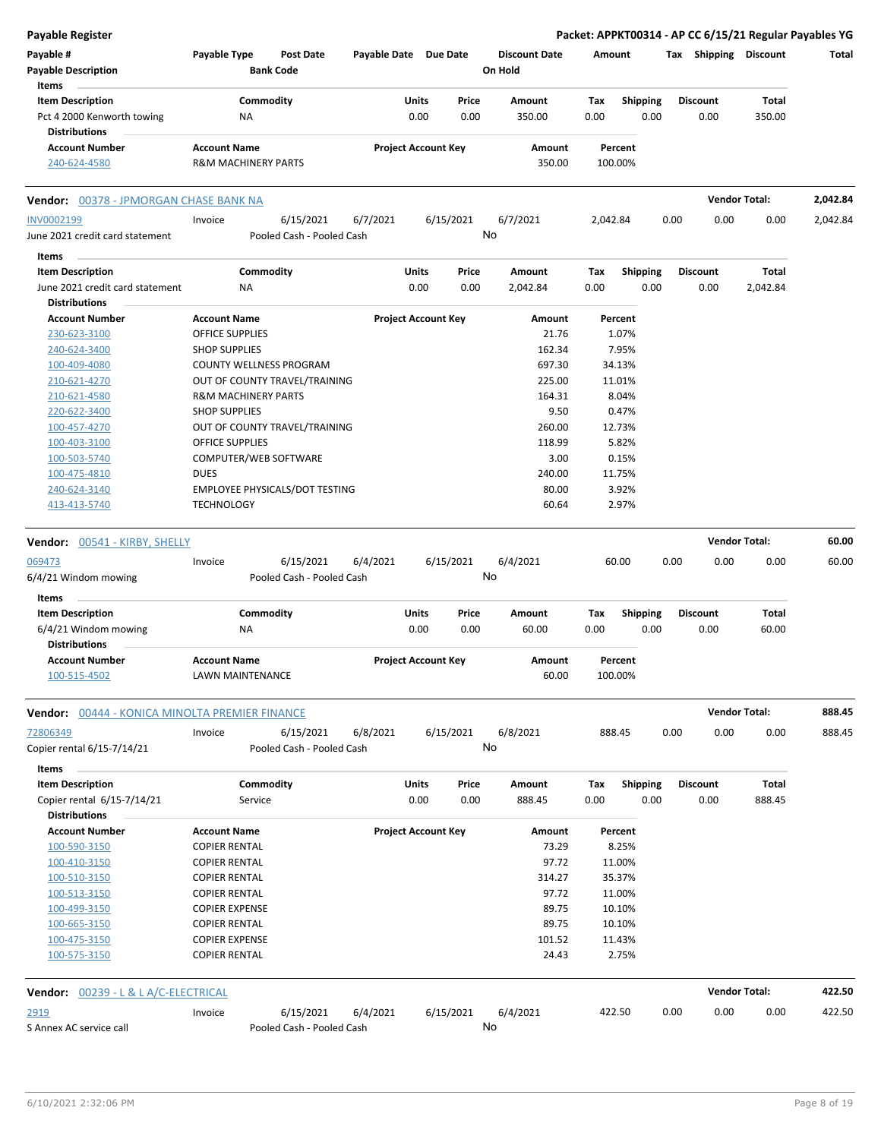| Payable Type<br><b>Post Date</b><br>Payable Date Due Date<br><b>Discount Date</b><br>Tax Shipping Discount<br>Amount<br>Total<br><b>Payable Description</b><br><b>Bank Code</b><br>On Hold<br>Items<br><b>Item Description</b><br>Commodity<br>Price<br><b>Total</b><br>Units<br>Amount<br>Tax<br><b>Shipping</b><br><b>Discount</b><br>0.00<br>0.00<br>350.00<br>0.00<br>0.00<br>0.00<br>350.00<br>Pct 4 2000 Kenworth towing<br>ΝA<br><b>Distributions</b><br><b>Account Name</b><br><b>Project Account Key</b><br><b>Account Number</b><br>Amount<br>Percent<br>240-624-4580<br><b>R&amp;M MACHINERY PARTS</b><br>350.00<br>100.00%<br><b>Vendor Total:</b><br>2,042.84<br><b>Vendor: 00378 - JPMORGAN CHASE BANK NA</b><br>6/15/2021<br>6/7/2021<br>6/15/2021<br>6/7/2021<br>0.00<br>0.00<br>2,042.84<br>Invoice<br>2,042.84<br>0.00<br>No<br>Pooled Cash - Pooled Cash<br>Items<br>Commodity<br><b>Item Description</b><br>Units<br>Price<br>Amount<br>Tax<br><b>Shipping</b><br><b>Discount</b><br>Total<br>June 2021 credit card statement<br>NA<br>0.00<br>0.00<br>2,042.84<br>0.00<br>0.00<br>0.00<br>2,042.84<br><b>Distributions</b><br><b>Project Account Key</b><br><b>Account Number</b><br><b>Account Name</b><br>Amount<br>Percent<br>21.76<br>1.07%<br>230-623-3100<br><b>OFFICE SUPPLIES</b><br>162.34<br>7.95%<br>240-624-3400<br><b>SHOP SUPPLIES</b><br>697.30<br>34.13%<br>100-409-4080<br>COUNTY WELLNESS PROGRAM<br>OUT OF COUNTY TRAVEL/TRAINING<br>225.00<br>11.01%<br>210-621-4270<br>164.31<br>8.04%<br>210-621-4580<br><b>R&amp;M MACHINERY PARTS</b><br><b>SHOP SUPPLIES</b><br>9.50<br>0.47%<br>220-622-3400<br>OUT OF COUNTY TRAVEL/TRAINING<br>260.00<br>12.73%<br>100-457-4270<br><b>OFFICE SUPPLIES</b><br>118.99<br>5.82%<br>100-403-3100<br>COMPUTER/WEB SOFTWARE<br>3.00<br>0.15%<br>100-503-5740<br><b>DUES</b><br>240.00<br>11.75%<br>100-475-4810<br>EMPLOYEE PHYSICALS/DOT TESTING<br>80.00<br>3.92%<br>240-624-3140<br>60.64<br>2.97%<br>413-413-5740<br><b>TECHNOLOGY</b><br><b>Vendor Total:</b><br>60.00<br>Vendor: 00541 - KIRBY, SHELLY<br>6/15/2021<br>6/4/2021<br>6/15/2021<br>6/4/2021<br>60.00<br>0.00<br>0.00<br>0.00<br>60.00<br>Invoice<br>No<br>Pooled Cash - Pooled Cash<br>Items<br><b>Item Description</b><br>Commodity<br>Units<br>Price<br>Tax<br><b>Total</b><br>Amount<br><b>Shipping</b><br><b>Discount</b><br>0.00<br>0.00<br>0.00<br>60.00<br>0.00<br>0.00<br>60.00<br>6/4/21 Windom mowing<br>ΝA<br><b>Distributions</b><br><b>Project Account Key</b><br><b>Account Number</b><br><b>Account Name</b><br>Amount<br>Percent<br>60.00<br>100.00%<br>100-515-4502<br>LAWN MAINTENANCE<br><b>Vendor Total:</b><br>888.45<br>Vendor: 00444 - KONICA MINOLTA PREMIER FINANCE<br>6/15/2021<br>6/8/2021<br>888.45<br>0.00<br>0.00<br>0.00<br>888.45<br>6/15/2021<br>6/8/2021<br>Invoice<br>No<br>Copier rental 6/15-7/14/21<br>Pooled Cash - Pooled Cash<br>Items<br><b>Item Description</b><br>Commodity<br>Units<br><b>Shipping</b><br><b>Discount</b><br>Total<br>Price<br>Amount<br>Tax<br>0.00<br>0.00<br>0.00<br>0.00<br>0.00<br>888.45<br>Copier rental 6/15-7/14/21<br>Service<br>888.45<br><b>Distributions</b><br><b>Account Number</b><br><b>Account Name</b><br><b>Project Account Key</b><br>Amount<br>Percent<br>100-590-3150<br><b>COPIER RENTAL</b><br>73.29<br>8.25%<br>97.72<br>11.00%<br>100-410-3150<br><b>COPIER RENTAL</b><br>314.27<br>35.37%<br>100-510-3150<br><b>COPIER RENTAL</b><br>97.72<br>11.00%<br>100-513-3150<br><b>COPIER RENTAL</b><br><b>COPIER EXPENSE</b><br>89.75<br>10.10%<br>100-499-3150<br>89.75<br><b>COPIER RENTAL</b><br>10.10%<br>100-665-3150<br><b>COPIER EXPENSE</b><br>101.52<br>11.43%<br>100-475-3150<br>2.75%<br><b>COPIER RENTAL</b><br>24.43<br>100-575-3150<br><b>Vendor Total:</b><br>422.50<br><b>Vendor: 00239 - L &amp; L A/C-ELECTRICAL</b><br>6/4/2021<br>6/15/2021<br>6/4/2021<br>6/15/2021<br>422.50<br>0.00<br>0.00<br>0.00<br>422.50<br>Invoice<br>No<br>Pooled Cash - Pooled Cash | Payable Register                |  |  |  |  |  | Packet: APPKT00314 - AP CC 6/15/21 Regular Payables YG |  |
|--------------------------------------------------------------------------------------------------------------------------------------------------------------------------------------------------------------------------------------------------------------------------------------------------------------------------------------------------------------------------------------------------------------------------------------------------------------------------------------------------------------------------------------------------------------------------------------------------------------------------------------------------------------------------------------------------------------------------------------------------------------------------------------------------------------------------------------------------------------------------------------------------------------------------------------------------------------------------------------------------------------------------------------------------------------------------------------------------------------------------------------------------------------------------------------------------------------------------------------------------------------------------------------------------------------------------------------------------------------------------------------------------------------------------------------------------------------------------------------------------------------------------------------------------------------------------------------------------------------------------------------------------------------------------------------------------------------------------------------------------------------------------------------------------------------------------------------------------------------------------------------------------------------------------------------------------------------------------------------------------------------------------------------------------------------------------------------------------------------------------------------------------------------------------------------------------------------------------------------------------------------------------------------------------------------------------------------------------------------------------------------------------------------------------------------------------------------------------------------------------------------------------------------------------------------------------------------------------------------------------------------------------------------------------------------------------------------------------------------------------------------------------------------------------------------------------------------------------------------------------------------------------------------------------------------------------------------------------------------------------------------------------------------------------------------------------------------------------------------------------------------------------------------------------------------------------------------------------------------------------------------------------------------------------------------------------------------------------------------------------------------------------------------------------------------------------------------------------------------------------------------------------------------------------------------------------------------------------------------------------------------------------------------------------------------------------------------------------------------------------------------------------------------------------------------------------------------------------------------------------------------------------------------------------------------------------------------------------------------------------------------------|---------------------------------|--|--|--|--|--|--------------------------------------------------------|--|
|                                                                                                                                                                                                                                                                                                                                                                                                                                                                                                                                                                                                                                                                                                                                                                                                                                                                                                                                                                                                                                                                                                                                                                                                                                                                                                                                                                                                                                                                                                                                                                                                                                                                                                                                                                                                                                                                                                                                                                                                                                                                                                                                                                                                                                                                                                                                                                                                                                                                                                                                                                                                                                                                                                                                                                                                                                                                                                                                                                                                                                                                                                                                                                                                                                                                                                                                                                                                                                                                                                                                                                                                                                                                                                                                                                                                                                                                                                                                                                                                                    | Payable #                       |  |  |  |  |  |                                                        |  |
|                                                                                                                                                                                                                                                                                                                                                                                                                                                                                                                                                                                                                                                                                                                                                                                                                                                                                                                                                                                                                                                                                                                                                                                                                                                                                                                                                                                                                                                                                                                                                                                                                                                                                                                                                                                                                                                                                                                                                                                                                                                                                                                                                                                                                                                                                                                                                                                                                                                                                                                                                                                                                                                                                                                                                                                                                                                                                                                                                                                                                                                                                                                                                                                                                                                                                                                                                                                                                                                                                                                                                                                                                                                                                                                                                                                                                                                                                                                                                                                                                    |                                 |  |  |  |  |  |                                                        |  |
|                                                                                                                                                                                                                                                                                                                                                                                                                                                                                                                                                                                                                                                                                                                                                                                                                                                                                                                                                                                                                                                                                                                                                                                                                                                                                                                                                                                                                                                                                                                                                                                                                                                                                                                                                                                                                                                                                                                                                                                                                                                                                                                                                                                                                                                                                                                                                                                                                                                                                                                                                                                                                                                                                                                                                                                                                                                                                                                                                                                                                                                                                                                                                                                                                                                                                                                                                                                                                                                                                                                                                                                                                                                                                                                                                                                                                                                                                                                                                                                                                    |                                 |  |  |  |  |  |                                                        |  |
|                                                                                                                                                                                                                                                                                                                                                                                                                                                                                                                                                                                                                                                                                                                                                                                                                                                                                                                                                                                                                                                                                                                                                                                                                                                                                                                                                                                                                                                                                                                                                                                                                                                                                                                                                                                                                                                                                                                                                                                                                                                                                                                                                                                                                                                                                                                                                                                                                                                                                                                                                                                                                                                                                                                                                                                                                                                                                                                                                                                                                                                                                                                                                                                                                                                                                                                                                                                                                                                                                                                                                                                                                                                                                                                                                                                                                                                                                                                                                                                                                    |                                 |  |  |  |  |  |                                                        |  |
|                                                                                                                                                                                                                                                                                                                                                                                                                                                                                                                                                                                                                                                                                                                                                                                                                                                                                                                                                                                                                                                                                                                                                                                                                                                                                                                                                                                                                                                                                                                                                                                                                                                                                                                                                                                                                                                                                                                                                                                                                                                                                                                                                                                                                                                                                                                                                                                                                                                                                                                                                                                                                                                                                                                                                                                                                                                                                                                                                                                                                                                                                                                                                                                                                                                                                                                                                                                                                                                                                                                                                                                                                                                                                                                                                                                                                                                                                                                                                                                                                    |                                 |  |  |  |  |  |                                                        |  |
|                                                                                                                                                                                                                                                                                                                                                                                                                                                                                                                                                                                                                                                                                                                                                                                                                                                                                                                                                                                                                                                                                                                                                                                                                                                                                                                                                                                                                                                                                                                                                                                                                                                                                                                                                                                                                                                                                                                                                                                                                                                                                                                                                                                                                                                                                                                                                                                                                                                                                                                                                                                                                                                                                                                                                                                                                                                                                                                                                                                                                                                                                                                                                                                                                                                                                                                                                                                                                                                                                                                                                                                                                                                                                                                                                                                                                                                                                                                                                                                                                    |                                 |  |  |  |  |  |                                                        |  |
|                                                                                                                                                                                                                                                                                                                                                                                                                                                                                                                                                                                                                                                                                                                                                                                                                                                                                                                                                                                                                                                                                                                                                                                                                                                                                                                                                                                                                                                                                                                                                                                                                                                                                                                                                                                                                                                                                                                                                                                                                                                                                                                                                                                                                                                                                                                                                                                                                                                                                                                                                                                                                                                                                                                                                                                                                                                                                                                                                                                                                                                                                                                                                                                                                                                                                                                                                                                                                                                                                                                                                                                                                                                                                                                                                                                                                                                                                                                                                                                                                    |                                 |  |  |  |  |  |                                                        |  |
|                                                                                                                                                                                                                                                                                                                                                                                                                                                                                                                                                                                                                                                                                                                                                                                                                                                                                                                                                                                                                                                                                                                                                                                                                                                                                                                                                                                                                                                                                                                                                                                                                                                                                                                                                                                                                                                                                                                                                                                                                                                                                                                                                                                                                                                                                                                                                                                                                                                                                                                                                                                                                                                                                                                                                                                                                                                                                                                                                                                                                                                                                                                                                                                                                                                                                                                                                                                                                                                                                                                                                                                                                                                                                                                                                                                                                                                                                                                                                                                                                    |                                 |  |  |  |  |  |                                                        |  |
|                                                                                                                                                                                                                                                                                                                                                                                                                                                                                                                                                                                                                                                                                                                                                                                                                                                                                                                                                                                                                                                                                                                                                                                                                                                                                                                                                                                                                                                                                                                                                                                                                                                                                                                                                                                                                                                                                                                                                                                                                                                                                                                                                                                                                                                                                                                                                                                                                                                                                                                                                                                                                                                                                                                                                                                                                                                                                                                                                                                                                                                                                                                                                                                                                                                                                                                                                                                                                                                                                                                                                                                                                                                                                                                                                                                                                                                                                                                                                                                                                    |                                 |  |  |  |  |  |                                                        |  |
|                                                                                                                                                                                                                                                                                                                                                                                                                                                                                                                                                                                                                                                                                                                                                                                                                                                                                                                                                                                                                                                                                                                                                                                                                                                                                                                                                                                                                                                                                                                                                                                                                                                                                                                                                                                                                                                                                                                                                                                                                                                                                                                                                                                                                                                                                                                                                                                                                                                                                                                                                                                                                                                                                                                                                                                                                                                                                                                                                                                                                                                                                                                                                                                                                                                                                                                                                                                                                                                                                                                                                                                                                                                                                                                                                                                                                                                                                                                                                                                                                    | INV0002199                      |  |  |  |  |  |                                                        |  |
|                                                                                                                                                                                                                                                                                                                                                                                                                                                                                                                                                                                                                                                                                                                                                                                                                                                                                                                                                                                                                                                                                                                                                                                                                                                                                                                                                                                                                                                                                                                                                                                                                                                                                                                                                                                                                                                                                                                                                                                                                                                                                                                                                                                                                                                                                                                                                                                                                                                                                                                                                                                                                                                                                                                                                                                                                                                                                                                                                                                                                                                                                                                                                                                                                                                                                                                                                                                                                                                                                                                                                                                                                                                                                                                                                                                                                                                                                                                                                                                                                    | June 2021 credit card statement |  |  |  |  |  |                                                        |  |
|                                                                                                                                                                                                                                                                                                                                                                                                                                                                                                                                                                                                                                                                                                                                                                                                                                                                                                                                                                                                                                                                                                                                                                                                                                                                                                                                                                                                                                                                                                                                                                                                                                                                                                                                                                                                                                                                                                                                                                                                                                                                                                                                                                                                                                                                                                                                                                                                                                                                                                                                                                                                                                                                                                                                                                                                                                                                                                                                                                                                                                                                                                                                                                                                                                                                                                                                                                                                                                                                                                                                                                                                                                                                                                                                                                                                                                                                                                                                                                                                                    |                                 |  |  |  |  |  |                                                        |  |
|                                                                                                                                                                                                                                                                                                                                                                                                                                                                                                                                                                                                                                                                                                                                                                                                                                                                                                                                                                                                                                                                                                                                                                                                                                                                                                                                                                                                                                                                                                                                                                                                                                                                                                                                                                                                                                                                                                                                                                                                                                                                                                                                                                                                                                                                                                                                                                                                                                                                                                                                                                                                                                                                                                                                                                                                                                                                                                                                                                                                                                                                                                                                                                                                                                                                                                                                                                                                                                                                                                                                                                                                                                                                                                                                                                                                                                                                                                                                                                                                                    |                                 |  |  |  |  |  |                                                        |  |
|                                                                                                                                                                                                                                                                                                                                                                                                                                                                                                                                                                                                                                                                                                                                                                                                                                                                                                                                                                                                                                                                                                                                                                                                                                                                                                                                                                                                                                                                                                                                                                                                                                                                                                                                                                                                                                                                                                                                                                                                                                                                                                                                                                                                                                                                                                                                                                                                                                                                                                                                                                                                                                                                                                                                                                                                                                                                                                                                                                                                                                                                                                                                                                                                                                                                                                                                                                                                                                                                                                                                                                                                                                                                                                                                                                                                                                                                                                                                                                                                                    |                                 |  |  |  |  |  |                                                        |  |
|                                                                                                                                                                                                                                                                                                                                                                                                                                                                                                                                                                                                                                                                                                                                                                                                                                                                                                                                                                                                                                                                                                                                                                                                                                                                                                                                                                                                                                                                                                                                                                                                                                                                                                                                                                                                                                                                                                                                                                                                                                                                                                                                                                                                                                                                                                                                                                                                                                                                                                                                                                                                                                                                                                                                                                                                                                                                                                                                                                                                                                                                                                                                                                                                                                                                                                                                                                                                                                                                                                                                                                                                                                                                                                                                                                                                                                                                                                                                                                                                                    |                                 |  |  |  |  |  |                                                        |  |
|                                                                                                                                                                                                                                                                                                                                                                                                                                                                                                                                                                                                                                                                                                                                                                                                                                                                                                                                                                                                                                                                                                                                                                                                                                                                                                                                                                                                                                                                                                                                                                                                                                                                                                                                                                                                                                                                                                                                                                                                                                                                                                                                                                                                                                                                                                                                                                                                                                                                                                                                                                                                                                                                                                                                                                                                                                                                                                                                                                                                                                                                                                                                                                                                                                                                                                                                                                                                                                                                                                                                                                                                                                                                                                                                                                                                                                                                                                                                                                                                                    |                                 |  |  |  |  |  |                                                        |  |
|                                                                                                                                                                                                                                                                                                                                                                                                                                                                                                                                                                                                                                                                                                                                                                                                                                                                                                                                                                                                                                                                                                                                                                                                                                                                                                                                                                                                                                                                                                                                                                                                                                                                                                                                                                                                                                                                                                                                                                                                                                                                                                                                                                                                                                                                                                                                                                                                                                                                                                                                                                                                                                                                                                                                                                                                                                                                                                                                                                                                                                                                                                                                                                                                                                                                                                                                                                                                                                                                                                                                                                                                                                                                                                                                                                                                                                                                                                                                                                                                                    |                                 |  |  |  |  |  |                                                        |  |
|                                                                                                                                                                                                                                                                                                                                                                                                                                                                                                                                                                                                                                                                                                                                                                                                                                                                                                                                                                                                                                                                                                                                                                                                                                                                                                                                                                                                                                                                                                                                                                                                                                                                                                                                                                                                                                                                                                                                                                                                                                                                                                                                                                                                                                                                                                                                                                                                                                                                                                                                                                                                                                                                                                                                                                                                                                                                                                                                                                                                                                                                                                                                                                                                                                                                                                                                                                                                                                                                                                                                                                                                                                                                                                                                                                                                                                                                                                                                                                                                                    |                                 |  |  |  |  |  |                                                        |  |
|                                                                                                                                                                                                                                                                                                                                                                                                                                                                                                                                                                                                                                                                                                                                                                                                                                                                                                                                                                                                                                                                                                                                                                                                                                                                                                                                                                                                                                                                                                                                                                                                                                                                                                                                                                                                                                                                                                                                                                                                                                                                                                                                                                                                                                                                                                                                                                                                                                                                                                                                                                                                                                                                                                                                                                                                                                                                                                                                                                                                                                                                                                                                                                                                                                                                                                                                                                                                                                                                                                                                                                                                                                                                                                                                                                                                                                                                                                                                                                                                                    |                                 |  |  |  |  |  |                                                        |  |
|                                                                                                                                                                                                                                                                                                                                                                                                                                                                                                                                                                                                                                                                                                                                                                                                                                                                                                                                                                                                                                                                                                                                                                                                                                                                                                                                                                                                                                                                                                                                                                                                                                                                                                                                                                                                                                                                                                                                                                                                                                                                                                                                                                                                                                                                                                                                                                                                                                                                                                                                                                                                                                                                                                                                                                                                                                                                                                                                                                                                                                                                                                                                                                                                                                                                                                                                                                                                                                                                                                                                                                                                                                                                                                                                                                                                                                                                                                                                                                                                                    |                                 |  |  |  |  |  |                                                        |  |
|                                                                                                                                                                                                                                                                                                                                                                                                                                                                                                                                                                                                                                                                                                                                                                                                                                                                                                                                                                                                                                                                                                                                                                                                                                                                                                                                                                                                                                                                                                                                                                                                                                                                                                                                                                                                                                                                                                                                                                                                                                                                                                                                                                                                                                                                                                                                                                                                                                                                                                                                                                                                                                                                                                                                                                                                                                                                                                                                                                                                                                                                                                                                                                                                                                                                                                                                                                                                                                                                                                                                                                                                                                                                                                                                                                                                                                                                                                                                                                                                                    |                                 |  |  |  |  |  |                                                        |  |
|                                                                                                                                                                                                                                                                                                                                                                                                                                                                                                                                                                                                                                                                                                                                                                                                                                                                                                                                                                                                                                                                                                                                                                                                                                                                                                                                                                                                                                                                                                                                                                                                                                                                                                                                                                                                                                                                                                                                                                                                                                                                                                                                                                                                                                                                                                                                                                                                                                                                                                                                                                                                                                                                                                                                                                                                                                                                                                                                                                                                                                                                                                                                                                                                                                                                                                                                                                                                                                                                                                                                                                                                                                                                                                                                                                                                                                                                                                                                                                                                                    |                                 |  |  |  |  |  |                                                        |  |
|                                                                                                                                                                                                                                                                                                                                                                                                                                                                                                                                                                                                                                                                                                                                                                                                                                                                                                                                                                                                                                                                                                                                                                                                                                                                                                                                                                                                                                                                                                                                                                                                                                                                                                                                                                                                                                                                                                                                                                                                                                                                                                                                                                                                                                                                                                                                                                                                                                                                                                                                                                                                                                                                                                                                                                                                                                                                                                                                                                                                                                                                                                                                                                                                                                                                                                                                                                                                                                                                                                                                                                                                                                                                                                                                                                                                                                                                                                                                                                                                                    |                                 |  |  |  |  |  |                                                        |  |
|                                                                                                                                                                                                                                                                                                                                                                                                                                                                                                                                                                                                                                                                                                                                                                                                                                                                                                                                                                                                                                                                                                                                                                                                                                                                                                                                                                                                                                                                                                                                                                                                                                                                                                                                                                                                                                                                                                                                                                                                                                                                                                                                                                                                                                                                                                                                                                                                                                                                                                                                                                                                                                                                                                                                                                                                                                                                                                                                                                                                                                                                                                                                                                                                                                                                                                                                                                                                                                                                                                                                                                                                                                                                                                                                                                                                                                                                                                                                                                                                                    |                                 |  |  |  |  |  |                                                        |  |
|                                                                                                                                                                                                                                                                                                                                                                                                                                                                                                                                                                                                                                                                                                                                                                                                                                                                                                                                                                                                                                                                                                                                                                                                                                                                                                                                                                                                                                                                                                                                                                                                                                                                                                                                                                                                                                                                                                                                                                                                                                                                                                                                                                                                                                                                                                                                                                                                                                                                                                                                                                                                                                                                                                                                                                                                                                                                                                                                                                                                                                                                                                                                                                                                                                                                                                                                                                                                                                                                                                                                                                                                                                                                                                                                                                                                                                                                                                                                                                                                                    |                                 |  |  |  |  |  |                                                        |  |
|                                                                                                                                                                                                                                                                                                                                                                                                                                                                                                                                                                                                                                                                                                                                                                                                                                                                                                                                                                                                                                                                                                                                                                                                                                                                                                                                                                                                                                                                                                                                                                                                                                                                                                                                                                                                                                                                                                                                                                                                                                                                                                                                                                                                                                                                                                                                                                                                                                                                                                                                                                                                                                                                                                                                                                                                                                                                                                                                                                                                                                                                                                                                                                                                                                                                                                                                                                                                                                                                                                                                                                                                                                                                                                                                                                                                                                                                                                                                                                                                                    |                                 |  |  |  |  |  |                                                        |  |
|                                                                                                                                                                                                                                                                                                                                                                                                                                                                                                                                                                                                                                                                                                                                                                                                                                                                                                                                                                                                                                                                                                                                                                                                                                                                                                                                                                                                                                                                                                                                                                                                                                                                                                                                                                                                                                                                                                                                                                                                                                                                                                                                                                                                                                                                                                                                                                                                                                                                                                                                                                                                                                                                                                                                                                                                                                                                                                                                                                                                                                                                                                                                                                                                                                                                                                                                                                                                                                                                                                                                                                                                                                                                                                                                                                                                                                                                                                                                                                                                                    |                                 |  |  |  |  |  |                                                        |  |
|                                                                                                                                                                                                                                                                                                                                                                                                                                                                                                                                                                                                                                                                                                                                                                                                                                                                                                                                                                                                                                                                                                                                                                                                                                                                                                                                                                                                                                                                                                                                                                                                                                                                                                                                                                                                                                                                                                                                                                                                                                                                                                                                                                                                                                                                                                                                                                                                                                                                                                                                                                                                                                                                                                                                                                                                                                                                                                                                                                                                                                                                                                                                                                                                                                                                                                                                                                                                                                                                                                                                                                                                                                                                                                                                                                                                                                                                                                                                                                                                                    |                                 |  |  |  |  |  |                                                        |  |
|                                                                                                                                                                                                                                                                                                                                                                                                                                                                                                                                                                                                                                                                                                                                                                                                                                                                                                                                                                                                                                                                                                                                                                                                                                                                                                                                                                                                                                                                                                                                                                                                                                                                                                                                                                                                                                                                                                                                                                                                                                                                                                                                                                                                                                                                                                                                                                                                                                                                                                                                                                                                                                                                                                                                                                                                                                                                                                                                                                                                                                                                                                                                                                                                                                                                                                                                                                                                                                                                                                                                                                                                                                                                                                                                                                                                                                                                                                                                                                                                                    |                                 |  |  |  |  |  |                                                        |  |
|                                                                                                                                                                                                                                                                                                                                                                                                                                                                                                                                                                                                                                                                                                                                                                                                                                                                                                                                                                                                                                                                                                                                                                                                                                                                                                                                                                                                                                                                                                                                                                                                                                                                                                                                                                                                                                                                                                                                                                                                                                                                                                                                                                                                                                                                                                                                                                                                                                                                                                                                                                                                                                                                                                                                                                                                                                                                                                                                                                                                                                                                                                                                                                                                                                                                                                                                                                                                                                                                                                                                                                                                                                                                                                                                                                                                                                                                                                                                                                                                                    |                                 |  |  |  |  |  |                                                        |  |
|                                                                                                                                                                                                                                                                                                                                                                                                                                                                                                                                                                                                                                                                                                                                                                                                                                                                                                                                                                                                                                                                                                                                                                                                                                                                                                                                                                                                                                                                                                                                                                                                                                                                                                                                                                                                                                                                                                                                                                                                                                                                                                                                                                                                                                                                                                                                                                                                                                                                                                                                                                                                                                                                                                                                                                                                                                                                                                                                                                                                                                                                                                                                                                                                                                                                                                                                                                                                                                                                                                                                                                                                                                                                                                                                                                                                                                                                                                                                                                                                                    | 069473                          |  |  |  |  |  |                                                        |  |
|                                                                                                                                                                                                                                                                                                                                                                                                                                                                                                                                                                                                                                                                                                                                                                                                                                                                                                                                                                                                                                                                                                                                                                                                                                                                                                                                                                                                                                                                                                                                                                                                                                                                                                                                                                                                                                                                                                                                                                                                                                                                                                                                                                                                                                                                                                                                                                                                                                                                                                                                                                                                                                                                                                                                                                                                                                                                                                                                                                                                                                                                                                                                                                                                                                                                                                                                                                                                                                                                                                                                                                                                                                                                                                                                                                                                                                                                                                                                                                                                                    | 6/4/21 Windom mowing            |  |  |  |  |  |                                                        |  |
|                                                                                                                                                                                                                                                                                                                                                                                                                                                                                                                                                                                                                                                                                                                                                                                                                                                                                                                                                                                                                                                                                                                                                                                                                                                                                                                                                                                                                                                                                                                                                                                                                                                                                                                                                                                                                                                                                                                                                                                                                                                                                                                                                                                                                                                                                                                                                                                                                                                                                                                                                                                                                                                                                                                                                                                                                                                                                                                                                                                                                                                                                                                                                                                                                                                                                                                                                                                                                                                                                                                                                                                                                                                                                                                                                                                                                                                                                                                                                                                                                    |                                 |  |  |  |  |  |                                                        |  |
|                                                                                                                                                                                                                                                                                                                                                                                                                                                                                                                                                                                                                                                                                                                                                                                                                                                                                                                                                                                                                                                                                                                                                                                                                                                                                                                                                                                                                                                                                                                                                                                                                                                                                                                                                                                                                                                                                                                                                                                                                                                                                                                                                                                                                                                                                                                                                                                                                                                                                                                                                                                                                                                                                                                                                                                                                                                                                                                                                                                                                                                                                                                                                                                                                                                                                                                                                                                                                                                                                                                                                                                                                                                                                                                                                                                                                                                                                                                                                                                                                    |                                 |  |  |  |  |  |                                                        |  |
|                                                                                                                                                                                                                                                                                                                                                                                                                                                                                                                                                                                                                                                                                                                                                                                                                                                                                                                                                                                                                                                                                                                                                                                                                                                                                                                                                                                                                                                                                                                                                                                                                                                                                                                                                                                                                                                                                                                                                                                                                                                                                                                                                                                                                                                                                                                                                                                                                                                                                                                                                                                                                                                                                                                                                                                                                                                                                                                                                                                                                                                                                                                                                                                                                                                                                                                                                                                                                                                                                                                                                                                                                                                                                                                                                                                                                                                                                                                                                                                                                    |                                 |  |  |  |  |  |                                                        |  |
|                                                                                                                                                                                                                                                                                                                                                                                                                                                                                                                                                                                                                                                                                                                                                                                                                                                                                                                                                                                                                                                                                                                                                                                                                                                                                                                                                                                                                                                                                                                                                                                                                                                                                                                                                                                                                                                                                                                                                                                                                                                                                                                                                                                                                                                                                                                                                                                                                                                                                                                                                                                                                                                                                                                                                                                                                                                                                                                                                                                                                                                                                                                                                                                                                                                                                                                                                                                                                                                                                                                                                                                                                                                                                                                                                                                                                                                                                                                                                                                                                    |                                 |  |  |  |  |  |                                                        |  |
|                                                                                                                                                                                                                                                                                                                                                                                                                                                                                                                                                                                                                                                                                                                                                                                                                                                                                                                                                                                                                                                                                                                                                                                                                                                                                                                                                                                                                                                                                                                                                                                                                                                                                                                                                                                                                                                                                                                                                                                                                                                                                                                                                                                                                                                                                                                                                                                                                                                                                                                                                                                                                                                                                                                                                                                                                                                                                                                                                                                                                                                                                                                                                                                                                                                                                                                                                                                                                                                                                                                                                                                                                                                                                                                                                                                                                                                                                                                                                                                                                    |                                 |  |  |  |  |  |                                                        |  |
|                                                                                                                                                                                                                                                                                                                                                                                                                                                                                                                                                                                                                                                                                                                                                                                                                                                                                                                                                                                                                                                                                                                                                                                                                                                                                                                                                                                                                                                                                                                                                                                                                                                                                                                                                                                                                                                                                                                                                                                                                                                                                                                                                                                                                                                                                                                                                                                                                                                                                                                                                                                                                                                                                                                                                                                                                                                                                                                                                                                                                                                                                                                                                                                                                                                                                                                                                                                                                                                                                                                                                                                                                                                                                                                                                                                                                                                                                                                                                                                                                    |                                 |  |  |  |  |  |                                                        |  |
|                                                                                                                                                                                                                                                                                                                                                                                                                                                                                                                                                                                                                                                                                                                                                                                                                                                                                                                                                                                                                                                                                                                                                                                                                                                                                                                                                                                                                                                                                                                                                                                                                                                                                                                                                                                                                                                                                                                                                                                                                                                                                                                                                                                                                                                                                                                                                                                                                                                                                                                                                                                                                                                                                                                                                                                                                                                                                                                                                                                                                                                                                                                                                                                                                                                                                                                                                                                                                                                                                                                                                                                                                                                                                                                                                                                                                                                                                                                                                                                                                    |                                 |  |  |  |  |  |                                                        |  |
|                                                                                                                                                                                                                                                                                                                                                                                                                                                                                                                                                                                                                                                                                                                                                                                                                                                                                                                                                                                                                                                                                                                                                                                                                                                                                                                                                                                                                                                                                                                                                                                                                                                                                                                                                                                                                                                                                                                                                                                                                                                                                                                                                                                                                                                                                                                                                                                                                                                                                                                                                                                                                                                                                                                                                                                                                                                                                                                                                                                                                                                                                                                                                                                                                                                                                                                                                                                                                                                                                                                                                                                                                                                                                                                                                                                                                                                                                                                                                                                                                    | 72806349                        |  |  |  |  |  |                                                        |  |
|                                                                                                                                                                                                                                                                                                                                                                                                                                                                                                                                                                                                                                                                                                                                                                                                                                                                                                                                                                                                                                                                                                                                                                                                                                                                                                                                                                                                                                                                                                                                                                                                                                                                                                                                                                                                                                                                                                                                                                                                                                                                                                                                                                                                                                                                                                                                                                                                                                                                                                                                                                                                                                                                                                                                                                                                                                                                                                                                                                                                                                                                                                                                                                                                                                                                                                                                                                                                                                                                                                                                                                                                                                                                                                                                                                                                                                                                                                                                                                                                                    |                                 |  |  |  |  |  |                                                        |  |
|                                                                                                                                                                                                                                                                                                                                                                                                                                                                                                                                                                                                                                                                                                                                                                                                                                                                                                                                                                                                                                                                                                                                                                                                                                                                                                                                                                                                                                                                                                                                                                                                                                                                                                                                                                                                                                                                                                                                                                                                                                                                                                                                                                                                                                                                                                                                                                                                                                                                                                                                                                                                                                                                                                                                                                                                                                                                                                                                                                                                                                                                                                                                                                                                                                                                                                                                                                                                                                                                                                                                                                                                                                                                                                                                                                                                                                                                                                                                                                                                                    |                                 |  |  |  |  |  |                                                        |  |
|                                                                                                                                                                                                                                                                                                                                                                                                                                                                                                                                                                                                                                                                                                                                                                                                                                                                                                                                                                                                                                                                                                                                                                                                                                                                                                                                                                                                                                                                                                                                                                                                                                                                                                                                                                                                                                                                                                                                                                                                                                                                                                                                                                                                                                                                                                                                                                                                                                                                                                                                                                                                                                                                                                                                                                                                                                                                                                                                                                                                                                                                                                                                                                                                                                                                                                                                                                                                                                                                                                                                                                                                                                                                                                                                                                                                                                                                                                                                                                                                                    |                                 |  |  |  |  |  |                                                        |  |
|                                                                                                                                                                                                                                                                                                                                                                                                                                                                                                                                                                                                                                                                                                                                                                                                                                                                                                                                                                                                                                                                                                                                                                                                                                                                                                                                                                                                                                                                                                                                                                                                                                                                                                                                                                                                                                                                                                                                                                                                                                                                                                                                                                                                                                                                                                                                                                                                                                                                                                                                                                                                                                                                                                                                                                                                                                                                                                                                                                                                                                                                                                                                                                                                                                                                                                                                                                                                                                                                                                                                                                                                                                                                                                                                                                                                                                                                                                                                                                                                                    |                                 |  |  |  |  |  |                                                        |  |
|                                                                                                                                                                                                                                                                                                                                                                                                                                                                                                                                                                                                                                                                                                                                                                                                                                                                                                                                                                                                                                                                                                                                                                                                                                                                                                                                                                                                                                                                                                                                                                                                                                                                                                                                                                                                                                                                                                                                                                                                                                                                                                                                                                                                                                                                                                                                                                                                                                                                                                                                                                                                                                                                                                                                                                                                                                                                                                                                                                                                                                                                                                                                                                                                                                                                                                                                                                                                                                                                                                                                                                                                                                                                                                                                                                                                                                                                                                                                                                                                                    |                                 |  |  |  |  |  |                                                        |  |
|                                                                                                                                                                                                                                                                                                                                                                                                                                                                                                                                                                                                                                                                                                                                                                                                                                                                                                                                                                                                                                                                                                                                                                                                                                                                                                                                                                                                                                                                                                                                                                                                                                                                                                                                                                                                                                                                                                                                                                                                                                                                                                                                                                                                                                                                                                                                                                                                                                                                                                                                                                                                                                                                                                                                                                                                                                                                                                                                                                                                                                                                                                                                                                                                                                                                                                                                                                                                                                                                                                                                                                                                                                                                                                                                                                                                                                                                                                                                                                                                                    |                                 |  |  |  |  |  |                                                        |  |
|                                                                                                                                                                                                                                                                                                                                                                                                                                                                                                                                                                                                                                                                                                                                                                                                                                                                                                                                                                                                                                                                                                                                                                                                                                                                                                                                                                                                                                                                                                                                                                                                                                                                                                                                                                                                                                                                                                                                                                                                                                                                                                                                                                                                                                                                                                                                                                                                                                                                                                                                                                                                                                                                                                                                                                                                                                                                                                                                                                                                                                                                                                                                                                                                                                                                                                                                                                                                                                                                                                                                                                                                                                                                                                                                                                                                                                                                                                                                                                                                                    |                                 |  |  |  |  |  |                                                        |  |
|                                                                                                                                                                                                                                                                                                                                                                                                                                                                                                                                                                                                                                                                                                                                                                                                                                                                                                                                                                                                                                                                                                                                                                                                                                                                                                                                                                                                                                                                                                                                                                                                                                                                                                                                                                                                                                                                                                                                                                                                                                                                                                                                                                                                                                                                                                                                                                                                                                                                                                                                                                                                                                                                                                                                                                                                                                                                                                                                                                                                                                                                                                                                                                                                                                                                                                                                                                                                                                                                                                                                                                                                                                                                                                                                                                                                                                                                                                                                                                                                                    |                                 |  |  |  |  |  |                                                        |  |
|                                                                                                                                                                                                                                                                                                                                                                                                                                                                                                                                                                                                                                                                                                                                                                                                                                                                                                                                                                                                                                                                                                                                                                                                                                                                                                                                                                                                                                                                                                                                                                                                                                                                                                                                                                                                                                                                                                                                                                                                                                                                                                                                                                                                                                                                                                                                                                                                                                                                                                                                                                                                                                                                                                                                                                                                                                                                                                                                                                                                                                                                                                                                                                                                                                                                                                                                                                                                                                                                                                                                                                                                                                                                                                                                                                                                                                                                                                                                                                                                                    |                                 |  |  |  |  |  |                                                        |  |
|                                                                                                                                                                                                                                                                                                                                                                                                                                                                                                                                                                                                                                                                                                                                                                                                                                                                                                                                                                                                                                                                                                                                                                                                                                                                                                                                                                                                                                                                                                                                                                                                                                                                                                                                                                                                                                                                                                                                                                                                                                                                                                                                                                                                                                                                                                                                                                                                                                                                                                                                                                                                                                                                                                                                                                                                                                                                                                                                                                                                                                                                                                                                                                                                                                                                                                                                                                                                                                                                                                                                                                                                                                                                                                                                                                                                                                                                                                                                                                                                                    |                                 |  |  |  |  |  |                                                        |  |
|                                                                                                                                                                                                                                                                                                                                                                                                                                                                                                                                                                                                                                                                                                                                                                                                                                                                                                                                                                                                                                                                                                                                                                                                                                                                                                                                                                                                                                                                                                                                                                                                                                                                                                                                                                                                                                                                                                                                                                                                                                                                                                                                                                                                                                                                                                                                                                                                                                                                                                                                                                                                                                                                                                                                                                                                                                                                                                                                                                                                                                                                                                                                                                                                                                                                                                                                                                                                                                                                                                                                                                                                                                                                                                                                                                                                                                                                                                                                                                                                                    |                                 |  |  |  |  |  |                                                        |  |
|                                                                                                                                                                                                                                                                                                                                                                                                                                                                                                                                                                                                                                                                                                                                                                                                                                                                                                                                                                                                                                                                                                                                                                                                                                                                                                                                                                                                                                                                                                                                                                                                                                                                                                                                                                                                                                                                                                                                                                                                                                                                                                                                                                                                                                                                                                                                                                                                                                                                                                                                                                                                                                                                                                                                                                                                                                                                                                                                                                                                                                                                                                                                                                                                                                                                                                                                                                                                                                                                                                                                                                                                                                                                                                                                                                                                                                                                                                                                                                                                                    |                                 |  |  |  |  |  |                                                        |  |
|                                                                                                                                                                                                                                                                                                                                                                                                                                                                                                                                                                                                                                                                                                                                                                                                                                                                                                                                                                                                                                                                                                                                                                                                                                                                                                                                                                                                                                                                                                                                                                                                                                                                                                                                                                                                                                                                                                                                                                                                                                                                                                                                                                                                                                                                                                                                                                                                                                                                                                                                                                                                                                                                                                                                                                                                                                                                                                                                                                                                                                                                                                                                                                                                                                                                                                                                                                                                                                                                                                                                                                                                                                                                                                                                                                                                                                                                                                                                                                                                                    |                                 |  |  |  |  |  |                                                        |  |
|                                                                                                                                                                                                                                                                                                                                                                                                                                                                                                                                                                                                                                                                                                                                                                                                                                                                                                                                                                                                                                                                                                                                                                                                                                                                                                                                                                                                                                                                                                                                                                                                                                                                                                                                                                                                                                                                                                                                                                                                                                                                                                                                                                                                                                                                                                                                                                                                                                                                                                                                                                                                                                                                                                                                                                                                                                                                                                                                                                                                                                                                                                                                                                                                                                                                                                                                                                                                                                                                                                                                                                                                                                                                                                                                                                                                                                                                                                                                                                                                                    |                                 |  |  |  |  |  |                                                        |  |
|                                                                                                                                                                                                                                                                                                                                                                                                                                                                                                                                                                                                                                                                                                                                                                                                                                                                                                                                                                                                                                                                                                                                                                                                                                                                                                                                                                                                                                                                                                                                                                                                                                                                                                                                                                                                                                                                                                                                                                                                                                                                                                                                                                                                                                                                                                                                                                                                                                                                                                                                                                                                                                                                                                                                                                                                                                                                                                                                                                                                                                                                                                                                                                                                                                                                                                                                                                                                                                                                                                                                                                                                                                                                                                                                                                                                                                                                                                                                                                                                                    |                                 |  |  |  |  |  |                                                        |  |
|                                                                                                                                                                                                                                                                                                                                                                                                                                                                                                                                                                                                                                                                                                                                                                                                                                                                                                                                                                                                                                                                                                                                                                                                                                                                                                                                                                                                                                                                                                                                                                                                                                                                                                                                                                                                                                                                                                                                                                                                                                                                                                                                                                                                                                                                                                                                                                                                                                                                                                                                                                                                                                                                                                                                                                                                                                                                                                                                                                                                                                                                                                                                                                                                                                                                                                                                                                                                                                                                                                                                                                                                                                                                                                                                                                                                                                                                                                                                                                                                                    |                                 |  |  |  |  |  |                                                        |  |
|                                                                                                                                                                                                                                                                                                                                                                                                                                                                                                                                                                                                                                                                                                                                                                                                                                                                                                                                                                                                                                                                                                                                                                                                                                                                                                                                                                                                                                                                                                                                                                                                                                                                                                                                                                                                                                                                                                                                                                                                                                                                                                                                                                                                                                                                                                                                                                                                                                                                                                                                                                                                                                                                                                                                                                                                                                                                                                                                                                                                                                                                                                                                                                                                                                                                                                                                                                                                                                                                                                                                                                                                                                                                                                                                                                                                                                                                                                                                                                                                                    | 2919                            |  |  |  |  |  |                                                        |  |
|                                                                                                                                                                                                                                                                                                                                                                                                                                                                                                                                                                                                                                                                                                                                                                                                                                                                                                                                                                                                                                                                                                                                                                                                                                                                                                                                                                                                                                                                                                                                                                                                                                                                                                                                                                                                                                                                                                                                                                                                                                                                                                                                                                                                                                                                                                                                                                                                                                                                                                                                                                                                                                                                                                                                                                                                                                                                                                                                                                                                                                                                                                                                                                                                                                                                                                                                                                                                                                                                                                                                                                                                                                                                                                                                                                                                                                                                                                                                                                                                                    | S Annex AC service call         |  |  |  |  |  |                                                        |  |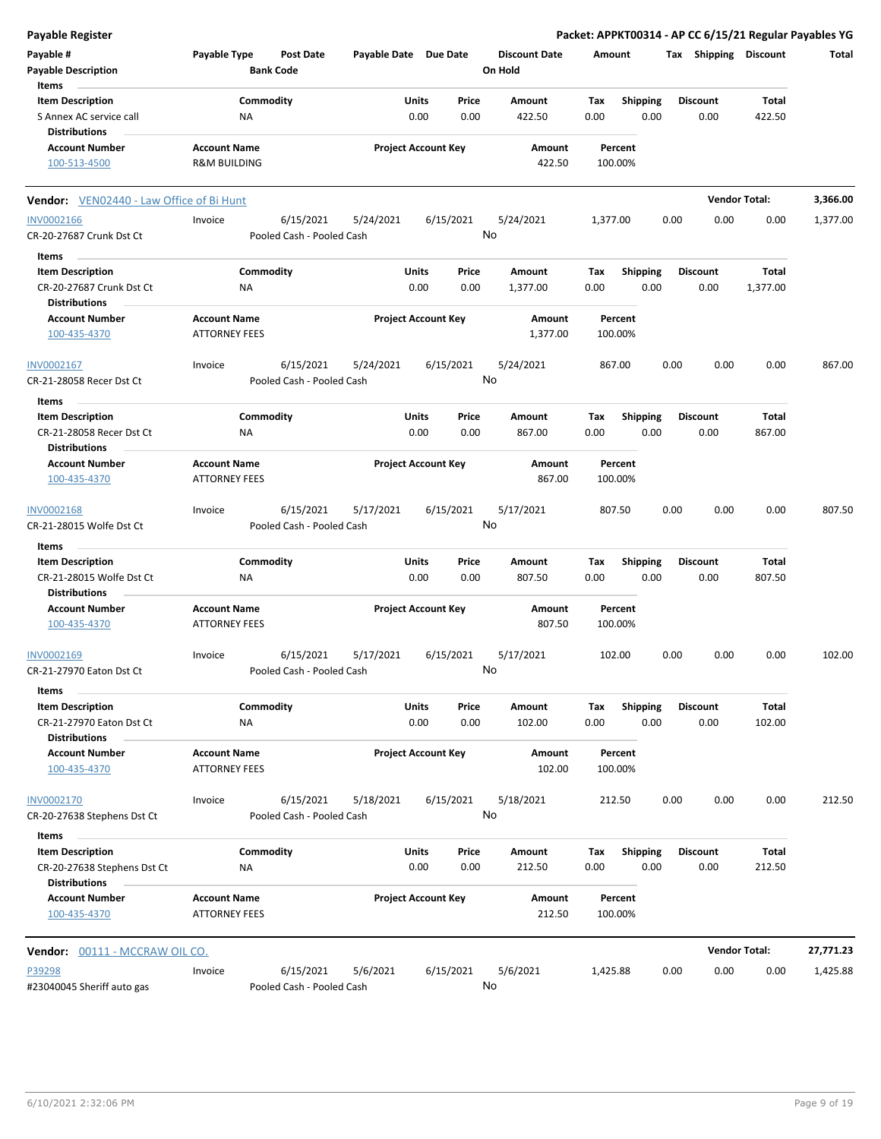| <b>Payable Register</b>                                                     |                                                |                                        |                       |                                |         |                      |             |                         |      |                         |                          | Packet: APPKT00314 - AP CC 6/15/21 Regular Payables YG |
|-----------------------------------------------------------------------------|------------------------------------------------|----------------------------------------|-----------------------|--------------------------------|---------|----------------------|-------------|-------------------------|------|-------------------------|--------------------------|--------------------------------------------------------|
| Payable #<br><b>Payable Description</b>                                     | Payable Type                                   | <b>Post Date</b><br><b>Bank Code</b>   | Payable Date Due Date |                                | On Hold | <b>Discount Date</b> | Amount      |                         |      | Tax Shipping Discount   |                          | Total                                                  |
| Items                                                                       |                                                |                                        |                       |                                |         |                      |             |                         |      |                         |                          |                                                        |
| <b>Item Description</b><br>S Annex AC service call<br><b>Distributions</b>  | Commodity<br>ΝA                                |                                        |                       | Units<br>Price<br>0.00<br>0.00 |         | Amount<br>422.50     | Tax<br>0.00 | <b>Shipping</b><br>0.00 |      | <b>Discount</b><br>0.00 | Total<br>422.50          |                                                        |
| <b>Account Number</b><br>100-513-4500                                       | <b>Account Name</b><br><b>R&amp;M BUILDING</b> |                                        |                       | <b>Project Account Key</b>     |         | Amount<br>422.50     |             | Percent<br>100.00%      |      |                         |                          |                                                        |
| <b>Vendor:</b> VEN02440 - Law Office of Bi Hunt                             |                                                |                                        |                       |                                |         |                      |             |                         |      |                         | <b>Vendor Total:</b>     | 3,366.00                                               |
| <b>INV0002166</b>                                                           | Invoice                                        | 6/15/2021                              | 5/24/2021             | 6/15/2021                      |         | 5/24/2021            | 1,377.00    |                         | 0.00 | 0.00                    | 0.00                     | 1,377.00                                               |
| CR-20-27687 Crunk Dst Ct                                                    |                                                | Pooled Cash - Pooled Cash              |                       |                                | No      |                      |             |                         |      |                         |                          |                                                        |
| Items                                                                       |                                                |                                        |                       |                                |         |                      |             |                         |      |                         |                          |                                                        |
| <b>Item Description</b><br>CR-20-27687 Crunk Dst Ct<br><b>Distributions</b> | Commodity<br>ΝA                                |                                        |                       | Units<br>Price<br>0.00<br>0.00 |         | Amount<br>1,377.00   | Tax<br>0.00 | <b>Shipping</b><br>0.00 |      | <b>Discount</b><br>0.00 | <b>Total</b><br>1,377.00 |                                                        |
| <b>Account Number</b><br>100-435-4370                                       | <b>Account Name</b><br><b>ATTORNEY FEES</b>    |                                        |                       | <b>Project Account Key</b>     |         | Amount<br>1,377.00   |             | Percent<br>100.00%      |      |                         |                          |                                                        |
|                                                                             |                                                |                                        |                       |                                |         |                      |             |                         |      |                         |                          |                                                        |
| INV0002167<br>CR-21-28058 Recer Dst Ct                                      | Invoice                                        | 6/15/2021<br>Pooled Cash - Pooled Cash | 5/24/2021             | 6/15/2021                      | No      | 5/24/2021            | 867.00      |                         | 0.00 | 0.00                    | 0.00                     | 867.00                                                 |
| Items                                                                       |                                                |                                        |                       |                                |         |                      |             |                         |      |                         |                          |                                                        |
| <b>Item Description</b>                                                     | Commodity                                      |                                        |                       | Units<br>Price                 |         | Amount               | Tax         | <b>Shipping</b>         |      | <b>Discount</b>         | Total                    |                                                        |
| CR-21-28058 Recer Dst Ct<br><b>Distributions</b>                            | NA                                             |                                        |                       | 0.00<br>0.00                   |         | 867.00               | 0.00        | 0.00                    |      | 0.00                    | 867.00                   |                                                        |
| <b>Account Number</b><br>100-435-4370                                       | <b>Account Name</b><br><b>ATTORNEY FEES</b>    |                                        |                       | <b>Project Account Key</b>     |         | Amount<br>867.00     |             | Percent<br>100.00%      |      |                         |                          |                                                        |
| INV0002168<br>CR-21-28015 Wolfe Dst Ct                                      | Invoice                                        | 6/15/2021<br>Pooled Cash - Pooled Cash | 5/17/2021             | 6/15/2021                      | No      | 5/17/2021            | 807.50      |                         | 0.00 | 0.00                    | 0.00                     | 807.50                                                 |
| Items                                                                       |                                                |                                        |                       |                                |         |                      |             |                         |      |                         |                          |                                                        |
| <b>Item Description</b>                                                     | Commodity                                      |                                        |                       | Units<br>Price                 |         | Amount               | Tax         | <b>Shipping</b>         |      | <b>Discount</b>         | Total                    |                                                        |
| CR-21-28015 Wolfe Dst Ct                                                    | ΝA                                             |                                        |                       | 0.00<br>0.00                   |         | 807.50               | 0.00        | 0.00                    |      | 0.00                    | 807.50                   |                                                        |
| <b>Distributions</b>                                                        |                                                |                                        |                       |                                |         |                      |             |                         |      |                         |                          |                                                        |
| <b>Account Number</b><br>100-435-4370                                       | <b>Account Name</b><br><b>ATTORNEY FEES</b>    |                                        |                       | <b>Project Account Key</b>     |         | Amount<br>807.50     |             | Percent<br>100.00%      |      |                         |                          |                                                        |
| INV0002169<br>CR-21-27970 Eaton Dst Ct                                      | Invoice                                        | 6/15/2021<br>Pooled Cash - Pooled Cash | 5/17/2021             | 6/15/2021                      | No.     | 5/17/2021            | 102.00      |                         | 0.00 | 0.00                    | 0.00                     | 102.00                                                 |
| Items                                                                       |                                                |                                        |                       |                                |         |                      |             |                         |      |                         |                          |                                                        |
| <b>Item Description</b>                                                     | Commodity                                      |                                        |                       | Units<br>Price                 |         | Amount               | Tax         | <b>Shipping</b>         |      | <b>Discount</b>         | <b>Total</b>             |                                                        |
| CR-21-27970 Eaton Dst Ct                                                    | ΝA                                             |                                        |                       | 0.00<br>0.00                   |         | 102.00               | 0.00        | 0.00                    |      | 0.00                    | 102.00                   |                                                        |
| <b>Distributions</b>                                                        | <b>Account Name</b>                            |                                        |                       | <b>Project Account Key</b>     |         |                      |             | Percent                 |      |                         |                          |                                                        |
| <b>Account Number</b><br>100-435-4370                                       | <b>ATTORNEY FEES</b>                           |                                        |                       |                                |         | Amount<br>102.00     |             | 100.00%                 |      |                         |                          |                                                        |
| INV0002170                                                                  | Invoice                                        | 6/15/2021                              | 5/18/2021             | 6/15/2021                      |         | 5/18/2021            | 212.50      |                         | 0.00 | 0.00                    | 0.00                     | 212.50                                                 |
| CR-20-27638 Stephens Dst Ct                                                 |                                                | Pooled Cash - Pooled Cash              |                       |                                | No      |                      |             |                         |      |                         |                          |                                                        |
| Items                                                                       |                                                |                                        |                       |                                |         |                      |             |                         |      |                         |                          |                                                        |
| <b>Item Description</b><br>CR-20-27638 Stephens Dst Ct                      | Commodity<br>ΝA                                |                                        |                       | <b>Units</b><br>Price<br>0.00  | 0.00    | Amount<br>212.50     | Tax<br>0.00 | Shipping<br>0.00        |      | <b>Discount</b><br>0.00 | Total<br>212.50          |                                                        |
| <b>Distributions</b>                                                        |                                                |                                        |                       |                                |         |                      |             |                         |      |                         |                          |                                                        |
| <b>Account Number</b><br>100-435-4370                                       | <b>Account Name</b><br><b>ATTORNEY FEES</b>    |                                        |                       | <b>Project Account Key</b>     |         | Amount<br>212.50     |             | Percent<br>100.00%      |      |                         |                          |                                                        |
| Vendor: 00111 - MCCRAW OIL CO.                                              |                                                |                                        |                       |                                |         |                      |             |                         |      |                         | <b>Vendor Total:</b>     | 27,771.23                                              |
| P39298                                                                      | Invoice                                        | 6/15/2021                              | 5/6/2021              | 6/15/2021                      |         | 5/6/2021             | 1,425.88    |                         | 0.00 | 0.00                    | 0.00                     | 1,425.88                                               |
| #23040045 Sheriff auto gas                                                  |                                                | Pooled Cash - Pooled Cash              |                       |                                | No      |                      |             |                         |      |                         |                          |                                                        |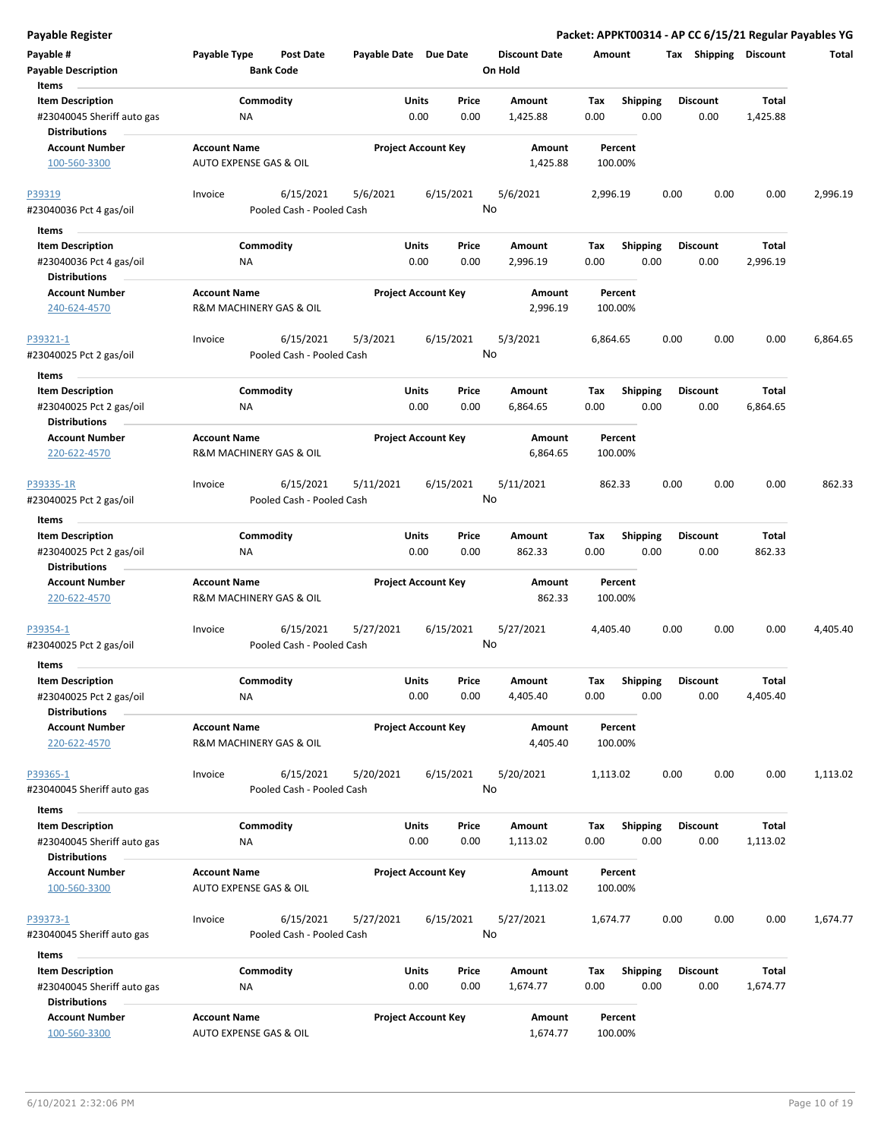**Payable Register Packet: APPKT00314 - AP CC 6/15/21 Regular Payables YG**

| Payable #                                                                     | Payable Type                                                  | <b>Post Date</b>                       | Payable Date Due Date |                                | <b>Discount Date</b> | Amount             |                         | Tax Shipping            | <b>Discount</b>   | Total    |
|-------------------------------------------------------------------------------|---------------------------------------------------------------|----------------------------------------|-----------------------|--------------------------------|----------------------|--------------------|-------------------------|-------------------------|-------------------|----------|
| <b>Payable Description</b><br>Items                                           |                                                               | <b>Bank Code</b>                       |                       |                                | On Hold              |                    |                         |                         |                   |          |
| <b>Item Description</b><br>#23040045 Sheriff auto gas                         | ΝA                                                            | Commodity                              |                       | Units<br>Price<br>0.00<br>0.00 | Amount<br>1,425.88   | Tax<br>0.00        | Shipping<br>0.00        | <b>Discount</b><br>0.00 | Total<br>1,425.88 |          |
| <b>Distributions</b><br><b>Account Number</b><br>100-560-3300                 | <b>Account Name</b><br>AUTO EXPENSE GAS & OIL                 |                                        |                       | <b>Project Account Key</b>     | Amount<br>1,425.88   | Percent<br>100.00% |                         |                         |                   |          |
| P39319                                                                        | Invoice                                                       | 6/15/2021                              | 5/6/2021              | 6/15/2021                      | 5/6/2021<br>No       | 2,996.19           |                         | 0.00                    | 0.00<br>0.00      | 2,996.19 |
| #23040036 Pct 4 gas/oil                                                       |                                                               | Pooled Cash - Pooled Cash              |                       |                                |                      |                    |                         |                         |                   |          |
| Items<br><b>Item Description</b>                                              |                                                               | Commodity                              |                       | Units<br>Price                 | Amount               | Tax                | <b>Shipping</b>         | <b>Discount</b>         | Total             |          |
| #23040036 Pct 4 gas/oil<br><b>Distributions</b>                               | ΝA                                                            |                                        |                       | 0.00<br>0.00                   | 2,996.19             | 0.00               | 0.00                    | 0.00                    | 2,996.19          |          |
| <b>Account Number</b><br>240-624-4570                                         | <b>Account Name</b><br>R&M MACHINERY GAS & OIL                |                                        |                       | <b>Project Account Key</b>     | Amount<br>2,996.19   | Percent<br>100.00% |                         |                         |                   |          |
| P39321-1<br>#23040025 Pct 2 gas/oil                                           | Invoice                                                       | 6/15/2021<br>Pooled Cash - Pooled Cash | 5/3/2021              | 6/15/2021                      | 5/3/2021<br>No       | 6,864.65           |                         | 0.00                    | 0.00<br>0.00      | 6,864.65 |
| Items                                                                         |                                                               |                                        |                       |                                |                      |                    |                         |                         |                   |          |
| <b>Item Description</b><br>#23040025 Pct 2 gas/oil                            | ΝA                                                            | Commodity                              |                       | Units<br>Price<br>0.00<br>0.00 | Amount<br>6,864.65   | Tax<br>0.00        | <b>Shipping</b><br>0.00 | <b>Discount</b><br>0.00 | Total<br>6,864.65 |          |
| <b>Distributions</b><br><b>Account Number</b><br>220-622-4570                 | <b>Account Name</b><br><b>R&amp;M MACHINERY GAS &amp; OIL</b> |                                        |                       | <b>Project Account Key</b>     | Amount<br>6,864.65   | Percent<br>100.00% |                         |                         |                   |          |
| P39335-1R<br>#23040025 Pct 2 gas/oil                                          | Invoice                                                       | 6/15/2021<br>Pooled Cash - Pooled Cash | 5/11/2021             | 6/15/2021                      | 5/11/2021<br>No      | 862.33             |                         | 0.00                    | 0.00<br>0.00      | 862.33   |
| Items                                                                         |                                                               |                                        |                       |                                |                      |                    |                         |                         |                   |          |
| <b>Item Description</b>                                                       |                                                               | Commodity                              |                       | Units<br>Price                 | Amount               | Tax                | <b>Shipping</b>         | <b>Discount</b>         | Total             |          |
| #23040025 Pct 2 gas/oil<br><b>Distributions</b>                               | NA                                                            |                                        |                       | 0.00<br>0.00                   | 862.33               | 0.00               | 0.00                    | 0.00                    | 862.33            |          |
| <b>Account Number</b><br>220-622-4570                                         | <b>Account Name</b><br>R&M MACHINERY GAS & OIL                |                                        |                       | <b>Project Account Key</b>     | Amount<br>862.33     | Percent<br>100.00% |                         |                         |                   |          |
| P39354-1<br>#23040025 Pct 2 gas/oil                                           | Invoice                                                       | 6/15/2021<br>Pooled Cash - Pooled Cash | 5/27/2021             | 6/15/2021                      | 5/27/2021<br>No      | 4,405.40           |                         | 0.00                    | 0.00<br>0.00      | 4,405.40 |
| Items                                                                         |                                                               |                                        |                       |                                |                      |                    |                         |                         |                   |          |
| <b>Item Description</b><br>#23040025 Pct 2 gas/oil<br><b>Distributions</b>    | ΝA                                                            | Commodity                              |                       | Units<br>Price<br>0.00<br>0.00 | Amount<br>4,405.40   | Тах<br>0.00        | <b>Shipping</b><br>0.00 | <b>Discount</b><br>0.00 | Total<br>4,405.40 |          |
| <b>Account Number</b><br>220-622-4570                                         | <b>Account Name</b><br>R&M MACHINERY GAS & OIL                |                                        |                       | <b>Project Account Key</b>     | Amount<br>4,405.40   | Percent<br>100.00% |                         |                         |                   |          |
| P39365-1<br>#23040045 Sheriff auto gas                                        | Invoice                                                       | 6/15/2021<br>Pooled Cash - Pooled Cash | 5/20/2021             | 6/15/2021                      | 5/20/2021<br>No      | 1,113.02           |                         | 0.00                    | 0.00<br>0.00      | 1,113.02 |
| Items                                                                         |                                                               |                                        |                       |                                |                      |                    |                         |                         |                   |          |
| <b>Item Description</b><br>#23040045 Sheriff auto gas<br><b>Distributions</b> | ΝA                                                            | Commodity                              |                       | Units<br>Price<br>0.00<br>0.00 | Amount<br>1,113.02   | Tax<br>0.00        | <b>Shipping</b><br>0.00 | <b>Discount</b><br>0.00 | Total<br>1,113.02 |          |
| <b>Account Number</b><br>100-560-3300                                         | <b>Account Name</b><br>AUTO EXPENSE GAS & OIL                 |                                        |                       | <b>Project Account Key</b>     | Amount<br>1,113.02   | Percent<br>100.00% |                         |                         |                   |          |
| P39373-1<br>#23040045 Sheriff auto gas                                        | Invoice                                                       | 6/15/2021<br>Pooled Cash - Pooled Cash | 5/27/2021             | 6/15/2021                      | 5/27/2021<br>No      | 1,674.77           |                         | 0.00                    | 0.00<br>0.00      | 1,674.77 |
| Items                                                                         |                                                               |                                        |                       |                                |                      |                    |                         |                         |                   |          |
| <b>Item Description</b><br>#23040045 Sheriff auto gas<br><b>Distributions</b> | ΝA                                                            | Commodity                              |                       | Units<br>Price<br>0.00<br>0.00 | Amount<br>1,674.77   | Tax<br>0.00        | <b>Shipping</b><br>0.00 | <b>Discount</b><br>0.00 | Total<br>1,674.77 |          |
| <b>Account Number</b><br>100-560-3300                                         | <b>Account Name</b><br>AUTO EXPENSE GAS & OIL                 |                                        |                       | <b>Project Account Key</b>     | Amount<br>1,674.77   | Percent<br>100.00% |                         |                         |                   |          |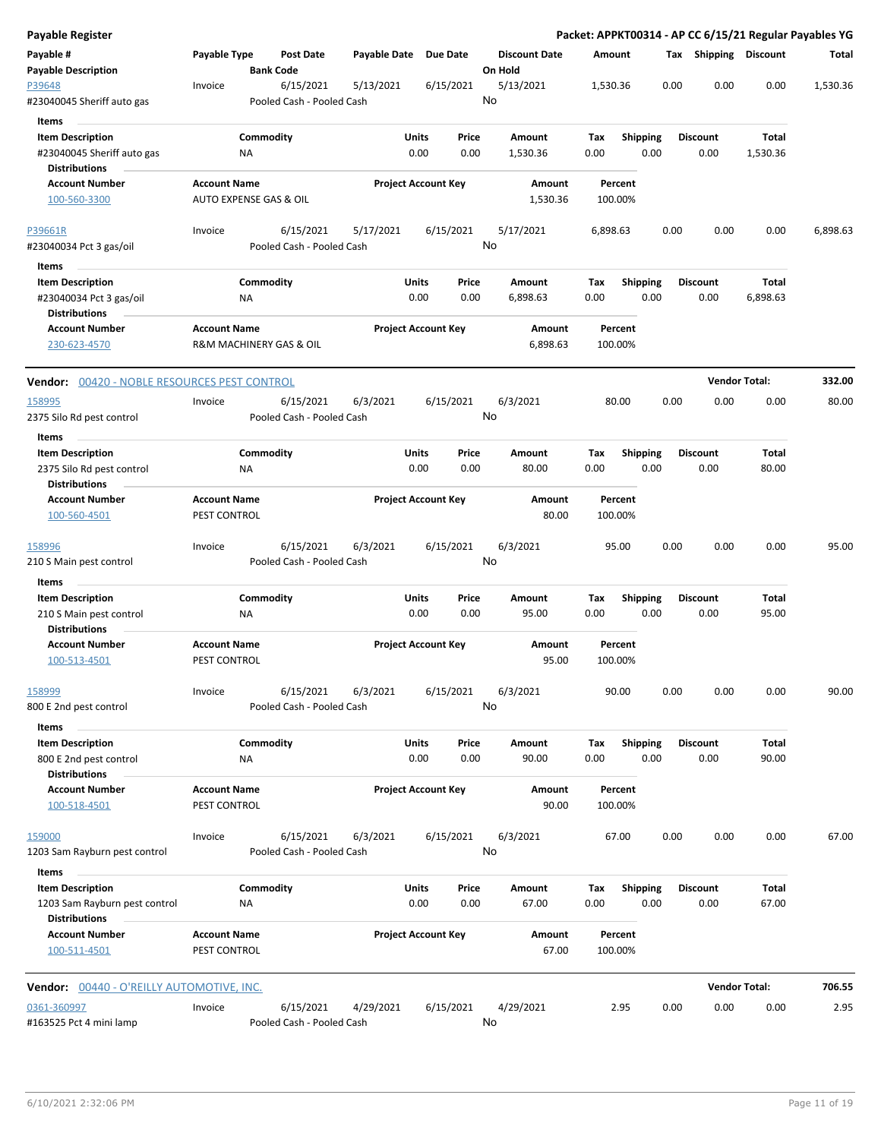| Payable Register                                                             |                                     |                                        |              |                            |                 |                                 |             |                         |      |                         | Packet: APPKT00314 - AP CC 6/15/21 Regular Payables YG |          |
|------------------------------------------------------------------------------|-------------------------------------|----------------------------------------|--------------|----------------------------|-----------------|---------------------------------|-------------|-------------------------|------|-------------------------|--------------------------------------------------------|----------|
| Payable #<br><b>Payable Description</b>                                      | Payable Type                        | <b>Post Date</b><br><b>Bank Code</b>   | Payable Date |                            | <b>Due Date</b> | <b>Discount Date</b><br>On Hold | Amount      |                         |      | Tax Shipping Discount   |                                                        | Total    |
| P39648<br>#23040045 Sheriff auto gas                                         | Invoice                             | 6/15/2021<br>Pooled Cash - Pooled Cash | 5/13/2021    |                            | 6/15/2021       | 5/13/2021<br>No                 | 1,530.36    |                         | 0.00 | 0.00                    | 0.00                                                   | 1,530.36 |
| <b>Items</b>                                                                 |                                     |                                        |              |                            |                 |                                 |             |                         |      |                         |                                                        |          |
| <b>Item Description</b><br>#23040045 Sheriff auto gas                        |                                     | Commodity<br>ΝA                        |              | <b>Units</b><br>0.00       | Price<br>0.00   | Amount<br>1,530.36              | Tax<br>0.00 | <b>Shipping</b><br>0.00 |      | <b>Discount</b><br>0.00 | Total<br>1,530.36                                      |          |
| <b>Distributions</b><br><b>Account Number</b>                                |                                     |                                        |              |                            |                 |                                 |             | Percent                 |      |                         |                                                        |          |
| 100-560-3300                                                                 | <b>Account Name</b>                 | <b>AUTO EXPENSE GAS &amp; OIL</b>      |              | <b>Project Account Key</b> |                 | Amount<br>1,530.36              |             | 100.00%                 |      |                         |                                                        |          |
| P39661R                                                                      | Invoice                             | 6/15/2021                              | 5/17/2021    |                            | 6/15/2021       | 5/17/2021                       | 6,898.63    |                         | 0.00 | 0.00                    | 0.00                                                   | 6,898.63 |
| #23040034 Pct 3 gas/oil                                                      |                                     | Pooled Cash - Pooled Cash              |              |                            |                 | No                              |             |                         |      |                         |                                                        |          |
| Items                                                                        |                                     |                                        |              |                            |                 |                                 |             |                         |      |                         |                                                        |          |
| <b>Item Description</b><br>#23040034 Pct 3 gas/oil                           |                                     | Commodity<br>NA                        |              | Units<br>0.00              | Price<br>0.00   | Amount<br>6,898.63              | Tax<br>0.00 | <b>Shipping</b><br>0.00 |      | <b>Discount</b><br>0.00 | Total<br>6,898.63                                      |          |
| <b>Distributions</b>                                                         |                                     |                                        |              |                            |                 |                                 |             |                         |      |                         |                                                        |          |
| <b>Account Number</b><br>230-623-4570                                        | <b>Account Name</b>                 | R&M MACHINERY GAS & OIL                |              | <b>Project Account Key</b> |                 | Amount<br>6,898.63              |             | Percent<br>100.00%      |      |                         |                                                        |          |
| Vendor: 00420 - NOBLE RESOURCES PEST CONTROL                                 |                                     |                                        |              |                            |                 |                                 |             |                         |      | <b>Vendor Total:</b>    |                                                        | 332.00   |
| 158995                                                                       | Invoice                             | 6/15/2021                              | 6/3/2021     |                            | 6/15/2021       | 6/3/2021                        |             | 80.00                   | 0.00 | 0.00                    | 0.00                                                   | 80.00    |
| 2375 Silo Rd pest control                                                    |                                     | Pooled Cash - Pooled Cash              |              |                            |                 | No                              |             |                         |      |                         |                                                        |          |
| Items                                                                        |                                     |                                        |              |                            |                 |                                 |             |                         |      |                         |                                                        |          |
| <b>Item Description</b><br>2375 Silo Rd pest control<br><b>Distributions</b> |                                     | Commodity<br>ΝA                        |              | <b>Units</b><br>0.00       | Price<br>0.00   | Amount<br>80.00                 | Tax<br>0.00 | <b>Shipping</b><br>0.00 |      | <b>Discount</b><br>0.00 | Total<br>80.00                                         |          |
| <b>Account Number</b>                                                        | <b>Account Name</b>                 |                                        |              | <b>Project Account Key</b> |                 | Amount                          |             | Percent                 |      |                         |                                                        |          |
| 100-560-4501                                                                 | PEST CONTROL                        |                                        |              |                            |                 | 80.00                           |             | 100.00%                 |      |                         |                                                        |          |
| 158996<br>210 S Main pest control                                            | Invoice                             | 6/15/2021<br>Pooled Cash - Pooled Cash | 6/3/2021     |                            | 6/15/2021       | 6/3/2021<br>No                  |             | 95.00                   | 0.00 | 0.00                    | 0.00                                                   | 95.00    |
| Items                                                                        |                                     |                                        |              |                            |                 |                                 |             |                         |      |                         |                                                        |          |
| <b>Item Description</b><br>210 S Main pest control<br>Distributions          |                                     | Commodity<br>ΝA                        |              | Units<br>0.00              | Price<br>0.00   | Amount<br>95.00                 | Tax<br>0.00 | Shipping<br>0.00        |      | <b>Discount</b><br>0.00 | Total<br>95.00                                         |          |
| <b>Account Number</b><br>100-513-4501                                        | <b>Account Name</b><br>PEST CONTROL |                                        |              | <b>Project Account Key</b> |                 | Amount<br>95.00                 |             | Percent<br>100.00%      |      |                         |                                                        |          |
| 158999<br>800 E 2nd pest control                                             | Invoice                             | 6/15/2021<br>Pooled Cash - Pooled Cash | 6/3/2021     |                            | 6/15/2021       | 6/3/2021<br>No                  |             | 90.00                   | 0.00 | 0.00                    | 0.00                                                   | 90.00    |
| Items                                                                        |                                     |                                        |              |                            |                 |                                 |             |                         |      |                         |                                                        |          |
| <b>Item Description</b><br>800 E 2nd pest control                            |                                     | Commodity<br>ΝA                        |              | Units<br>0.00              | Price<br>0.00   | Amount<br>90.00                 | Tax<br>0.00 | <b>Shipping</b><br>0.00 |      | <b>Discount</b><br>0.00 | Total<br>90.00                                         |          |
| <b>Distributions</b><br><b>Account Number</b><br>100-518-4501                | <b>Account Name</b><br>PEST CONTROL |                                        |              | <b>Project Account Key</b> |                 | Amount<br>90.00                 |             | Percent<br>100.00%      |      |                         |                                                        |          |
|                                                                              |                                     |                                        |              |                            |                 |                                 |             |                         |      |                         |                                                        |          |
| 159000<br>1203 Sam Rayburn pest control                                      | Invoice                             | 6/15/2021<br>Pooled Cash - Pooled Cash | 6/3/2021     |                            | 6/15/2021       | 6/3/2021<br>No                  |             | 67.00                   | 0.00 | 0.00                    | 0.00                                                   | 67.00    |
| Items                                                                        |                                     |                                        |              |                            |                 |                                 |             |                         |      |                         |                                                        |          |
| <b>Item Description</b><br>1203 Sam Rayburn pest control                     |                                     | Commodity<br>ΝA                        |              | <b>Units</b><br>0.00       | Price<br>0.00   | Amount<br>67.00                 | Tax<br>0.00 | <b>Shipping</b><br>0.00 |      | <b>Discount</b><br>0.00 | Total<br>67.00                                         |          |
| <b>Distributions</b><br><b>Account Number</b>                                | <b>Account Name</b>                 |                                        |              | <b>Project Account Key</b> |                 | Amount                          |             | Percent                 |      |                         |                                                        |          |
| 100-511-4501                                                                 | PEST CONTROL                        |                                        |              |                            |                 | 67.00                           |             | 100.00%                 |      |                         |                                                        |          |
| <b>Vendor:</b> 00440 - O'REILLY AUTOMOTIVE, INC.                             |                                     |                                        |              |                            |                 |                                 |             |                         |      |                         | <b>Vendor Total:</b>                                   | 706.55   |
| 0361-360997                                                                  | Invoice                             | 6/15/2021                              | 4/29/2021    |                            | 6/15/2021       | 4/29/2021                       |             | 2.95                    | 0.00 | 0.00                    | 0.00                                                   | 2.95     |
| #163525 Pct 4 mini lamp                                                      |                                     | Pooled Cash - Pooled Cash              |              |                            |                 | No                              |             |                         |      |                         |                                                        |          |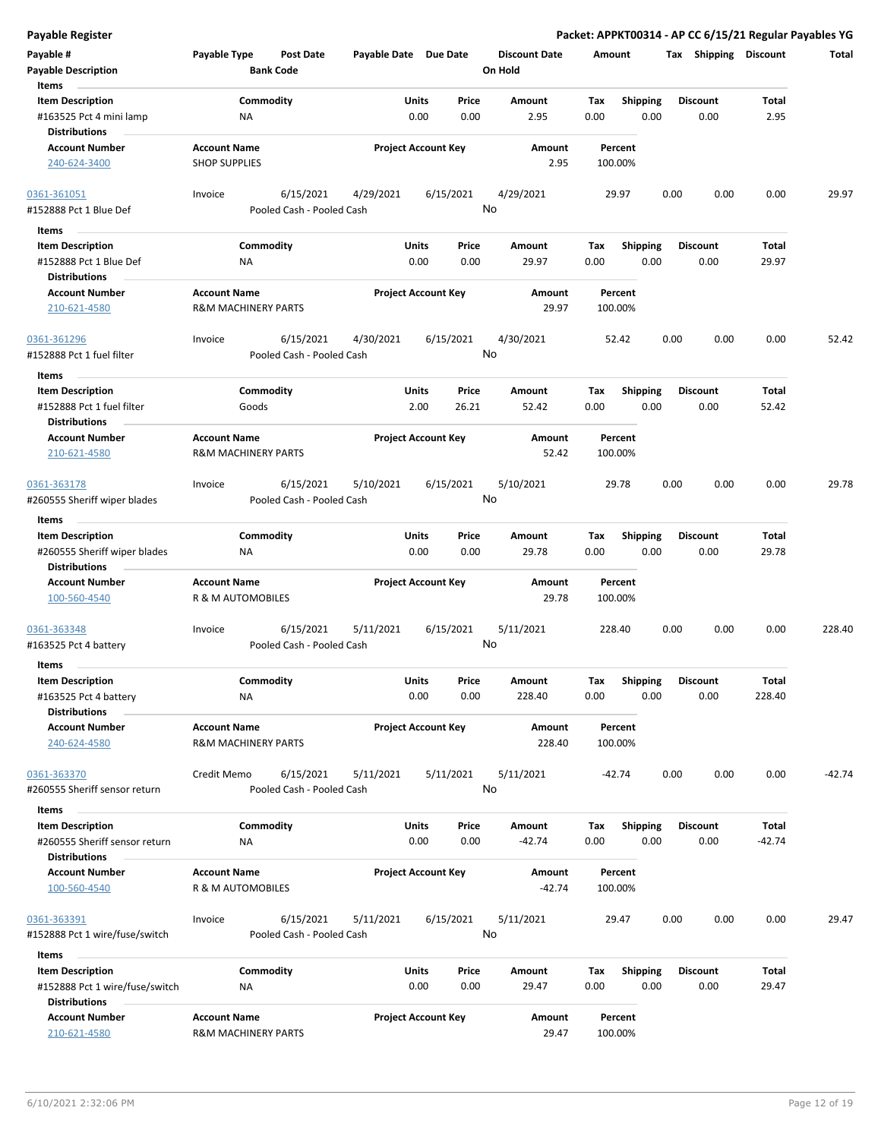**Payable Register Packet: APPKT00314 - AP CC 6/15/21 Regular Payables YG**

| Payable #                            | Payable Type                   | Post Date                 | Payable Date Due Date |                            | <b>Discount Date</b> | Amount   |                 | Tax  | Shipping        | <b>Discount</b> | Total    |
|--------------------------------------|--------------------------------|---------------------------|-----------------------|----------------------------|----------------------|----------|-----------------|------|-----------------|-----------------|----------|
| <b>Payable Description</b>           |                                | <b>Bank Code</b>          |                       |                            | On Hold              |          |                 |      |                 |                 |          |
| Items                                |                                |                           |                       |                            |                      |          |                 |      |                 |                 |          |
| <b>Item Description</b>              |                                | Commodity                 |                       | Units<br>Price             | Amount               | Tax      | <b>Shipping</b> |      | Discount        | Total           |          |
| #163525 Pct 4 mini lamp              | ΝA                             |                           |                       | 0.00<br>0.00               | 2.95                 | 0.00     | 0.00            |      | 0.00            | 2.95            |          |
| <b>Distributions</b>                 |                                |                           |                       |                            |                      |          |                 |      |                 |                 |          |
| <b>Account Number</b>                | <b>Account Name</b>            |                           |                       | <b>Project Account Key</b> | Amount               | Percent  |                 |      |                 |                 |          |
| 240-624-3400                         | <b>SHOP SUPPLIES</b>           |                           |                       |                            | 2.95                 | 100.00%  |                 |      |                 |                 |          |
| 0361-361051                          | Invoice                        | 6/15/2021                 | 4/29/2021             | 6/15/2021                  | 4/29/2021            | 29.97    |                 | 0.00 | 0.00            | 0.00            | 29.97    |
| #152888 Pct 1 Blue Def               |                                | Pooled Cash - Pooled Cash |                       |                            | No                   |          |                 |      |                 |                 |          |
| Items                                |                                |                           |                       |                            |                      |          |                 |      |                 |                 |          |
| <b>Item Description</b>              |                                | Commodity                 |                       | Units<br>Price             | Amount               | Tax      | <b>Shipping</b> |      | <b>Discount</b> | Total           |          |
| #152888 Pct 1 Blue Def               | NA                             |                           |                       | 0.00<br>0.00               | 29.97                | 0.00     | 0.00            |      | 0.00            | 29.97           |          |
| <b>Distributions</b>                 |                                |                           |                       |                            |                      |          |                 |      |                 |                 |          |
| <b>Account Number</b>                | <b>Account Name</b>            |                           |                       | <b>Project Account Key</b> | Amount               | Percent  |                 |      |                 |                 |          |
| 210-621-4580                         | <b>R&amp;M MACHINERY PARTS</b> |                           |                       |                            | 29.97                | 100.00%  |                 |      |                 |                 |          |
| 0361-361296                          | Invoice                        | 6/15/2021                 | 4/30/2021             | 6/15/2021                  | 4/30/2021            | 52.42    |                 | 0.00 | 0.00            | 0.00            | 52.42    |
| #152888 Pct 1 fuel filter            |                                | Pooled Cash - Pooled Cash |                       |                            | No                   |          |                 |      |                 |                 |          |
| Items                                |                                |                           |                       |                            |                      |          |                 |      |                 |                 |          |
| <b>Item Description</b>              |                                | Commodity                 |                       | Units<br>Price             | Amount               | Tax      | <b>Shipping</b> |      | <b>Discount</b> | Total           |          |
| #152888 Pct 1 fuel filter            |                                | Goods                     |                       | 2.00<br>26.21              | 52.42                | 0.00     | 0.00            |      | 0.00            | 52.42           |          |
| <b>Distributions</b>                 |                                |                           |                       |                            |                      |          |                 |      |                 |                 |          |
| <b>Account Number</b>                | <b>Account Name</b>            |                           |                       | <b>Project Account Key</b> | Amount               | Percent  |                 |      |                 |                 |          |
| 210-621-4580                         | <b>R&amp;M MACHINERY PARTS</b> |                           |                       |                            | 52.42                | 100.00%  |                 |      |                 |                 |          |
|                                      |                                |                           |                       |                            |                      |          |                 |      |                 |                 |          |
| 0361-363178                          | Invoice                        | 6/15/2021                 | 5/10/2021             | 6/15/2021                  | 5/10/2021            | 29.78    |                 | 0.00 | 0.00            | 0.00            | 29.78    |
| #260555 Sheriff wiper blades         |                                | Pooled Cash - Pooled Cash |                       |                            | No                   |          |                 |      |                 |                 |          |
|                                      |                                |                           |                       |                            |                      |          |                 |      |                 |                 |          |
| Items                                |                                |                           |                       |                            |                      |          |                 |      |                 |                 |          |
| <b>Item Description</b>              |                                | Commodity                 |                       | Units<br>Price             | Amount               | Tax      | <b>Shipping</b> |      | Discount        | Total           |          |
| #260555 Sheriff wiper blades         | <b>NA</b>                      |                           |                       | 0.00<br>0.00               | 29.78                | 0.00     | 0.00            |      | 0.00            | 29.78           |          |
| <b>Distributions</b>                 |                                |                           |                       |                            |                      |          |                 |      |                 |                 |          |
| <b>Account Number</b>                | <b>Account Name</b>            |                           |                       | <b>Project Account Key</b> | Amount               | Percent  |                 |      |                 |                 |          |
| 100-560-4540                         | R & M AUTOMOBILES              |                           |                       |                            | 29.78                | 100.00%  |                 |      |                 |                 |          |
|                                      | Invoice                        | 6/15/2021                 | 5/11/2021             | 6/15/2021                  | 5/11/2021            | 228.40   |                 | 0.00 | 0.00            | 0.00            | 228.40   |
| 0361-363348<br>#163525 Pct 4 battery |                                | Pooled Cash - Pooled Cash |                       |                            | No                   |          |                 |      |                 |                 |          |
|                                      |                                |                           |                       |                            |                      |          |                 |      |                 |                 |          |
| <b>Items</b>                         |                                |                           |                       |                            |                      |          |                 |      |                 |                 |          |
| <b>Item Description</b>              |                                | Commodity                 |                       | Units<br>Price             | Amount               | Tax      | <b>Shipping</b> |      | <b>Discount</b> | Total           |          |
| #163525 Pct 4 battery                | NA                             |                           |                       | 0.00<br>0.00               | 228.40               | 0.00     | 0.00            |      | 0.00            | 228.40          |          |
| <b>Distributions</b>                 |                                |                           |                       |                            |                      |          |                 |      |                 |                 |          |
| <b>Account Number</b>                | <b>Account Name</b>            |                           |                       | <b>Project Account Key</b> | Amount               | Percent  |                 |      |                 |                 |          |
| 240-624-4580                         | <b>R&amp;M MACHINERY PARTS</b> |                           |                       |                            | 228.40               | 100.00%  |                 |      |                 |                 |          |
| 0361-363370                          | Credit Memo                    | 6/15/2021                 |                       |                            | 5/11/2021            | $-42.74$ |                 | 0.00 | 0.00            | 0.00            | $-42.74$ |
| #260555 Sheriff sensor return        |                                | Pooled Cash - Pooled Cash | 5/11/2021             | 5/11/2021                  | No                   |          |                 |      |                 |                 |          |
|                                      |                                |                           |                       |                            |                      |          |                 |      |                 |                 |          |
| Items                                |                                |                           |                       |                            |                      |          |                 |      |                 |                 |          |
| <b>Item Description</b>              |                                | Commodity                 |                       | Units<br>Price             | Amount               | Tax      | <b>Shipping</b> |      | <b>Discount</b> | Total           |          |
| #260555 Sheriff sensor return        | ΝA                             |                           |                       | 0.00<br>0.00               | $-42.74$             | 0.00     | 0.00            |      | 0.00            | $-42.74$        |          |
| <b>Distributions</b>                 |                                |                           |                       |                            |                      |          |                 |      |                 |                 |          |
| <b>Account Number</b>                | <b>Account Name</b>            |                           |                       | <b>Project Account Key</b> | Amount               | Percent  |                 |      |                 |                 |          |
| 100-560-4540                         | R & M AUTOMOBILES              |                           |                       |                            | $-42.74$             | 100.00%  |                 |      |                 |                 |          |
|                                      |                                |                           |                       |                            |                      |          |                 |      |                 |                 |          |
| 0361-363391                          | Invoice                        | 6/15/2021                 | 5/11/2021             | 6/15/2021                  | 5/11/2021            | 29.47    |                 | 0.00 | 0.00            | 0.00            | 29.47    |
| #152888 Pct 1 wire/fuse/switch       |                                | Pooled Cash - Pooled Cash |                       |                            | No                   |          |                 |      |                 |                 |          |
| Items                                |                                |                           |                       |                            |                      |          |                 |      |                 |                 |          |
| <b>Item Description</b>              |                                | Commodity                 |                       | Units<br>Price             | Amount               | Tax      | <b>Shipping</b> |      | <b>Discount</b> | Total           |          |
| #152888 Pct 1 wire/fuse/switch       | ΝA                             |                           |                       | 0.00<br>0.00               | 29.47                | 0.00     | 0.00            |      | 0.00            | 29.47           |          |
| <b>Distributions</b>                 |                                |                           |                       |                            |                      |          |                 |      |                 |                 |          |
| <b>Account Number</b>                | <b>Account Name</b>            |                           |                       | <b>Project Account Key</b> | Amount               | Percent  |                 |      |                 |                 |          |
| 210-621-4580                         | R&M MACHINERY PARTS            |                           |                       |                            | 29.47                | 100.00%  |                 |      |                 |                 |          |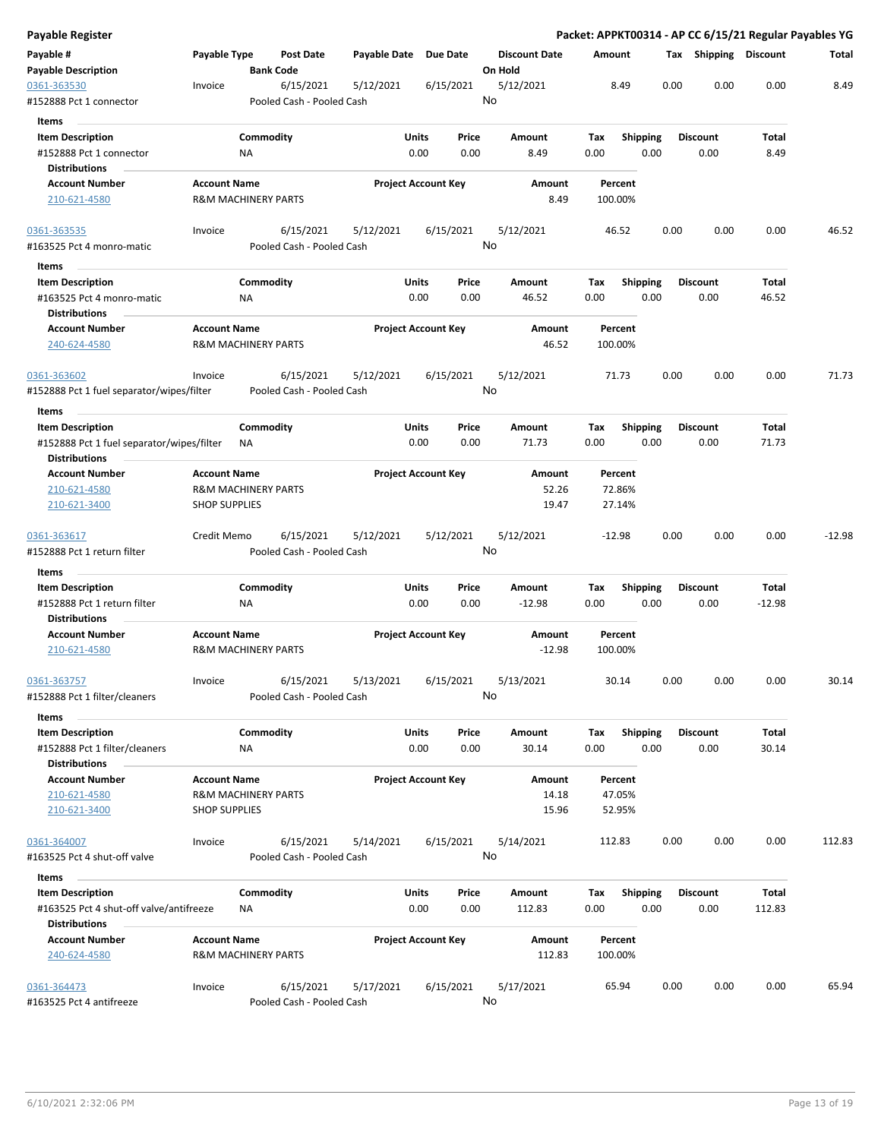| Payable Register                                                   |                      |                                |                                        |                       |                            |               |                                 |             |                         |      |                         |                 | Packet: APPKT00314 - AP CC 6/15/21 Regular Payables YG |
|--------------------------------------------------------------------|----------------------|--------------------------------|----------------------------------------|-----------------------|----------------------------|---------------|---------------------------------|-------------|-------------------------|------|-------------------------|-----------------|--------------------------------------------------------|
| Payable #<br><b>Payable Description</b>                            | Payable Type         | <b>Bank Code</b>               | <b>Post Date</b>                       | Payable Date Due Date |                            |               | <b>Discount Date</b><br>On Hold | Amount      |                         |      | Tax Shipping Discount   |                 | Total                                                  |
| 0361-363530<br>#152888 Pct 1 connector                             | Invoice              |                                | 6/15/2021<br>Pooled Cash - Pooled Cash | 5/12/2021             |                            | 6/15/2021     | 5/12/2021<br>No                 |             | 8.49                    | 0.00 | 0.00                    | 0.00            | 8.49                                                   |
| <b>Items</b>                                                       |                      |                                |                                        |                       |                            |               |                                 |             |                         |      |                         |                 |                                                        |
| <b>Item Description</b><br>#152888 Pct 1 connector                 |                      | Commodity<br>ΝA                |                                        |                       | Units<br>0.00              | Price<br>0.00 | Amount<br>8.49                  | Tax<br>0.00 | <b>Shipping</b><br>0.00 |      | <b>Discount</b><br>0.00 | Total<br>8.49   |                                                        |
| <b>Distributions</b>                                               |                      |                                |                                        |                       |                            |               |                                 |             |                         |      |                         |                 |                                                        |
| <b>Account Number</b><br>210-621-4580                              | <b>Account Name</b>  | <b>R&amp;M MACHINERY PARTS</b> |                                        |                       | <b>Project Account Key</b> |               | Amount<br>8.49                  |             | Percent<br>100.00%      |      |                         |                 |                                                        |
| 0361-363535<br>#163525 Pct 4 monro-matic                           | Invoice              |                                | 6/15/2021<br>Pooled Cash - Pooled Cash | 5/12/2021             | 6/15/2021                  |               | 5/12/2021<br>No                 |             | 46.52                   | 0.00 | 0.00                    | 0.00            | 46.52                                                  |
| Items                                                              |                      |                                |                                        |                       |                            |               |                                 |             |                         |      |                         |                 |                                                        |
| <b>Item Description</b>                                            |                      | Commodity                      |                                        |                       | Units                      | Price         | Amount                          | Tax         | <b>Shipping</b>         |      | <b>Discount</b>         | Total           |                                                        |
| #163525 Pct 4 monro-matic<br><b>Distributions</b>                  |                      | <b>NA</b>                      |                                        |                       | 0.00                       | 0.00          | 46.52                           | 0.00        | 0.00                    |      | 0.00                    | 46.52           |                                                        |
| <b>Account Number</b><br>240-624-4580                              | <b>Account Name</b>  | <b>R&amp;M MACHINERY PARTS</b> |                                        |                       | <b>Project Account Key</b> |               | Amount<br>46.52                 |             | Percent<br>100.00%      |      |                         |                 |                                                        |
| 0361-363602<br>#152888 Pct 1 fuel separator/wipes/filter           | Invoice              |                                | 6/15/2021<br>Pooled Cash - Pooled Cash | 5/12/2021             | 6/15/2021                  |               | 5/12/2021<br>No                 |             | 71.73                   | 0.00 | 0.00                    | 0.00            | 71.73                                                  |
| Items                                                              |                      |                                |                                        |                       |                            |               |                                 |             |                         |      |                         |                 |                                                        |
| <b>Item Description</b>                                            |                      | Commodity                      |                                        |                       | Units                      | Price         | Amount                          | Tax         | <b>Shipping</b>         |      | <b>Discount</b>         | Total           |                                                        |
| #152888 Pct 1 fuel separator/wipes/filter<br><b>Distributions</b>  |                      | ΝA                             |                                        |                       | 0.00                       | 0.00          | 71.73                           | 0.00        | 0.00                    |      | 0.00                    | 71.73           |                                                        |
| <b>Account Number</b>                                              | <b>Account Name</b>  |                                |                                        |                       | <b>Project Account Key</b> |               | Amount                          |             | Percent                 |      |                         |                 |                                                        |
| 210-621-4580                                                       |                      | <b>R&amp;M MACHINERY PARTS</b> |                                        |                       |                            |               | 52.26                           |             | 72.86%                  |      |                         |                 |                                                        |
| 210-621-3400                                                       | <b>SHOP SUPPLIES</b> |                                |                                        |                       |                            |               | 19.47                           |             | 27.14%                  |      |                         |                 |                                                        |
| 0361-363617<br>#152888 Pct 1 return filter                         | Credit Memo          |                                | 6/15/2021<br>Pooled Cash - Pooled Cash | 5/12/2021             | 5/12/2021                  |               | 5/12/2021<br>No                 |             | $-12.98$                | 0.00 | 0.00                    | 0.00            | $-12.98$                                               |
| Items                                                              |                      |                                |                                        |                       |                            |               |                                 |             |                         |      |                         |                 |                                                        |
| <b>Item Description</b>                                            |                      | Commodity                      |                                        |                       | Units                      | Price         | Amount                          | Tax         | <b>Shipping</b>         |      | <b>Discount</b>         | Total           |                                                        |
| #152888 Pct 1 return filter                                        |                      | <b>NA</b>                      |                                        |                       | 0.00                       | 0.00          | $-12.98$                        | 0.00        | 0.00                    |      | 0.00                    | $-12.98$        |                                                        |
| <b>Distributions</b>                                               |                      |                                |                                        |                       |                            |               |                                 |             |                         |      |                         |                 |                                                        |
| <b>Account Number</b><br>210-621-4580                              | <b>Account Name</b>  | <b>R&amp;M MACHINERY PARTS</b> |                                        |                       | <b>Project Account Key</b> |               | Amount<br>$-12.98$              | 100.00%     | Percent                 |      |                         |                 |                                                        |
| 0361-363757<br>#152888 Pct 1 filter/cleaners                       | Invoice              |                                | 6/15/2021<br>Pooled Cash - Pooled Cash | 5/13/2021             | 6/15/2021                  |               | 5/13/2021<br>No                 |             | 30.14                   | 0.00 | 0.00                    | 0.00            | 30.14                                                  |
| Items                                                              |                      |                                |                                        |                       |                            |               |                                 |             |                         |      |                         |                 |                                                        |
| <b>Item Description</b><br>#152888 Pct 1 filter/cleaners           |                      | Commodity<br>ΝA                |                                        |                       | Units<br>0.00              | Price<br>0.00 | Amount<br>30.14                 | Tax<br>0.00 | <b>Shipping</b><br>0.00 |      | <b>Discount</b><br>0.00 | Total<br>30.14  |                                                        |
| <b>Distributions</b>                                               |                      |                                |                                        |                       |                            |               |                                 |             |                         |      |                         |                 |                                                        |
| <b>Account Number</b>                                              | <b>Account Name</b>  |                                |                                        |                       | <b>Project Account Key</b> |               | Amount                          |             | Percent                 |      |                         |                 |                                                        |
| 210-621-4580<br>210-621-3400                                       | <b>SHOP SUPPLIES</b> | <b>R&amp;M MACHINERY PARTS</b> |                                        |                       |                            |               | 14.18<br>15.96                  |             | 47.05%<br>52.95%        |      |                         |                 |                                                        |
| 0361-364007<br>#163525 Pct 4 shut-off valve                        | Invoice              |                                | 6/15/2021<br>Pooled Cash - Pooled Cash | 5/14/2021             | 6/15/2021                  |               | 5/14/2021<br>No                 | 112.83      |                         | 0.00 | 0.00                    | 0.00            | 112.83                                                 |
| Items                                                              |                      |                                |                                        |                       |                            |               |                                 |             |                         |      |                         |                 |                                                        |
| <b>Item Description</b><br>#163525 Pct 4 shut-off valve/antifreeze |                      | Commodity<br>ΝA                |                                        |                       | Units<br>0.00              | Price<br>0.00 | Amount<br>112.83                | Tax<br>0.00 | <b>Shipping</b><br>0.00 |      | <b>Discount</b><br>0.00 | Total<br>112.83 |                                                        |
| <b>Distributions</b>                                               |                      |                                |                                        |                       |                            |               |                                 |             |                         |      |                         |                 |                                                        |
| <b>Account Number</b><br>240-624-4580                              | <b>Account Name</b>  | <b>R&amp;M MACHINERY PARTS</b> |                                        |                       | <b>Project Account Key</b> |               | Amount<br>112.83                |             | Percent<br>100.00%      |      |                         |                 |                                                        |
| 0361-364473                                                        | Invoice              |                                | 6/15/2021                              | 5/17/2021             | 6/15/2021                  |               | 5/17/2021                       |             | 65.94                   | 0.00 | 0.00                    | 0.00            | 65.94                                                  |
| #163525 Pct 4 antifreeze                                           |                      |                                | Pooled Cash - Pooled Cash              |                       |                            |               | No                              |             |                         |      |                         |                 |                                                        |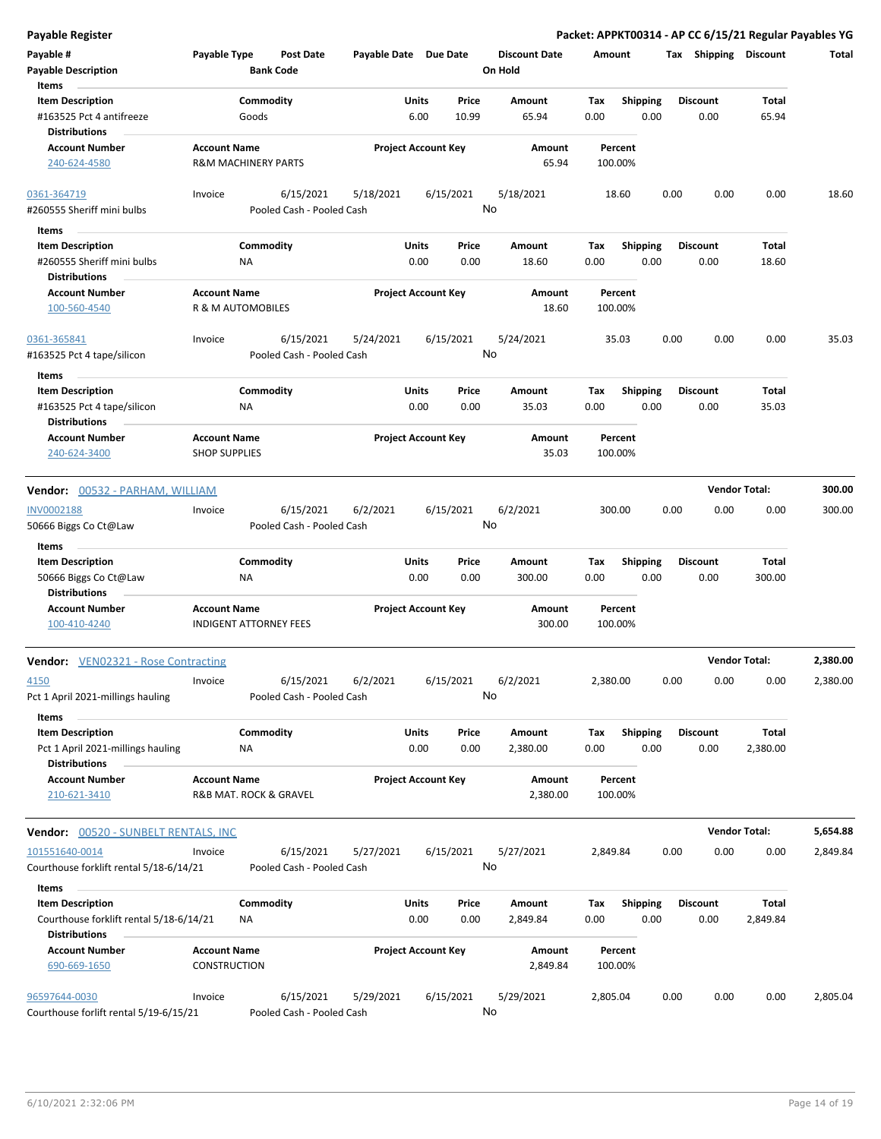| Payable #<br><b>Payable Description</b><br>Items                                           | Payable Type                                         |                    | Post Date<br><b>Bank Code</b>          | Payable Date Due Date |                      |                            |    | <b>Discount Date</b><br>On Hold | Amount      |                    |      | Tax  | Shipping                | <b>Discount</b>      | Total    |
|--------------------------------------------------------------------------------------------|------------------------------------------------------|--------------------|----------------------------------------|-----------------------|----------------------|----------------------------|----|---------------------------------|-------------|--------------------|------|------|-------------------------|----------------------|----------|
| <b>Item Description</b><br>#163525 Pct 4 antifreeze<br><b>Distributions</b>                |                                                      | Commodity<br>Goods |                                        |                       | Units<br>6.00        | Price<br>10.99             |    | Amount<br>65.94                 | Tax<br>0.00 | <b>Shipping</b>    | 0.00 |      | <b>Discount</b><br>0.00 | Total<br>65.94       |          |
| <b>Account Number</b><br>240-624-4580                                                      | <b>Account Name</b><br>R&M MACHINERY PARTS           |                    |                                        |                       |                      | <b>Project Account Key</b> |    | Amount<br>65.94                 |             | Percent<br>100.00% |      |      |                         |                      |          |
| 0361-364719<br>#260555 Sheriff mini bulbs                                                  | Invoice                                              |                    | 6/15/2021<br>Pooled Cash - Pooled Cash | 5/18/2021             |                      | 6/15/2021                  | No | 5/18/2021                       |             | 18.60              |      | 0.00 | 0.00                    | 0.00                 | 18.60    |
| Items                                                                                      |                                                      |                    |                                        |                       |                      |                            |    |                                 |             |                    |      |      |                         |                      |          |
| <b>Item Description</b>                                                                    |                                                      | Commodity          |                                        |                       | <b>Units</b>         | Price                      |    | Amount                          | Tax         | <b>Shipping</b>    |      |      | <b>Discount</b>         | Total                |          |
| #260555 Sheriff mini bulbs<br><b>Distributions</b>                                         |                                                      | <b>NA</b>          |                                        |                       | 0.00                 | 0.00                       |    | 18.60                           | 0.00        |                    | 0.00 |      | 0.00                    | 18.60                |          |
| <b>Account Number</b><br>100-560-4540                                                      | <b>Account Name</b><br>R & M AUTOMOBILES             |                    |                                        |                       |                      | <b>Project Account Key</b> |    | Amount<br>18.60                 |             | Percent<br>100.00% |      |      |                         |                      |          |
| 0361-365841                                                                                | Invoice                                              |                    | 6/15/2021                              | 5/24/2021             |                      | 6/15/2021                  |    | 5/24/2021                       |             | 35.03              |      | 0.00 | 0.00                    | 0.00                 | 35.03    |
| #163525 Pct 4 tape/silicon                                                                 |                                                      |                    | Pooled Cash - Pooled Cash              |                       |                      |                            |    | No                              |             |                    |      |      |                         |                      |          |
| Items<br><b>Item Description</b>                                                           |                                                      | Commodity          |                                        |                       | <b>Units</b>         | Price                      |    | Amount                          | Tax         | <b>Shipping</b>    |      |      | <b>Discount</b>         | Total                |          |
| #163525 Pct 4 tape/silicon<br><b>Distributions</b>                                         |                                                      | <b>NA</b>          |                                        |                       | 0.00                 | 0.00                       |    | 35.03                           | 0.00        |                    | 0.00 |      | 0.00                    | 35.03                |          |
| <b>Account Number</b><br>240-624-3400                                                      | <b>Account Name</b><br><b>SHOP SUPPLIES</b>          |                    |                                        |                       |                      | <b>Project Account Key</b> |    | Amount<br>35.03                 |             | Percent<br>100.00% |      |      |                         |                      |          |
| Vendor: 00532 - PARHAM, WILLIAM                                                            |                                                      |                    |                                        |                       |                      |                            |    |                                 |             |                    |      |      |                         | <b>Vendor Total:</b> | 300.00   |
| INV0002188<br>50666 Biggs Co Ct@Law                                                        | Invoice                                              |                    | 6/15/2021<br>Pooled Cash - Pooled Cash | 6/2/2021              |                      | 6/15/2021                  | No | 6/2/2021                        |             | 300.00             |      | 0.00 | 0.00                    | 0.00                 | 300.00   |
| Items                                                                                      |                                                      |                    |                                        |                       | <b>Units</b>         |                            |    |                                 |             |                    |      |      |                         | Total                |          |
| <b>Item Description</b><br>50666 Biggs Co Ct@Law<br><b>Distributions</b>                   |                                                      | Commodity<br>ΝA    |                                        |                       | 0.00                 | Price<br>0.00              |    | Amount<br>300.00                | Tax<br>0.00 | <b>Shipping</b>    | 0.00 |      | <b>Discount</b><br>0.00 | 300.00               |          |
| <b>Account Number</b><br>100-410-4240                                                      | <b>Account Name</b><br><b>INDIGENT ATTORNEY FEES</b> |                    |                                        |                       |                      | <b>Project Account Key</b> |    | Amount<br>300.00                |             | Percent<br>100.00% |      |      |                         |                      |          |
| <b>Vendor:</b> VEN02321 - Rose Contracting                                                 |                                                      |                    |                                        |                       |                      |                            |    |                                 |             |                    |      |      |                         | <b>Vendor Total:</b> | 2,380.00 |
| 4150<br>Pct 1 April 2021-millings hauling                                                  | Invoice                                              |                    | 6/15/2021<br>Pooled Cash - Pooled Cash | 6/2/2021              |                      | 6/15/2021                  | No | 6/2/2021                        | 2,380.00    |                    |      | 0.00 | 0.00                    | 0.00                 | 2,380.00 |
| Items<br><b>Item Description</b>                                                           |                                                      | Commodity          |                                        |                       | <b>Units</b>         | Price                      |    | Amount                          | Tax         | Shipping           |      |      | Discount                | Total                |          |
| Pct 1 April 2021-millings hauling<br><b>Distributions</b>                                  |                                                      | <b>NA</b>          |                                        |                       | 0.00                 | 0.00                       |    | 2,380.00                        | 0.00        |                    | 0.00 |      | 0.00                    | 2,380.00             |          |
| <b>Account Number</b><br>210-621-3410                                                      | <b>Account Name</b><br>R&B MAT. ROCK & GRAVEL        |                    |                                        |                       |                      | <b>Project Account Key</b> |    | Amount<br>2,380.00              |             | Percent<br>100.00% |      |      |                         |                      |          |
| <b>Vendor:</b> 00520 - SUNBELT RENTALS, INC                                                |                                                      |                    |                                        |                       |                      |                            |    |                                 |             |                    |      |      |                         | <b>Vendor Total:</b> | 5,654.88 |
| 101551640-0014<br>Courthouse forklift rental 5/18-6/14/21                                  | Invoice                                              |                    | 6/15/2021<br>Pooled Cash - Pooled Cash | 5/27/2021             |                      | 6/15/2021                  | No | 5/27/2021                       | 2,849.84    |                    |      | 0.00 | 0.00                    | 0.00                 | 2,849.84 |
| Items                                                                                      |                                                      |                    |                                        |                       |                      |                            |    |                                 |             |                    |      |      |                         |                      |          |
| <b>Item Description</b><br>Courthouse forklift rental 5/18-6/14/21<br><b>Distributions</b> |                                                      | Commodity<br>ΝA    |                                        |                       | <b>Units</b><br>0.00 | Price<br>0.00              |    | Amount<br>2,849.84              | Tax<br>0.00 | <b>Shipping</b>    | 0.00 |      | <b>Discount</b><br>0.00 | Total<br>2,849.84    |          |
| <b>Account Number</b><br>690-669-1650                                                      | <b>Account Name</b><br><b>CONSTRUCTION</b>           |                    |                                        |                       |                      | <b>Project Account Key</b> |    | Amount<br>2,849.84              |             | Percent<br>100.00% |      |      |                         |                      |          |
| 96597644-0030<br>Courthouse forlift rental 5/19-6/15/21                                    | Invoice                                              |                    | 6/15/2021<br>Pooled Cash - Pooled Cash | 5/29/2021             |                      | 6/15/2021                  | No | 5/29/2021                       | 2,805.04    |                    |      | 0.00 | 0.00                    | 0.00                 | 2,805.04 |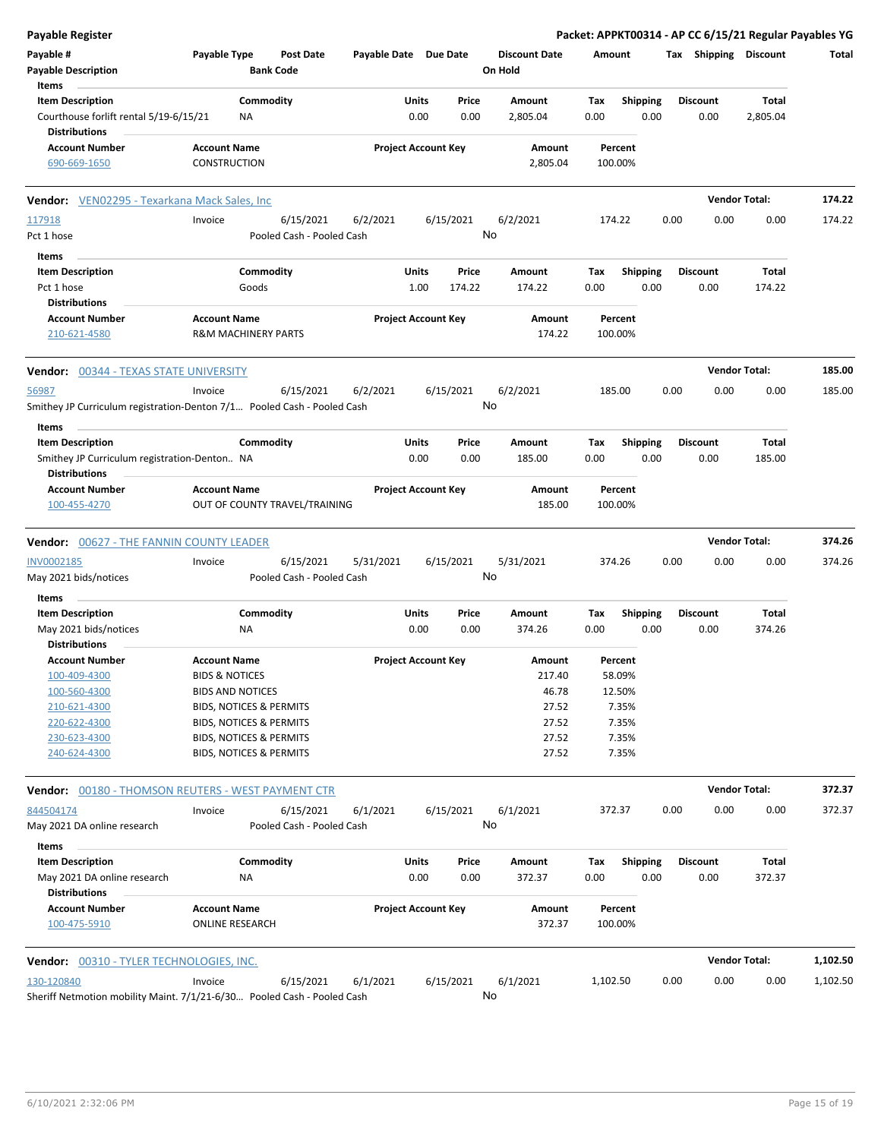| Payable Register                                                        |                                            |                                    |                       |                            |               |                                 |             |                         |      |                       | Packet: APPKT00314 - AP CC 6/15/21 Regular Payables YG |          |
|-------------------------------------------------------------------------|--------------------------------------------|------------------------------------|-----------------------|----------------------------|---------------|---------------------------------|-------------|-------------------------|------|-----------------------|--------------------------------------------------------|----------|
| Payable #<br><b>Payable Description</b>                                 | Payable Type                               | Post Date<br><b>Bank Code</b>      | Payable Date Due Date |                            |               | <b>Discount Date</b><br>On Hold | Amount      |                         |      | Tax Shipping Discount |                                                        | Total    |
| Items                                                                   |                                            |                                    |                       |                            |               |                                 |             |                         |      |                       |                                                        |          |
| <b>Item Description</b>                                                 |                                            | Commodity                          |                       | Units                      | Price         | Amount                          | Tax         | <b>Shipping</b>         |      | Discount              | Total                                                  |          |
| Courthouse forlift rental 5/19-6/15/21<br><b>Distributions</b>          | ΝA                                         |                                    |                       | 0.00                       | 0.00          | 2,805.04                        | 0.00        | 0.00                    |      | 0.00                  | 2,805.04                                               |          |
| <b>Account Number</b><br>690-669-1650                                   | <b>Account Name</b><br><b>CONSTRUCTION</b> |                                    |                       | <b>Project Account Key</b> |               | Amount<br>2,805.04              |             | Percent<br>100.00%      |      |                       |                                                        |          |
| Vendor: VEN02295 - Texarkana Mack Sales, Inc                            |                                            |                                    |                       |                            |               |                                 |             |                         |      | <b>Vendor Total:</b>  |                                                        | 174.22   |
| 117918                                                                  | Invoice                                    | 6/15/2021                          | 6/2/2021              |                            | 6/15/2021     | 6/2/2021                        | 174.22      |                         | 0.00 | 0.00                  | 0.00                                                   | 174.22   |
| Pct 1 hose                                                              |                                            | Pooled Cash - Pooled Cash          |                       |                            | No            |                                 |             |                         |      |                       |                                                        |          |
| Items                                                                   |                                            |                                    |                       |                            |               |                                 |             |                         |      |                       |                                                        |          |
| <b>Item Description</b>                                                 |                                            | Commodity                          |                       | Units                      | Price         | Amount                          | Tax         | <b>Shipping</b>         |      | <b>Discount</b>       | Total                                                  |          |
| Pct 1 hose<br><b>Distributions</b>                                      |                                            | Goods                              |                       | 1.00                       | 174.22        | 174.22                          | 0.00        | 0.00                    |      | 0.00                  | 174.22                                                 |          |
| <b>Account Number</b><br>210-621-4580                                   | <b>Account Name</b>                        | <b>R&amp;M MACHINERY PARTS</b>     |                       | <b>Project Account Key</b> |               | Amount<br>174.22                |             | Percent<br>100.00%      |      |                       |                                                        |          |
| <b>Vendor: 00344 - TEXAS STATE UNIVERSITY</b>                           |                                            |                                    |                       |                            |               |                                 |             |                         |      |                       | <b>Vendor Total:</b>                                   | 185.00   |
| 56987                                                                   | Invoice                                    | 6/15/2021                          | 6/2/2021              |                            | 6/15/2021     | 6/2/2021                        |             | 185.00                  | 0.00 | 0.00                  | 0.00                                                   | 185.00   |
| Smithey JP Curriculum registration-Denton 7/1 Pooled Cash - Pooled Cash |                                            |                                    |                       |                            | No            |                                 |             |                         |      |                       |                                                        |          |
| Items                                                                   |                                            |                                    |                       |                            |               |                                 |             |                         |      |                       |                                                        |          |
| <b>Item Description</b>                                                 |                                            | Commodity                          |                       | Units                      | Price         | Amount                          | Tax         | <b>Shipping</b>         |      | <b>Discount</b>       | Total                                                  |          |
| Smithey JP Curriculum registration-Denton NA<br><b>Distributions</b>    |                                            |                                    |                       | 0.00                       | 0.00          | 185.00                          | 0.00        | 0.00                    |      | 0.00                  | 185.00                                                 |          |
| <b>Account Number</b>                                                   | <b>Account Name</b>                        |                                    |                       | <b>Project Account Key</b> |               | Amount                          |             | Percent                 |      |                       |                                                        |          |
| 100-455-4270                                                            |                                            | OUT OF COUNTY TRAVEL/TRAINING      |                       |                            |               | 185.00                          |             | 100.00%                 |      |                       |                                                        |          |
| <b>Vendor: 00627 - THE FANNIN COUNTY LEADER</b>                         |                                            |                                    |                       |                            |               |                                 |             |                         |      | <b>Vendor Total:</b>  |                                                        | 374.26   |
| INV0002185                                                              | Invoice                                    | 6/15/2021                          | 5/31/2021             |                            | 6/15/2021     | 5/31/2021                       |             | 374.26                  | 0.00 | 0.00                  | 0.00                                                   | 374.26   |
| May 2021 bids/notices                                                   |                                            | Pooled Cash - Pooled Cash          |                       |                            | No            |                                 |             |                         |      |                       |                                                        |          |
| Items                                                                   |                                            |                                    |                       |                            |               |                                 |             |                         |      |                       |                                                        |          |
| <b>Item Description</b>                                                 |                                            | Commodity                          |                       | Units                      | Price         | Amount                          | Tax         | <b>Shipping</b>         |      | <b>Discount</b>       | Total                                                  |          |
| May 2021 bids/notices                                                   | ΝA                                         |                                    |                       | 0.00                       | 0.00          | 374.26                          | 0.00        | 0.00                    |      | 0.00                  | 374.26                                                 |          |
| <b>Distributions</b><br><b>Account Number</b>                           | <b>Account Name</b>                        |                                    |                       | <b>Project Account Key</b> |               | Amount                          |             | Percent                 |      |                       |                                                        |          |
| 100-409-4300                                                            | <b>BIDS &amp; NOTICES</b>                  |                                    |                       |                            |               | 217.40                          |             | 58.09%                  |      |                       |                                                        |          |
| 100-560-4300                                                            | <b>BIDS AND NOTICES</b>                    |                                    |                       |                            |               | 46.78                           |             | 12.50%                  |      |                       |                                                        |          |
| 210-621-4300                                                            |                                            | BIDS, NOTICES & PERMITS            |                       |                            |               | 27.52                           |             | 7.35%                   |      |                       |                                                        |          |
| 220-622-4300                                                            |                                            | BIDS, NOTICES & PERMITS            |                       |                            |               | 27.52                           |             | 7.35%                   |      |                       |                                                        |          |
| 230-623-4300                                                            |                                            | BIDS, NOTICES & PERMITS            |                       |                            |               | 27.52                           |             | 7.35%                   |      |                       |                                                        |          |
| 240-624-4300                                                            |                                            | <b>BIDS, NOTICES &amp; PERMITS</b> |                       |                            |               | 27.52                           |             | 7.35%                   |      |                       |                                                        |          |
| <b>Vendor: 00180 - THOMSON REUTERS - WEST PAYMENT CTR</b>               |                                            |                                    |                       |                            |               |                                 |             |                         |      |                       | <b>Vendor Total:</b>                                   | 372.37   |
| 844504174                                                               | Invoice                                    | 6/15/2021                          | 6/1/2021              |                            | 6/15/2021     | 6/1/2021                        |             | 372.37                  | 0.00 | 0.00                  | 0.00                                                   | 372.37   |
| May 2021 DA online research                                             |                                            | Pooled Cash - Pooled Cash          |                       |                            | No            |                                 |             |                         |      |                       |                                                        |          |
| Items<br><b>Item Description</b>                                        |                                            | Commodity                          |                       | Units                      |               |                                 |             |                         |      | <b>Discount</b>       | Total                                                  |          |
| May 2021 DA online research<br><b>Distributions</b>                     | NA                                         |                                    |                       | 0.00                       | Price<br>0.00 | Amount<br>372.37                | Tax<br>0.00 | <b>Shipping</b><br>0.00 |      | 0.00                  | 372.37                                                 |          |
| <b>Account Number</b>                                                   | <b>Account Name</b>                        |                                    |                       | <b>Project Account Key</b> |               | Amount                          |             | Percent                 |      |                       |                                                        |          |
| 100-475-5910                                                            | <b>ONLINE RESEARCH</b>                     |                                    |                       |                            |               | 372.37                          |             | 100.00%                 |      |                       |                                                        |          |
| Vendor: 00310 - TYLER TECHNOLOGIES, INC.                                |                                            |                                    |                       |                            |               |                                 |             |                         |      | <b>Vendor Total:</b>  |                                                        | 1,102.50 |
| 130-120840                                                              | Invoice                                    | 6/15/2021                          | 6/1/2021              |                            | 6/15/2021     | 6/1/2021                        | 1,102.50    |                         | 0.00 | 0.00                  | 0.00                                                   | 1,102.50 |
| Sheriff Netmotion mobility Maint. 7/1/21-6/30 Pooled Cash - Pooled Cash |                                            |                                    |                       |                            | No            |                                 |             |                         |      |                       |                                                        |          |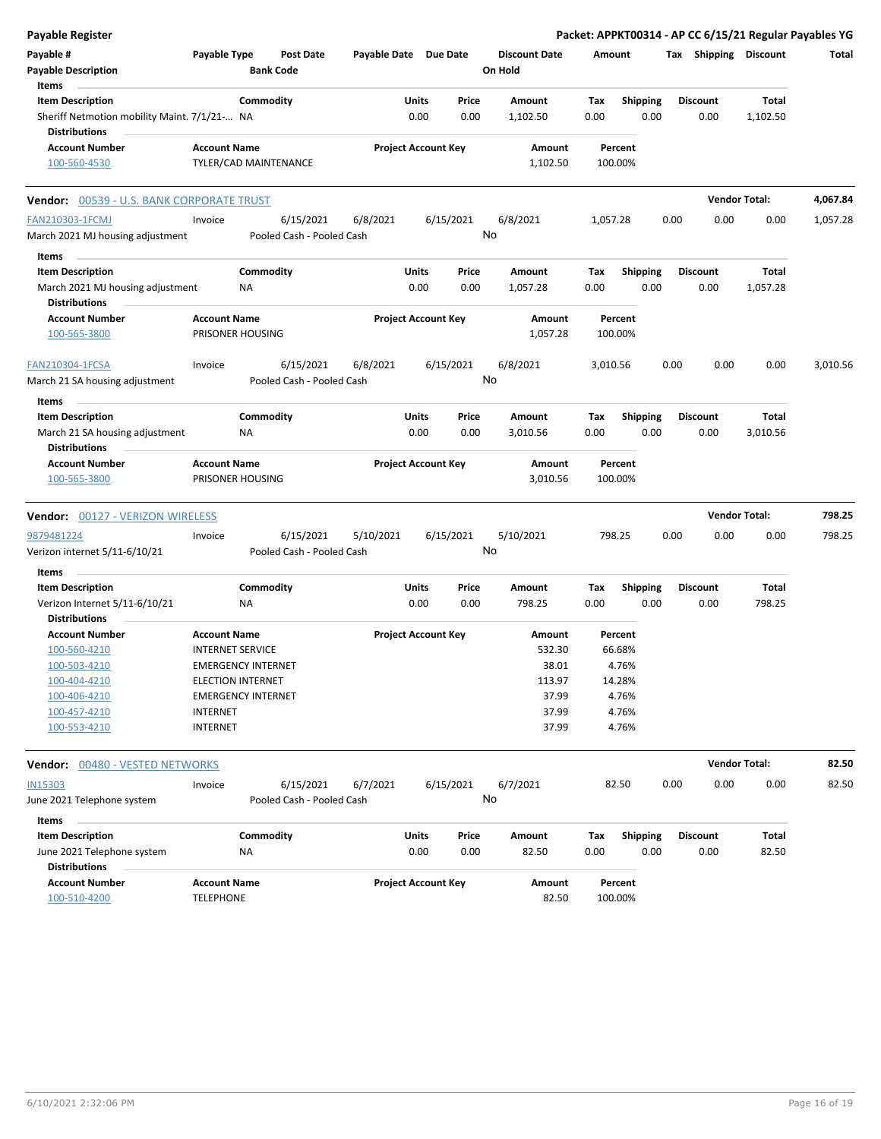| <b>Payable Register</b>                          |                           |                           |                            |       |           |                      |          |                 |      |                       | Packet: APPKT00314 - AP CC 6/15/21 Regular Payables YG |          |
|--------------------------------------------------|---------------------------|---------------------------|----------------------------|-------|-----------|----------------------|----------|-----------------|------|-----------------------|--------------------------------------------------------|----------|
| Payable #                                        | Payable Type              | <b>Post Date</b>          | Payable Date Due Date      |       |           | <b>Discount Date</b> | Amount   |                 |      | Tax Shipping Discount |                                                        | Total    |
| <b>Payable Description</b>                       |                           | <b>Bank Code</b>          |                            |       |           | On Hold              |          |                 |      |                       |                                                        |          |
| Items                                            |                           |                           |                            |       |           |                      |          |                 |      |                       |                                                        |          |
| <b>Item Description</b>                          |                           | Commodity                 |                            | Units | Price     | Amount               | Tax      | Shipping        |      | Discount              | Total                                                  |          |
| Sheriff Netmotion mobility Maint. 7/1/21- NA     |                           |                           |                            | 0.00  | 0.00      | 1,102.50             | 0.00     | 0.00            |      | 0.00                  | 1,102.50                                               |          |
| <b>Distributions</b>                             |                           |                           |                            |       |           |                      |          |                 |      |                       |                                                        |          |
| <b>Account Number</b>                            | <b>Account Name</b>       |                           | <b>Project Account Key</b> |       |           | Amount               | Percent  |                 |      |                       |                                                        |          |
| 100-560-4530                                     |                           | TYLER/CAD MAINTENANCE     |                            |       |           | 1,102.50             | 100.00%  |                 |      |                       |                                                        |          |
|                                                  |                           |                           |                            |       |           |                      |          |                 |      |                       |                                                        |          |
| <b>Vendor: 00539 - U.S. BANK CORPORATE TRUST</b> |                           |                           |                            |       |           |                      |          |                 |      |                       | <b>Vendor Total:</b>                                   | 4,067.84 |
| <b>FAN210303-1FCMJ</b>                           | Invoice                   | 6/15/2021                 | 6/8/2021                   |       | 6/15/2021 | 6/8/2021             | 1,057.28 |                 | 0.00 | 0.00                  | 0.00                                                   | 1,057.28 |
| March 2021 MJ housing adjustment                 |                           | Pooled Cash - Pooled Cash |                            |       | No        |                      |          |                 |      |                       |                                                        |          |
| Items                                            |                           |                           |                            |       |           |                      |          |                 |      |                       |                                                        |          |
| <b>Item Description</b>                          |                           | Commodity                 |                            | Units | Price     | Amount               | Tax      | <b>Shipping</b> |      | <b>Discount</b>       | Total                                                  |          |
| March 2021 MJ housing adjustment                 | NA                        |                           |                            | 0.00  | 0.00      | 1,057.28             | 0.00     | 0.00            |      | 0.00                  | 1,057.28                                               |          |
| <b>Distributions</b>                             |                           |                           |                            |       |           |                      |          |                 |      |                       |                                                        |          |
| <b>Account Number</b>                            | <b>Account Name</b>       |                           | <b>Project Account Key</b> |       |           | Amount               | Percent  |                 |      |                       |                                                        |          |
| 100-565-3800                                     | PRISONER HOUSING          |                           |                            |       |           | 1,057.28             | 100.00%  |                 |      |                       |                                                        |          |
|                                                  |                           |                           |                            |       |           |                      |          |                 |      |                       |                                                        |          |
| FAN210304-1FCSA                                  | Invoice                   | 6/15/2021                 | 6/8/2021                   |       | 6/15/2021 | 6/8/2021             | 3,010.56 |                 | 0.00 | 0.00                  | 0.00                                                   | 3,010.56 |
| March 21 SA housing adjustment                   |                           | Pooled Cash - Pooled Cash |                            |       | No        |                      |          |                 |      |                       |                                                        |          |
|                                                  |                           |                           |                            |       |           |                      |          |                 |      |                       |                                                        |          |
| Items                                            |                           |                           |                            |       |           |                      |          |                 |      |                       |                                                        |          |
| <b>Item Description</b>                          |                           | Commodity                 |                            | Units | Price     | Amount               | Tax      | <b>Shipping</b> |      | <b>Discount</b>       | <b>Total</b>                                           |          |
| March 21 SA housing adjustment                   | ΝA                        |                           |                            | 0.00  | 0.00      | 3,010.56             | 0.00     | 0.00            |      | 0.00                  | 3,010.56                                               |          |
| <b>Distributions</b>                             |                           |                           |                            |       |           |                      |          |                 |      |                       |                                                        |          |
| <b>Account Number</b>                            | <b>Account Name</b>       |                           | <b>Project Account Key</b> |       |           | Amount               | Percent  |                 |      |                       |                                                        |          |
| 100-565-3800                                     | PRISONER HOUSING          |                           |                            |       |           | 3,010.56             | 100.00%  |                 |      |                       |                                                        |          |
| <b>Vendor: 00127 - VERIZON WIRELESS</b>          |                           |                           |                            |       |           |                      |          |                 |      |                       | <b>Vendor Total:</b>                                   | 798.25   |
| 9879481224                                       | Invoice                   | 6/15/2021                 | 5/10/2021                  |       | 6/15/2021 | 5/10/2021            | 798.25   |                 | 0.00 | 0.00                  | 0.00                                                   | 798.25   |
| Verizon internet 5/11-6/10/21                    |                           | Pooled Cash - Pooled Cash |                            |       | No        |                      |          |                 |      |                       |                                                        |          |
|                                                  |                           |                           |                            |       |           |                      |          |                 |      |                       |                                                        |          |
| Items                                            |                           |                           |                            |       |           |                      |          |                 |      |                       |                                                        |          |
| <b>Item Description</b>                          |                           | Commodity                 |                            | Units | Price     | Amount               | Tax      | <b>Shipping</b> |      | <b>Discount</b>       | Total                                                  |          |
| Verizon Internet 5/11-6/10/21                    | NA                        |                           |                            | 0.00  | 0.00      | 798.25               | 0.00     | 0.00            |      | 0.00                  | 798.25                                                 |          |
| <b>Distributions</b>                             |                           |                           |                            |       |           |                      |          |                 |      |                       |                                                        |          |
| <b>Account Number</b>                            | <b>Account Name</b>       |                           | <b>Project Account Key</b> |       |           | Amount               | Percent  |                 |      |                       |                                                        |          |
| 100-560-4210                                     | <b>INTERNET SERVICE</b>   |                           |                            |       |           | 532.30               | 66.68%   |                 |      |                       |                                                        |          |
| 100-503-4210                                     | <b>EMERGENCY INTERNET</b> |                           |                            |       |           | 38.01                | 4.76%    |                 |      |                       |                                                        |          |
| 100-404-4210                                     | <b>ELECTION INTERNET</b>  |                           |                            |       |           | 113.97               | 14.28%   |                 |      |                       |                                                        |          |
| 100-406-4210                                     | <b>EMERGENCY INTERNET</b> |                           |                            |       |           | 37.99                | 4.76%    |                 |      |                       |                                                        |          |
| 100-457-4210                                     | <b>INTERNET</b>           |                           |                            |       |           | 37.99                | 4.76%    |                 |      |                       |                                                        |          |
| 100-553-4210                                     | <b>INTERNET</b>           |                           |                            |       |           | 37.99                | 4.76%    |                 |      |                       |                                                        |          |
|                                                  |                           |                           |                            |       |           |                      |          |                 |      |                       | <b>Vendor Total:</b>                                   | 82.50    |
| Vendor: 00480 - VESTED NETWORKS                  |                           |                           |                            |       |           |                      |          |                 |      |                       |                                                        |          |
| <b>IN15303</b>                                   | Invoice                   | 6/15/2021                 | 6/7/2021                   |       | 6/15/2021 | 6/7/2021             | 82.50    |                 | 0.00 | 0.00                  | 0.00                                                   | 82.50    |
| June 2021 Telephone system                       |                           | Pooled Cash - Pooled Cash |                            |       | No        |                      |          |                 |      |                       |                                                        |          |
| Items                                            |                           |                           |                            |       |           |                      |          |                 |      |                       |                                                        |          |
| <b>Item Description</b>                          |                           | Commodity                 |                            | Units | Price     | Amount               | Tax      | <b>Shipping</b> |      | <b>Discount</b>       | Total                                                  |          |
| June 2021 Telephone system                       | ΝA                        |                           |                            | 0.00  | 0.00      | 82.50                | 0.00     | 0.00            |      | 0.00                  | 82.50                                                  |          |
| <b>Distributions</b>                             |                           |                           |                            |       |           |                      |          |                 |      |                       |                                                        |          |
| <b>Account Number</b>                            | <b>Account Name</b>       |                           | <b>Project Account Key</b> |       |           | Amount               | Percent  |                 |      |                       |                                                        |          |
| 100-510-4200                                     | <b>TELEPHONE</b>          |                           |                            |       |           | 82.50                | 100.00%  |                 |      |                       |                                                        |          |
|                                                  |                           |                           |                            |       |           |                      |          |                 |      |                       |                                                        |          |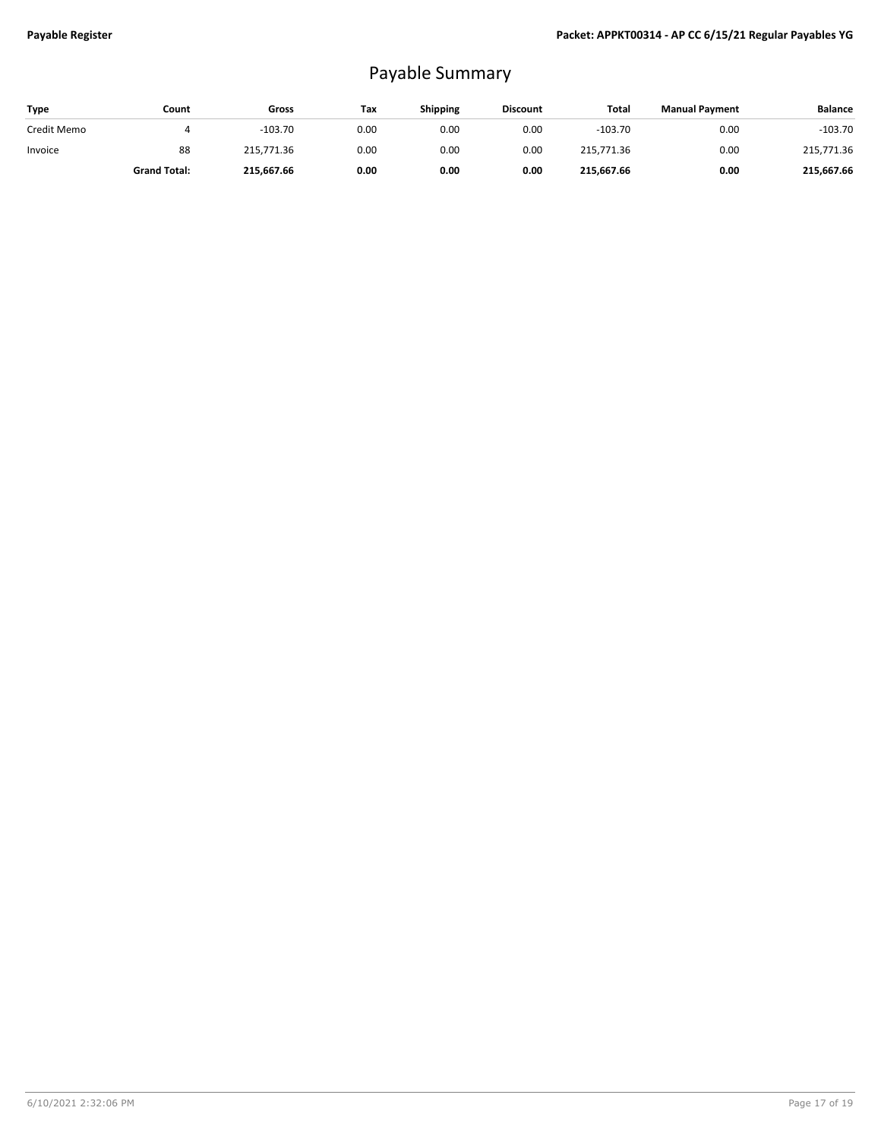## Payable Summary

| Type        | Count               | Gross      | Tax  | <b>Shipping</b> | <b>Discount</b> | Total      | <b>Manual Payment</b> | <b>Balance</b> |
|-------------|---------------------|------------|------|-----------------|-----------------|------------|-----------------------|----------------|
| Credit Memo |                     | $-103.70$  | 0.00 | 0.00            | 0.00            | $-103.70$  | 0.00                  | $-103.70$      |
| Invoice     | 88                  | 215.771.36 | 0.00 | 0.00            | 0.00            | 215,771.36 | 0.00                  | 215,771.36     |
|             | <b>Grand Total:</b> | 215.667.66 | 0.00 | 0.00            | 0.00            | 215.667.66 | 0.00                  | 215,667.66     |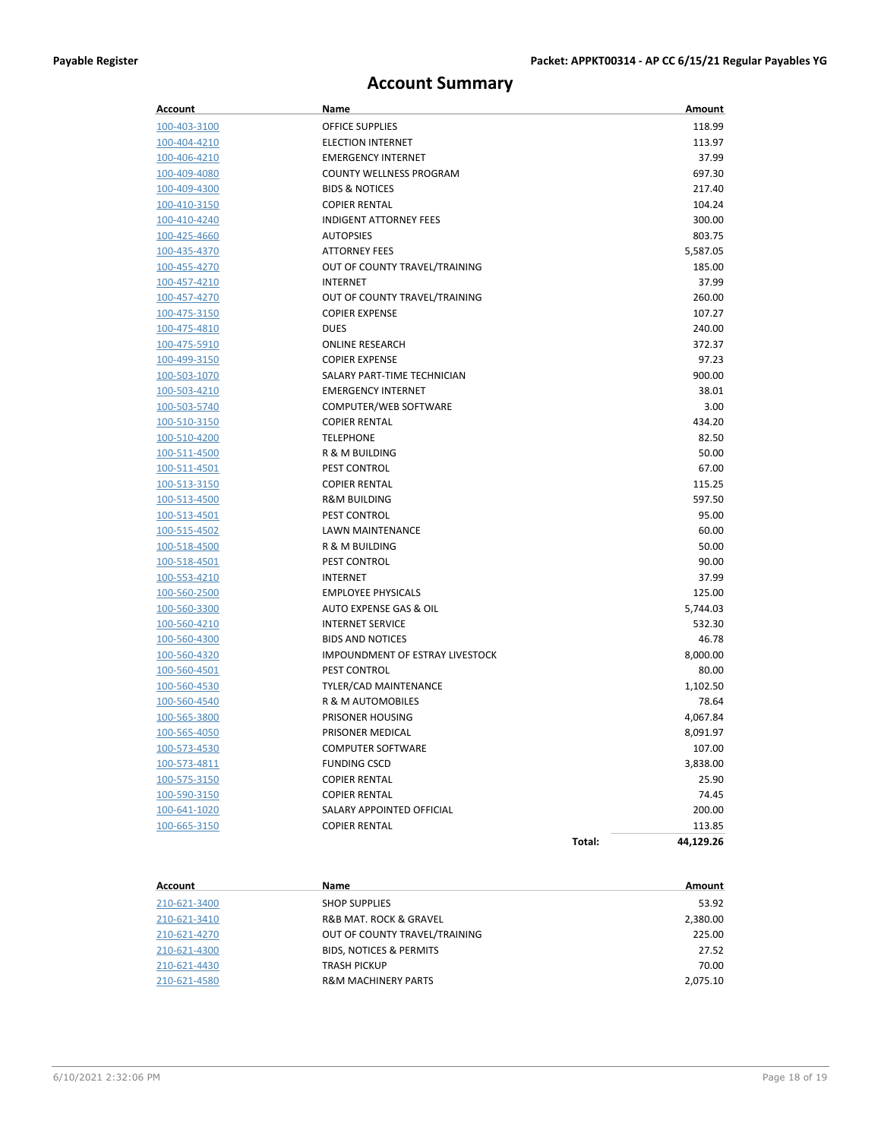## **Account Summary**

| <b>Account</b> | Name                                   |        | Amount    |
|----------------|----------------------------------------|--------|-----------|
| 100-403-3100   | <b>OFFICE SUPPLIES</b>                 |        | 118.99    |
| 100-404-4210   | <b>ELECTION INTERNET</b>               |        | 113.97    |
| 100-406-4210   | <b>EMERGENCY INTERNET</b>              |        | 37.99     |
| 100-409-4080   | <b>COUNTY WELLNESS PROGRAM</b>         |        | 697.30    |
| 100-409-4300   | <b>BIDS &amp; NOTICES</b>              |        | 217.40    |
| 100-410-3150   | <b>COPIER RENTAL</b>                   |        | 104.24    |
| 100-410-4240   | <b>INDIGENT ATTORNEY FEES</b>          |        | 300.00    |
| 100-425-4660   | <b>AUTOPSIES</b>                       |        | 803.75    |
| 100-435-4370   | <b>ATTORNEY FEES</b>                   |        | 5,587.05  |
| 100-455-4270   | OUT OF COUNTY TRAVEL/TRAINING          |        | 185.00    |
| 100-457-4210   | <b>INTERNET</b>                        |        | 37.99     |
| 100-457-4270   | OUT OF COUNTY TRAVEL/TRAINING          |        | 260.00    |
| 100-475-3150   | <b>COPIER EXPENSE</b>                  |        | 107.27    |
| 100-475-4810   | <b>DUES</b>                            |        | 240.00    |
| 100-475-5910   | <b>ONLINE RESEARCH</b>                 |        | 372.37    |
| 100-499-3150   | <b>COPIER EXPENSE</b>                  |        | 97.23     |
| 100-503-1070   | SALARY PART-TIME TECHNICIAN            |        | 900.00    |
| 100-503-4210   | <b>EMERGENCY INTERNET</b>              |        | 38.01     |
| 100-503-5740   | COMPUTER/WEB SOFTWARE                  |        | 3.00      |
| 100-510-3150   | <b>COPIER RENTAL</b>                   |        | 434.20    |
| 100-510-4200   | <b>TELEPHONE</b>                       |        | 82.50     |
| 100-511-4500   | R & M BUILDING                         |        | 50.00     |
| 100-511-4501   | PEST CONTROL                           |        | 67.00     |
| 100-513-3150   | <b>COPIER RENTAL</b>                   |        | 115.25    |
| 100-513-4500   | <b>R&amp;M BUILDING</b>                |        | 597.50    |
| 100-513-4501   | PEST CONTROL                           |        | 95.00     |
| 100-515-4502   | LAWN MAINTENANCE                       |        | 60.00     |
| 100-518-4500   | R & M BUILDING                         |        | 50.00     |
| 100-518-4501   | PEST CONTROL                           |        | 90.00     |
| 100-553-4210   | <b>INTERNET</b>                        |        | 37.99     |
| 100-560-2500   | <b>EMPLOYEE PHYSICALS</b>              |        | 125.00    |
| 100-560-3300   | AUTO EXPENSE GAS & OIL                 |        | 5,744.03  |
| 100-560-4210   | <b>INTERNET SERVICE</b>                |        | 532.30    |
| 100-560-4300   | <b>BIDS AND NOTICES</b>                |        | 46.78     |
| 100-560-4320   | <b>IMPOUNDMENT OF ESTRAY LIVESTOCK</b> |        | 8,000.00  |
| 100-560-4501   | PEST CONTROL                           |        | 80.00     |
| 100-560-4530   | TYLER/CAD MAINTENANCE                  |        | 1,102.50  |
| 100-560-4540   | R & M AUTOMOBILES                      |        | 78.64     |
| 100-565-3800   | PRISONER HOUSING                       |        | 4,067.84  |
| 100-565-4050   | PRISONER MEDICAL                       |        | 8,091.97  |
| 100-573-4530   | <b>COMPUTER SOFTWARE</b>               |        | 107.00    |
| 100-573-4811   | <b>FUNDING CSCD</b>                    |        | 3,838.00  |
| 100-575-3150   | <b>COPIER RENTAL</b>                   |        | 25.90     |
| 100-590-3150   | <b>COPIER RENTAL</b>                   |        | 74.45     |
| 100-641-1020   | SALARY APPOINTED OFFICIAL              |        | 200.00    |
| 100-665-3150   | <b>COPIER RENTAL</b>                   |        | 113.85    |
|                |                                        | Total: | 44,129.26 |

| Account      | Name                                  | Amount   |
|--------------|---------------------------------------|----------|
| 210-621-3400 | <b>SHOP SUPPLIES</b>                  | 53.92    |
| 210-621-3410 | <b>R&amp;B MAT. ROCK &amp; GRAVEL</b> | 2,380.00 |
| 210-621-4270 | OUT OF COUNTY TRAVEL/TRAINING         | 225.00   |
| 210-621-4300 | <b>BIDS. NOTICES &amp; PERMITS</b>    | 27.52    |
| 210-621-4430 | <b>TRASH PICKUP</b>                   | 70.00    |
| 210-621-4580 | <b>R&amp;M MACHINERY PARTS</b>        | 2.075.10 |